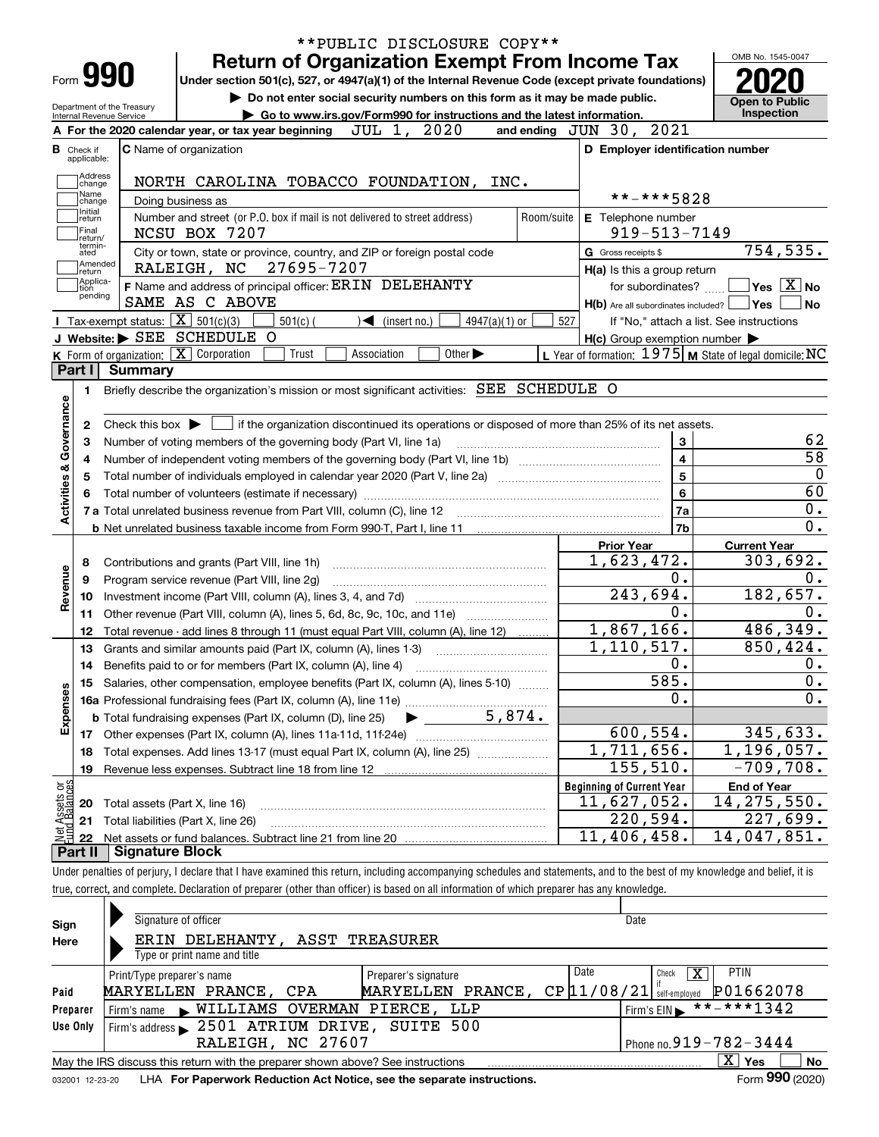|                                                                                                   |                                                   | <b>Return of Organization Exempt From Income Tax</b>                                                                                                                                                             |                                                                             |                                   |                             |                 |            |                                  |                    | OMB No. 1545-0047                                         |
|---------------------------------------------------------------------------------------------------|---------------------------------------------------|------------------------------------------------------------------------------------------------------------------------------------------------------------------------------------------------------------------|-----------------------------------------------------------------------------|-----------------------------------|-----------------------------|-----------------|------------|----------------------------------|--------------------|-----------------------------------------------------------|
| Form 990                                                                                          |                                                   | Under section 501(c), 527, or 4947(a)(1) of the Internal Revenue Code (except private foundations)                                                                                                               |                                                                             |                                   |                             |                 |            |                                  |                    |                                                           |
|                                                                                                   | Department of the Treasury                        |                                                                                                                                                                                                                  | Do not enter social security numbers on this form as it may be made public. |                                   |                             |                 |            |                                  |                    | <b>Open to Public</b>                                     |
| Internal Revenue Service                                                                          |                                                   |                                                                                                                                                                                                                  | Go to www.irs.gov/Form990 for instructions and the latest information.      |                                   |                             |                 |            |                                  |                    | Inspection                                                |
|                                                                                                   |                                                   | A For the 2020 calendar year, or tax year beginning                                                                                                                                                              |                                                                             | JUL 1, 2020                       |                             |                 |            | and ending JUN 30, 2021          |                    |                                                           |
| Check if<br>applicable:                                                                           |                                                   | C Name of organization                                                                                                                                                                                           |                                                                             |                                   |                             |                 |            |                                  |                    | D Employer identification number                          |
| Address                                                                                           |                                                   |                                                                                                                                                                                                                  |                                                                             |                                   |                             |                 |            |                                  |                    |                                                           |
| change<br>Name                                                                                    |                                                   | NORTH CAROLINA TOBACCO FOUNDATION, INC.                                                                                                                                                                          |                                                                             |                                   |                             |                 |            |                                  |                    |                                                           |
| change<br>Initial                                                                                 |                                                   | Doing business as                                                                                                                                                                                                |                                                                             |                                   |                             |                 |            |                                  | **-***5828         |                                                           |
| return<br>Final                                                                                   |                                                   | Number and street (or P.O. box if mail is not delivered to street address)                                                                                                                                       |                                                                             |                                   |                             |                 | Room/suite | E Telephone number               |                    |                                                           |
| return/<br>termin-                                                                                |                                                   | NCSU BOX 7207                                                                                                                                                                                                    |                                                                             |                                   |                             |                 |            |                                  | $919 - 513 - 7149$ |                                                           |
| ated<br> Amended                                                                                  |                                                   | City or town, state or province, country, and ZIP or foreign postal code                                                                                                                                         |                                                                             |                                   |                             |                 |            | G Gross receipts \$              |                    | 754, 535.                                                 |
| return<br>Applica-                                                                                |                                                   | RALEIGH, NC 27695-7207                                                                                                                                                                                           |                                                                             |                                   |                             |                 |            | H(a) Is this a group return      |                    |                                                           |
| tion<br>pending                                                                                   |                                                   | F Name and address of principal officer: ERIN DELEHANTY                                                                                                                                                          |                                                                             |                                   |                             |                 |            |                                  | for subordinates?  | $\overline{\mathsf{Yes}}$ $\overline{\mathsf{X}}$ No      |
|                                                                                                   |                                                   | SAME AS C ABOVE                                                                                                                                                                                                  |                                                                             |                                   |                             |                 |            |                                  |                    | $H(b)$ Are all subordinates included? $\Box$ Yes          |
|                                                                                                   | Tax-exempt status: $\boxed{\mathbf{X}}$ 501(c)(3) |                                                                                                                                                                                                                  | $501(c)$ (                                                                  | $\blacktriangleleft$ (insert no.) |                             | $4947(a)(1)$ or | 527        |                                  |                    | If "No," attach a list. See instructions                  |
|                                                                                                   |                                                   | J Website: > SEE SCHEDULE O                                                                                                                                                                                      |                                                                             |                                   |                             |                 |            |                                  |                    | $H(c)$ Group exemption number $\blacktriangleright$       |
|                                                                                                   |                                                   | K Form of organization: $\boxed{\mathbf{X}}$ Corporation                                                                                                                                                         | Trust                                                                       | Association                       | Other $\blacktriangleright$ |                 |            |                                  |                    | L Year of formation: $1975$ M State of legal domicile: NC |
| Part I                                                                                            | Summary                                           | Briefly describe the organization's mission or most significant activities: SEE SCHEDULE O                                                                                                                       |                                                                             |                                   |                             |                 |            |                                  |                    |                                                           |
| 2<br>з                                                                                            |                                                   | Check this box $\blacktriangleright$ $\Box$ if the organization discontinued its operations or disposed of more than 25% of its net assets.<br>Number of voting members of the governing body (Part VI, line 1a) |                                                                             |                                   |                             |                 |            |                                  | 3                  |                                                           |
|                                                                                                   |                                                   |                                                                                                                                                                                                                  |                                                                             |                                   |                             |                 |            |                                  |                    |                                                           |
| 4                                                                                                 |                                                   |                                                                                                                                                                                                                  |                                                                             |                                   |                             |                 |            |                                  | $\overline{4}$     |                                                           |
|                                                                                                   |                                                   | Total number of individuals employed in calendar year 2020 (Part V, line 2a) manufacture of individuals employed in calendar year 2020 (Part V, line 2a)                                                         |                                                                             |                                   |                             |                 |            |                                  | $\overline{5}$     |                                                           |
|                                                                                                   |                                                   |                                                                                                                                                                                                                  |                                                                             |                                   |                             |                 |            |                                  | $6\phantom{a}$     |                                                           |
|                                                                                                   |                                                   |                                                                                                                                                                                                                  |                                                                             |                                   |                             |                 |            |                                  | 7a                 |                                                           |
|                                                                                                   |                                                   |                                                                                                                                                                                                                  |                                                                             |                                   |                             |                 |            |                                  | 7b                 |                                                           |
|                                                                                                   |                                                   |                                                                                                                                                                                                                  |                                                                             |                                   |                             |                 |            | <b>Prior Year</b>                |                    | <b>Current Year</b>                                       |
| 8                                                                                                 |                                                   | Contributions and grants (Part VIII, line 1h)                                                                                                                                                                    |                                                                             |                                   |                             |                 |            | 1,623,472.                       |                    | 303,692.                                                  |
| 9                                                                                                 |                                                   | Program service revenue (Part VIII, line 2g)                                                                                                                                                                     |                                                                             |                                   |                             |                 |            |                                  | 0.                 |                                                           |
| 10                                                                                                |                                                   |                                                                                                                                                                                                                  |                                                                             |                                   |                             |                 |            |                                  | 243,694.           | 182,657.                                                  |
| 11                                                                                                |                                                   | Other revenue (Part VIII, column (A), lines 5, 6d, 8c, 9c, 10c, and 11e)                                                                                                                                         |                                                                             |                                   |                             |                 |            |                                  | О.                 |                                                           |
| 12                                                                                                |                                                   | Total revenue - add lines 8 through 11 (must equal Part VIII, column (A), line 12)                                                                                                                               |                                                                             |                                   |                             |                 |            | 1,867,166.                       |                    | 486, 349.                                                 |
| 13                                                                                                |                                                   | Grants and similar amounts paid (Part IX, column (A), lines 1-3)                                                                                                                                                 |                                                                             |                                   |                             |                 |            | 1, 110, 517.                     |                    | 850,424.                                                  |
| 14                                                                                                |                                                   | Benefits paid to or for members (Part IX, column (A), line 4)                                                                                                                                                    |                                                                             |                                   |                             |                 |            |                                  | 0.                 |                                                           |
|                                                                                                   |                                                   | 15 Salaries, other compensation, employee benefits (Part IX, column (A), lines 5-10)                                                                                                                             |                                                                             |                                   |                             |                 |            |                                  | 585.               |                                                           |
|                                                                                                   |                                                   |                                                                                                                                                                                                                  |                                                                             |                                   |                             |                 |            |                                  | 0.                 |                                                           |
|                                                                                                   |                                                   |                                                                                                                                                                                                                  |                                                                             |                                   |                             |                 |            |                                  |                    |                                                           |
|                                                                                                   |                                                   |                                                                                                                                                                                                                  |                                                                             |                                   |                             |                 |            |                                  | 600,554.           | 345, 633.                                                 |
| 18                                                                                                |                                                   | Total expenses. Add lines 13-17 (must equal Part IX, column (A), line 25)                                                                                                                                        |                                                                             |                                   |                             |                 |            | $\overline{1,711,656}$ .         |                    | 1,196,057.                                                |
| 19                                                                                                |                                                   | Revenue less expenses. Subtract line 18 from line 12                                                                                                                                                             |                                                                             |                                   |                             |                 |            |                                  | 155, 510.          | $-709,708.$                                               |
|                                                                                                   |                                                   |                                                                                                                                                                                                                  |                                                                             |                                   |                             |                 |            | <b>Beginning of Current Year</b> |                    | <b>End of Year</b>                                        |
| 20                                                                                                |                                                   | Total assets (Part X, line 16)                                                                                                                                                                                   |                                                                             |                                   |                             |                 |            | 11,627,052.                      |                    | 14, 275, 550.                                             |
| Activities & Governance<br>Revenue<br>Expenses<br>: Assets or<br>d Balances<br>21<br>是<br>1<br>22 |                                                   | Total liabilities (Part X, line 26)                                                                                                                                                                              |                                                                             |                                   |                             |                 |            | $\overline{11}$ , 406, 458.      | 220,594.           | 227,699.<br>$\overline{14}$ , 047, 851.                   |

| Sign     | Signature of officer                                                            |                      | Date                                     |    |
|----------|---------------------------------------------------------------------------------|----------------------|------------------------------------------|----|
| Here     | ERIN DELEHANTY, ASST TREASURER<br>Type or print name and title                  |                      |                                          |    |
|          | Print/Type preparer's name                                                      | Preparer's signature | <b>PTIN</b><br>Date<br>x<br>Check        |    |
| Paid     | MARYELLEN PRANCE, CPA                                                           | MARYELLEN PRANCE,    | P01662078<br>CP11/08/21<br>self-employed |    |
| Preparer | Firm's name WILLIAMS OVERMAN PIERCE, LLP                                        |                      | $***$ $***$ 1342<br>Firm's $EIN$         |    |
| Use Only | Firm's address > 2501 ATRIUM DRIVE, SUITE 500                                   |                      |                                          |    |
|          | RALEIGH, NC 27607                                                               |                      | Phone no. $919 - 782 - 3444$             |    |
|          | May the IRS discuss this return with the preparer shown above? See instructions |                      | $\mathbf{X}$<br>Yes                      | No |
|          |                                                                                 |                      | $F = 900 \text{ (0000)}$                 |    |

032001 12-23-20 LHA **For Paperwork Reduction Act Notice, see the separate instructions.** Form 990 (2020)

**990**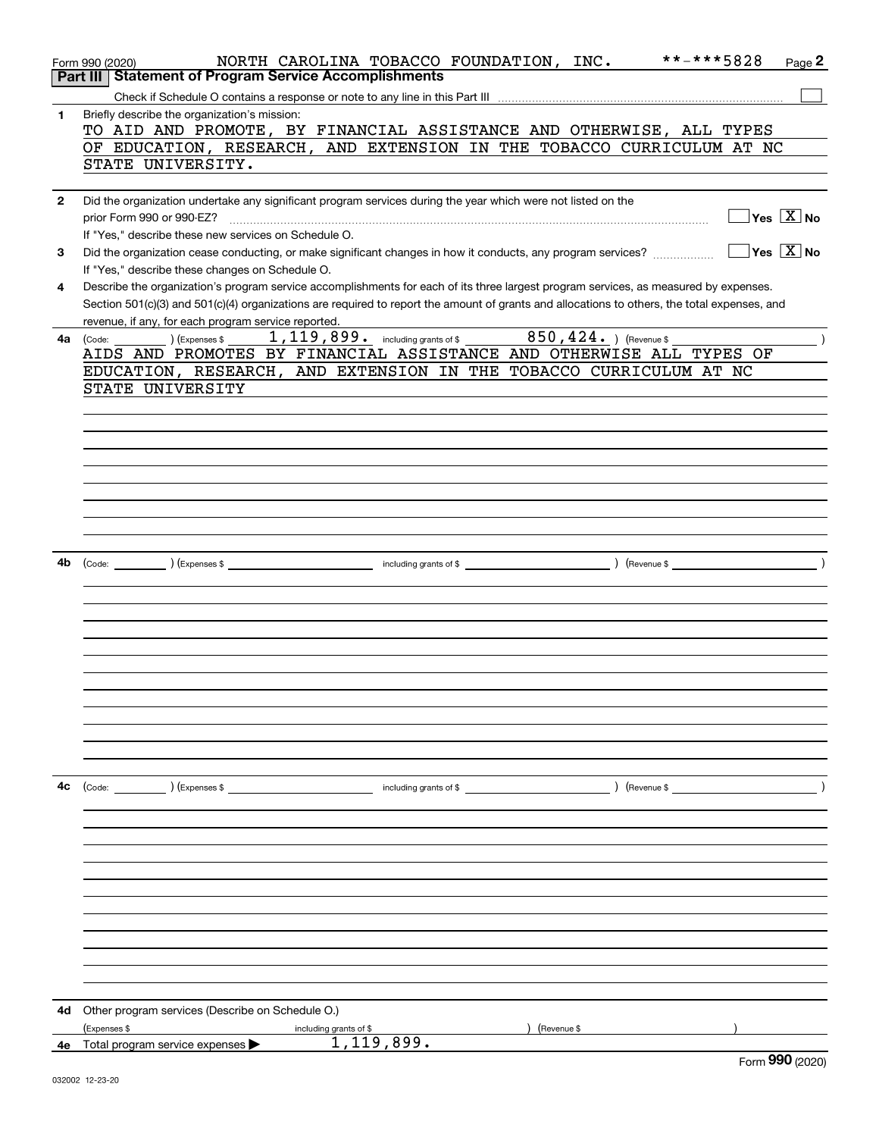|              | **-***5828<br>NORTH CAROLINA TOBACCO FOUNDATION, INC.<br>Page 2<br>Form 990 (2020)<br><b>Statement of Program Service Accomplishments</b><br>Part III  |
|--------------|--------------------------------------------------------------------------------------------------------------------------------------------------------|
|              |                                                                                                                                                        |
| 1            | Briefly describe the organization's mission:                                                                                                           |
|              | TO AID AND PROMOTE, BY FINANCIAL ASSISTANCE AND OTHERWISE, ALL TYPES                                                                                   |
|              | OF EDUCATION, RESEARCH, AND EXTENSION IN THE TOBACCO CURRICULUM AT NC                                                                                  |
|              | STATE UNIVERSITY.                                                                                                                                      |
|              |                                                                                                                                                        |
| $\mathbf{2}$ | Did the organization undertake any significant program services during the year which were not listed on the                                           |
|              | Yes $X$ No<br>prior Form 990 or 990-EZ?                                                                                                                |
|              | If "Yes," describe these new services on Schedule O.                                                                                                   |
| 3            | $\sqrt{}$ Yes $\sqrt{}$ X $\sqrt{}$ No<br>Did the organization cease conducting, or make significant changes in how it conducts, any program services? |
|              | If "Yes," describe these changes on Schedule O.                                                                                                        |
| 4            | Describe the organization's program service accomplishments for each of its three largest program services, as measured by expenses.                   |
|              | Section 501(c)(3) and 501(c)(4) organizations are required to report the amount of grants and allocations to others, the total expenses, and           |
|              | revenue, if any, for each program service reported.                                                                                                    |
| 4a           | 1, 119, 899. including grants of \$ 850, 424. ) (Revenue \$<br>(Express \$<br>(Code:                                                                   |
|              | AIDS AND PROMOTES BY FINANCIAL ASSISTANCE AND OTHERWISE ALL TYPES OF                                                                                   |
|              | EDUCATION, RESEARCH, AND EXTENSION IN THE TOBACCO CURRICULUM AT NC                                                                                     |
|              | STATE UNIVERSITY                                                                                                                                       |
|              |                                                                                                                                                        |
|              |                                                                                                                                                        |
|              |                                                                                                                                                        |
|              |                                                                                                                                                        |
|              |                                                                                                                                                        |
|              |                                                                                                                                                        |
|              |                                                                                                                                                        |
|              |                                                                                                                                                        |
|              |                                                                                                                                                        |
| 4b           |                                                                                                                                                        |
|              |                                                                                                                                                        |
|              |                                                                                                                                                        |
|              |                                                                                                                                                        |
|              |                                                                                                                                                        |
|              |                                                                                                                                                        |
|              |                                                                                                                                                        |
|              |                                                                                                                                                        |
|              |                                                                                                                                                        |
|              |                                                                                                                                                        |
|              |                                                                                                                                                        |
|              |                                                                                                                                                        |
|              |                                                                                                                                                        |
| 4c           | (Code: ) (Expenses \$<br>) (Revenue \$<br>including grants of \$                                                                                       |
|              |                                                                                                                                                        |
|              |                                                                                                                                                        |
|              |                                                                                                                                                        |
|              |                                                                                                                                                        |
|              |                                                                                                                                                        |
|              |                                                                                                                                                        |
|              |                                                                                                                                                        |
|              |                                                                                                                                                        |
|              |                                                                                                                                                        |
|              |                                                                                                                                                        |
|              |                                                                                                                                                        |
|              |                                                                                                                                                        |
| 4d           | Other program services (Describe on Schedule O.)                                                                                                       |
|              | (Expenses \$<br>(Revenue \$<br>including grants of \$                                                                                                  |
|              | 1,119,899.<br>4e Total program service expenses ><br>$000 \text{ years}$                                                                               |
|              |                                                                                                                                                        |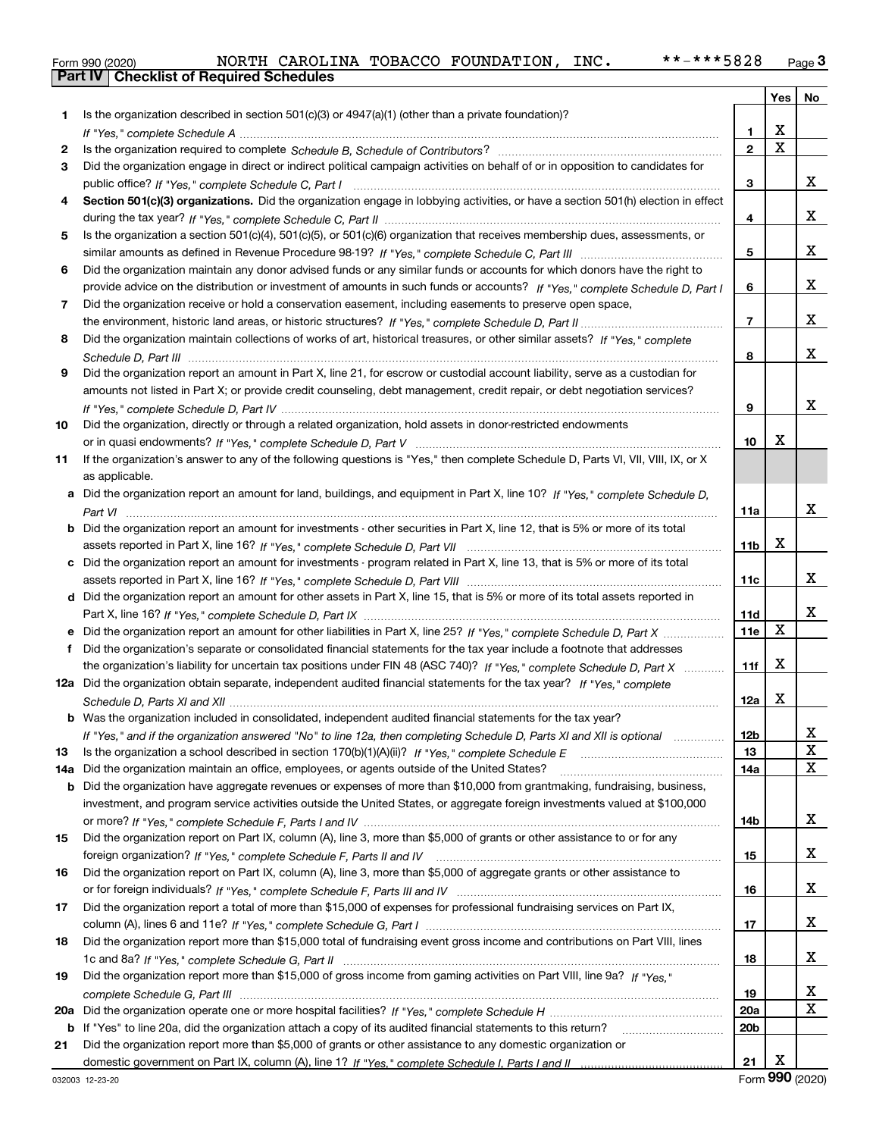|  | Form 990 (2020) |
|--|-----------------|

|     |                                                                                                                                                                                                                                                   |                 | Yes                     | No          |
|-----|---------------------------------------------------------------------------------------------------------------------------------------------------------------------------------------------------------------------------------------------------|-----------------|-------------------------|-------------|
| 1   | Is the organization described in section $501(c)(3)$ or $4947(a)(1)$ (other than a private foundation)?                                                                                                                                           |                 |                         |             |
|     |                                                                                                                                                                                                                                                   | 1               | X                       |             |
| 2   |                                                                                                                                                                                                                                                   | $\overline{2}$  | $\overline{\mathbf{x}}$ |             |
| 3   | Did the organization engage in direct or indirect political campaign activities on behalf of or in opposition to candidates for                                                                                                                   |                 |                         |             |
|     |                                                                                                                                                                                                                                                   | 3               |                         | x           |
| 4   | Section 501(c)(3) organizations. Did the organization engage in lobbying activities, or have a section 501(h) election in effect                                                                                                                  |                 |                         |             |
|     |                                                                                                                                                                                                                                                   | 4               |                         | x           |
| 5   | Is the organization a section 501(c)(4), 501(c)(5), or 501(c)(6) organization that receives membership dues, assessments, or                                                                                                                      |                 |                         |             |
|     |                                                                                                                                                                                                                                                   | 5               |                         | x           |
| 6   | Did the organization maintain any donor advised funds or any similar funds or accounts for which donors have the right to                                                                                                                         |                 |                         |             |
|     | provide advice on the distribution or investment of amounts in such funds or accounts? If "Yes," complete Schedule D, Part I                                                                                                                      | 6               |                         | x           |
| 7   | Did the organization receive or hold a conservation easement, including easements to preserve open space,                                                                                                                                         |                 |                         |             |
|     |                                                                                                                                                                                                                                                   | $\overline{7}$  |                         | x           |
| 8   | Did the organization maintain collections of works of art, historical treasures, or other similar assets? If "Yes," complete                                                                                                                      |                 |                         |             |
|     |                                                                                                                                                                                                                                                   | 8               |                         | x           |
| 9   | Did the organization report an amount in Part X, line 21, for escrow or custodial account liability, serve as a custodian for                                                                                                                     |                 |                         |             |
|     | amounts not listed in Part X; or provide credit counseling, debt management, credit repair, or debt negotiation services?                                                                                                                         |                 |                         |             |
|     |                                                                                                                                                                                                                                                   | 9               |                         | x           |
| 10  | Did the organization, directly or through a related organization, hold assets in donor-restricted endowments                                                                                                                                      |                 |                         |             |
|     |                                                                                                                                                                                                                                                   | 10              | x                       |             |
| 11  | If the organization's answer to any of the following questions is "Yes," then complete Schedule D, Parts VI, VII, VIII, IX, or X                                                                                                                  |                 |                         |             |
|     | as applicable.                                                                                                                                                                                                                                    |                 |                         |             |
|     | a Did the organization report an amount for land, buildings, and equipment in Part X, line 10? If "Yes." complete Schedule D.                                                                                                                     |                 |                         |             |
|     |                                                                                                                                                                                                                                                   | 11a             |                         | x           |
|     | <b>b</b> Did the organization report an amount for investments - other securities in Part X, line 12, that is 5% or more of its total                                                                                                             |                 |                         |             |
|     |                                                                                                                                                                                                                                                   | 11 <sub>b</sub> | х                       |             |
|     | Did the organization report an amount for investments - program related in Part X, line 13, that is 5% or more of its total                                                                                                                       |                 |                         |             |
|     |                                                                                                                                                                                                                                                   | 11c             |                         | x           |
|     | d Did the organization report an amount for other assets in Part X, line 15, that is 5% or more of its total assets reported in                                                                                                                   |                 |                         | x           |
|     |                                                                                                                                                                                                                                                   | 11d             | X                       |             |
|     | e Did the organization report an amount for other liabilities in Part X, line 25? If "Yes," complete Schedule D, Part X                                                                                                                           | 11e             |                         |             |
| f   | Did the organization's separate or consolidated financial statements for the tax year include a footnote that addresses                                                                                                                           | 11f             | X                       |             |
|     | the organization's liability for uncertain tax positions under FIN 48 (ASC 740)? If "Yes," complete Schedule D, Part X<br>12a Did the organization obtain separate, independent audited financial statements for the tax year? If "Yes," complete |                 |                         |             |
|     |                                                                                                                                                                                                                                                   | 12a             | х                       |             |
|     | <b>b</b> Was the organization included in consolidated, independent audited financial statements for the tax year?                                                                                                                                |                 |                         |             |
|     |                                                                                                                                                                                                                                                   |                 |                         |             |
| 13  | If "Yes," and if the organization answered "No" to line 12a, then completing Schedule D, Parts XI and XII is optional                                                                                                                             | 12b<br>13       |                         | Δ.<br>X     |
| 14a | Did the organization maintain an office, employees, or agents outside of the United States?                                                                                                                                                       | 14a             |                         | $\mathbf x$ |
| b   | Did the organization have aggregate revenues or expenses of more than \$10,000 from grantmaking, fundraising, business,                                                                                                                           |                 |                         |             |
|     | investment, and program service activities outside the United States, or aggregate foreign investments valued at \$100,000                                                                                                                        |                 |                         |             |
|     |                                                                                                                                                                                                                                                   | 14b             |                         | X           |
| 15  | Did the organization report on Part IX, column (A), line 3, more than \$5,000 of grants or other assistance to or for any                                                                                                                         |                 |                         |             |
|     |                                                                                                                                                                                                                                                   | 15              |                         | X           |
| 16  | Did the organization report on Part IX, column (A), line 3, more than \$5,000 of aggregate grants or other assistance to                                                                                                                          |                 |                         |             |
|     |                                                                                                                                                                                                                                                   | 16              |                         | X           |
| 17  | Did the organization report a total of more than \$15,000 of expenses for professional fundraising services on Part IX,                                                                                                                           |                 |                         |             |
|     |                                                                                                                                                                                                                                                   | 17              |                         | X           |
| 18  | Did the organization report more than \$15,000 total of fundraising event gross income and contributions on Part VIII, lines                                                                                                                      |                 |                         |             |
|     |                                                                                                                                                                                                                                                   | 18              |                         | x           |
| 19  | Did the organization report more than \$15,000 of gross income from gaming activities on Part VIII, line 9a? If "Yes."                                                                                                                            |                 |                         |             |
|     |                                                                                                                                                                                                                                                   | 19              |                         | X           |
| 20a |                                                                                                                                                                                                                                                   | 20a             |                         | $\mathbf X$ |
|     | b If "Yes" to line 20a, did the organization attach a copy of its audited financial statements to this return?                                                                                                                                    | 20 <sub>b</sub> |                         |             |
| 21  | Did the organization report more than \$5,000 of grants or other assistance to any domestic organization or                                                                                                                                       |                 |                         |             |
|     |                                                                                                                                                                                                                                                   | 21              | X                       |             |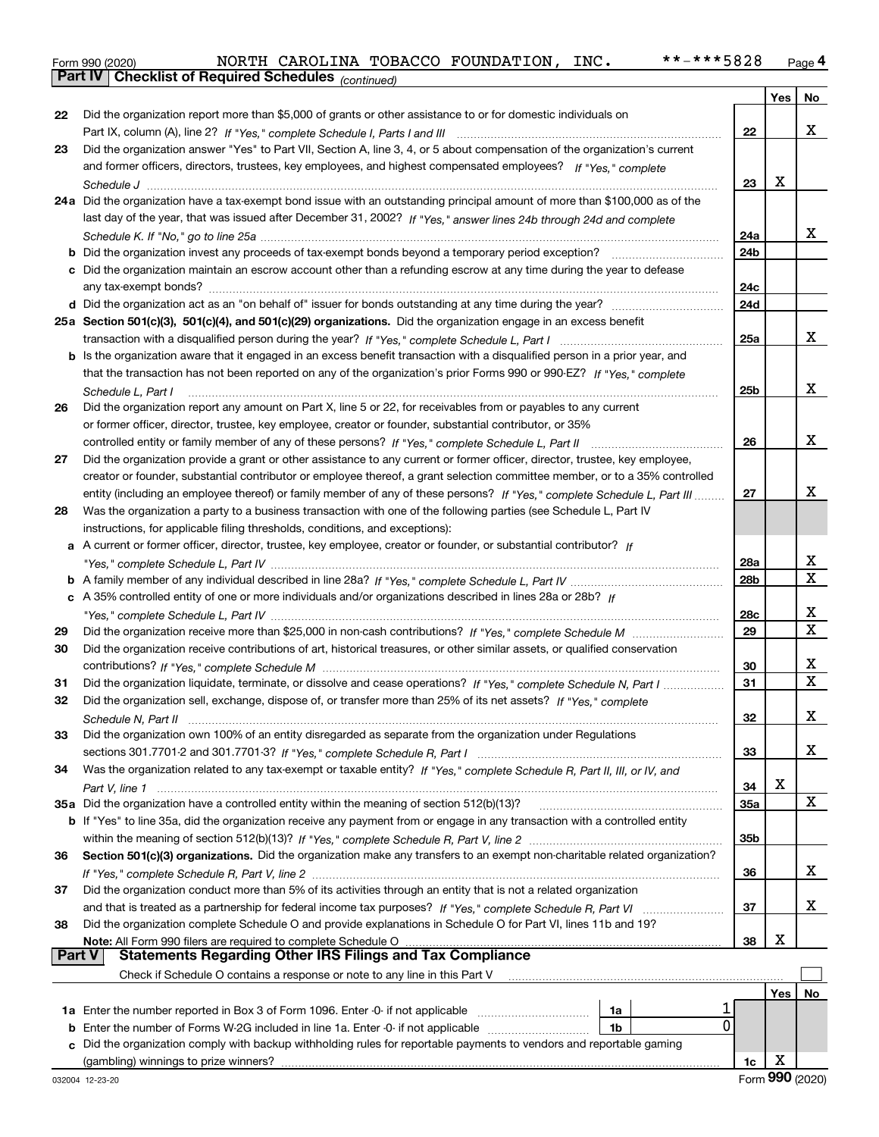|  | Form 990 (2020) |
|--|-----------------|

*(continued)*

|               |                                                                                                                                   |                 | Yes | No          |
|---------------|-----------------------------------------------------------------------------------------------------------------------------------|-----------------|-----|-------------|
| 22            | Did the organization report more than \$5,000 of grants or other assistance to or for domestic individuals on                     |                 |     |             |
|               |                                                                                                                                   | 22              |     | х           |
| 23            | Did the organization answer "Yes" to Part VII, Section A, line 3, 4, or 5 about compensation of the organization's current        |                 |     |             |
|               | and former officers, directors, trustees, key employees, and highest compensated employees? If "Yes," complete                    |                 |     |             |
|               |                                                                                                                                   | 23              | х   |             |
|               | 24a Did the organization have a tax-exempt bond issue with an outstanding principal amount of more than \$100,000 as of the       |                 |     |             |
|               | last day of the year, that was issued after December 31, 2002? If "Yes," answer lines 24b through 24d and complete                |                 |     |             |
|               |                                                                                                                                   | 24a             |     | x           |
|               |                                                                                                                                   | 24 <sub>b</sub> |     |             |
|               | c Did the organization maintain an escrow account other than a refunding escrow at any time during the year to defease            |                 |     |             |
|               |                                                                                                                                   | 24c             |     |             |
|               |                                                                                                                                   | 24d             |     |             |
|               | 25a Section 501(c)(3), 501(c)(4), and 501(c)(29) organizations. Did the organization engage in an excess benefit                  |                 |     |             |
|               |                                                                                                                                   | 25a             |     | x           |
|               | b Is the organization aware that it engaged in an excess benefit transaction with a disqualified person in a prior year, and      |                 |     |             |
|               | that the transaction has not been reported on any of the organization's prior Forms 990 or 990-EZ? If "Yes," complete             |                 |     |             |
|               | Schedule L, Part I                                                                                                                | 25b             |     | x           |
| 26            | Did the organization report any amount on Part X, line 5 or 22, for receivables from or payables to any current                   |                 |     |             |
|               | or former officer, director, trustee, key employee, creator or founder, substantial contributor, or 35%                           |                 |     |             |
|               | controlled entity or family member of any of these persons? If "Yes," complete Schedule L, Part II                                | 26              |     | x           |
| 27            | Did the organization provide a grant or other assistance to any current or former officer, director, trustee, key employee,       |                 |     |             |
|               | creator or founder, substantial contributor or employee thereof, a grant selection committee member, or to a 35% controlled       |                 |     |             |
|               | entity (including an employee thereof) or family member of any of these persons? If "Yes," complete Schedule L, Part III          | 27              |     | x           |
| 28            | Was the organization a party to a business transaction with one of the following parties (see Schedule L, Part IV                 |                 |     |             |
|               | instructions, for applicable filing thresholds, conditions, and exceptions):                                                      |                 |     |             |
|               | a A current or former officer, director, trustee, key employee, creator or founder, or substantial contributor? If                |                 |     |             |
|               |                                                                                                                                   | 28a             |     | х           |
|               |                                                                                                                                   | 28 <sub>b</sub> |     | X           |
|               | c A 35% controlled entity of one or more individuals and/or organizations described in lines 28a or 28b? If                       |                 |     |             |
|               |                                                                                                                                   | 28c             |     | х           |
| 29            |                                                                                                                                   | 29              |     | $\mathbf x$ |
| 30            | Did the organization receive contributions of art, historical treasures, or other similar assets, or qualified conservation       |                 |     |             |
|               |                                                                                                                                   | 30              |     | x           |
| 31            | Did the organization liquidate, terminate, or dissolve and cease operations? If "Yes," complete Schedule N, Part I                | 31              |     | $\mathbf X$ |
| 32            | Did the organization sell, exchange, dispose of, or transfer more than 25% of its net assets? If "Yes," complete                  |                 |     |             |
|               |                                                                                                                                   | 32              |     | x           |
| 33            | Did the organization own 100% of an entity disregarded as separate from the organization under Regulations                        |                 |     |             |
|               |                                                                                                                                   | 33              |     | x           |
| 34            | Was the organization related to any tax-exempt or taxable entity? If "Yes," complete Schedule R, Part II, III, or IV, and         |                 |     |             |
|               |                                                                                                                                   | 34              | x   |             |
|               | 35a Did the organization have a controlled entity within the meaning of section 512(b)(13)?                                       | 35a             |     | X           |
|               | b If "Yes" to line 35a, did the organization receive any payment from or engage in any transaction with a controlled entity       |                 |     |             |
|               |                                                                                                                                   | 35b             |     |             |
| 36            | Section 501(c)(3) organizations. Did the organization make any transfers to an exempt non-charitable related organization?        |                 |     |             |
|               |                                                                                                                                   | 36              |     | x           |
| 37            | Did the organization conduct more than 5% of its activities through an entity that is not a related organization                  |                 |     |             |
|               |                                                                                                                                   | 37              |     | x           |
| 38            | Did the organization complete Schedule O and provide explanations in Schedule O for Part VI, lines 11b and 19?                    |                 | х   |             |
| <b>Part V</b> | Note: All Form 990 filers are required to complete Schedule O<br><b>Statements Regarding Other IRS Filings and Tax Compliance</b> | 38              |     |             |
|               | Check if Schedule O contains a response or note to any line in this Part V                                                        |                 |     |             |
|               |                                                                                                                                   |                 | Yes | No.         |
|               | 1a                                                                                                                                |                 |     |             |
| b             | 0<br>Enter the number of Forms W-2G included in line 1a. Enter -0- if not applicable<br>1b                                        |                 |     |             |
| C.            | Did the organization comply with backup withholding rules for reportable payments to vendors and reportable gaming                |                 |     |             |
|               |                                                                                                                                   | 1c              | x   |             |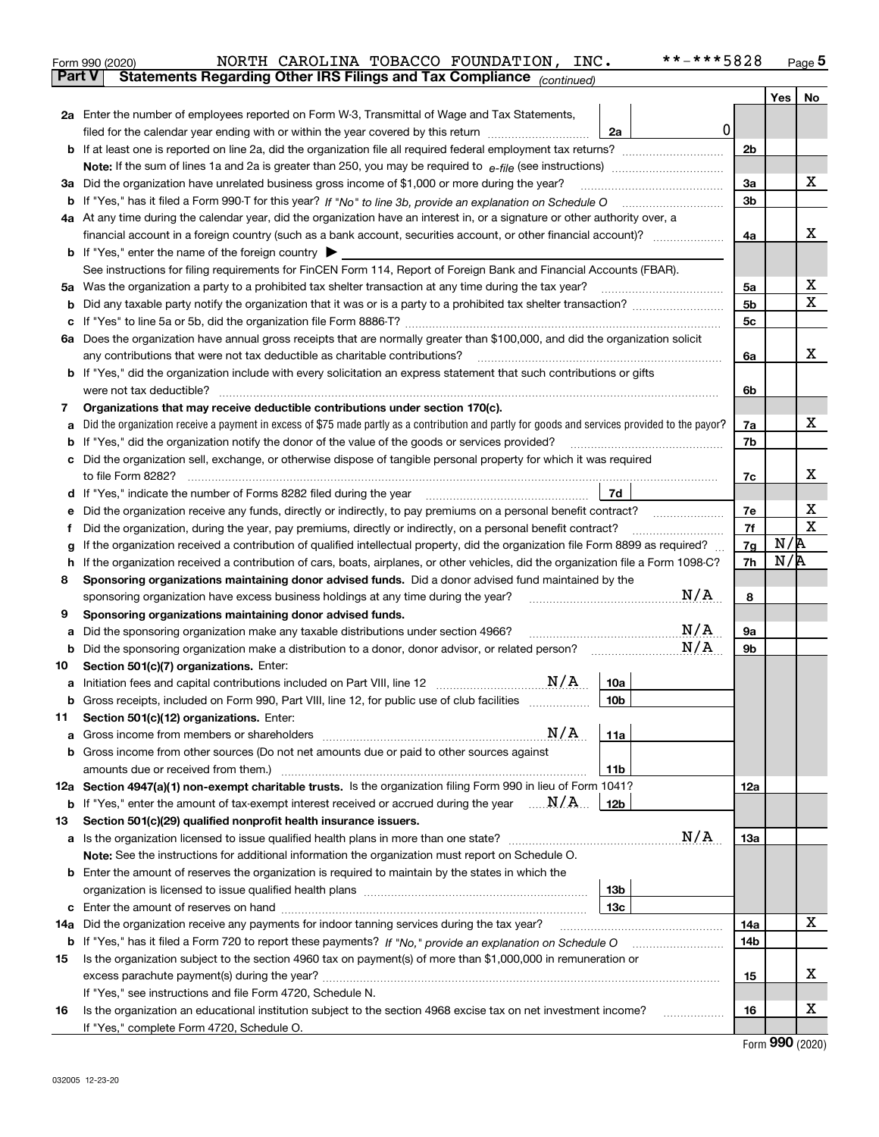|               | **-***5828<br>NORTH CAROLINA TOBACCO FOUNDATION, INC.<br>Form 990 (2020)                                                                        |                |     | $_{\text{Page}}$ 5 |
|---------------|-------------------------------------------------------------------------------------------------------------------------------------------------|----------------|-----|--------------------|
| <b>Part V</b> | Statements Regarding Other IRS Filings and Tax Compliance (continued)                                                                           |                |     |                    |
|               |                                                                                                                                                 |                | Yes | No                 |
|               | 2a Enter the number of employees reported on Form W-3, Transmittal of Wage and Tax Statements,                                                  |                |     |                    |
|               | $\mathbf 0$<br>filed for the calendar year ending with or within the year covered by this return<br>2a                                          |                |     |                    |
|               |                                                                                                                                                 | 2 <sub>b</sub> |     |                    |
|               |                                                                                                                                                 |                |     |                    |
|               | 3a Did the organization have unrelated business gross income of \$1,000 or more during the year?                                                | 3a             |     | x                  |
|               |                                                                                                                                                 | 3b             |     |                    |
|               | 4a At any time during the calendar year, did the organization have an interest in, or a signature or other authority over, a                    |                |     |                    |
|               | financial account in a foreign country (such as a bank account, securities account, or other financial account)?                                | 4a             |     | х                  |
|               | <b>b</b> If "Yes," enter the name of the foreign country $\triangleright$                                                                       |                |     |                    |
|               | See instructions for filing requirements for FinCEN Form 114, Report of Foreign Bank and Financial Accounts (FBAR).                             |                |     |                    |
|               | 5a Was the organization a party to a prohibited tax shelter transaction at any time during the tax year?                                        | 5a             |     | х                  |
|               |                                                                                                                                                 | 5 <sub>b</sub> |     | X                  |
|               |                                                                                                                                                 | 5с             |     |                    |
|               | 6a Does the organization have annual gross receipts that are normally greater than \$100,000, and did the organization solicit                  |                |     |                    |
|               | any contributions that were not tax deductible as charitable contributions?                                                                     | 6a             |     | X.                 |
|               | <b>b</b> If "Yes," did the organization include with every solicitation an express statement that such contributions or gifts                   |                |     |                    |
|               | were not tax deductible?                                                                                                                        | 6b             |     |                    |
| 7             | Organizations that may receive deductible contributions under section 170(c).                                                                   |                |     |                    |
| а             | Did the organization receive a payment in excess of \$75 made partly as a contribution and partly for goods and services provided to the payor? | 7a             |     | x                  |
|               | <b>b</b> If "Yes," did the organization notify the donor of the value of the goods or services provided?                                        | 7b             |     |                    |
|               | c Did the organization sell, exchange, or otherwise dispose of tangible personal property for which it was required                             |                |     |                    |
|               |                                                                                                                                                 | 7c             |     | х                  |
|               | 7d<br>d If "Yes," indicate the number of Forms 8282 filed during the year manufactured in the second of the New York                            |                |     |                    |
| е             |                                                                                                                                                 | 7e             |     | Х                  |
| Ť             | Did the organization, during the year, pay premiums, directly or indirectly, on a personal benefit contract?                                    | 7f             |     | X                  |
| g             | If the organization received a contribution of qualified intellectual property, did the organization file Form 8899 as required?                | 7g             | N/R |                    |
|               | h If the organization received a contribution of cars, boats, airplanes, or other vehicles, did the organization file a Form 1098-C?            | 7h             | N/R |                    |
| 8             | Sponsoring organizations maintaining donor advised funds. Did a donor advised fund maintained by the                                            |                |     |                    |
|               | N/A<br>sponsoring organization have excess business holdings at any time during the year?                                                       | 8              |     |                    |
| 9             | Sponsoring organizations maintaining donor advised funds.                                                                                       |                |     |                    |
| а             | N/A<br>Did the sponsoring organization make any taxable distributions under section 4966?                                                       | 9а             |     |                    |
|               | N/A                                                                                                                                             | 9b             |     |                    |
| 10            | Section 501(c)(7) organizations. Enter:                                                                                                         |                |     |                    |
|               | N/A<br>10a                                                                                                                                      |                |     |                    |
|               | Gross receipts, included on Form 990, Part VIII, line 12, for public use of club facilities<br>10 <sub>b</sub>                                  |                |     |                    |
| 11            | Section 501(c)(12) organizations. Enter:                                                                                                        |                |     |                    |
|               | N/A<br>11a<br><b>a</b> Gross income from members or shareholders                                                                                |                |     |                    |
|               | b Gross income from other sources (Do not net amounts due or paid to other sources against                                                      |                |     |                    |
|               | 11 <sub>b</sub>                                                                                                                                 |                |     |                    |
|               | 12a Section 4947(a)(1) non-exempt charitable trusts. Is the organization filing Form 990 in lieu of Form 1041?                                  | 12a            |     |                    |
|               | <b>b</b> If "Yes," enter the amount of tax-exempt interest received or accrued during the year $\ldots \mathbf{N}/\mathbf{A}$ .<br>12b          |                |     |                    |
| 13            | Section 501(c)(29) qualified nonprofit health insurance issuers.                                                                                |                |     |                    |
|               | N/A<br>a Is the organization licensed to issue qualified health plans in more than one state?                                                   | 13a            |     |                    |
|               | Note: See the instructions for additional information the organization must report on Schedule O.                                               |                |     |                    |
|               | <b>b</b> Enter the amount of reserves the organization is required to maintain by the states in which the                                       |                |     |                    |
|               | 13 <sub>b</sub>                                                                                                                                 |                |     |                    |
|               | 13c                                                                                                                                             |                |     |                    |
| 14a           | Did the organization receive any payments for indoor tanning services during the tax year?                                                      | 14a            |     | X                  |
|               |                                                                                                                                                 | 14b            |     |                    |
| 15            | Is the organization subject to the section 4960 tax on payment(s) of more than \$1,000,000 in remuneration or                                   |                |     |                    |
|               |                                                                                                                                                 | 15             |     | х                  |
|               | If "Yes," see instructions and file Form 4720, Schedule N.                                                                                      |                |     | х                  |
| 16            | Is the organization an educational institution subject to the section 4968 excise tax on net investment income?                                 | 16             |     |                    |
|               | If "Yes," complete Form 4720, Schedule O.                                                                                                       |                |     | $\mathbf{QQ}$      |

| Form 990 (2020) |  |
|-----------------|--|
|-----------------|--|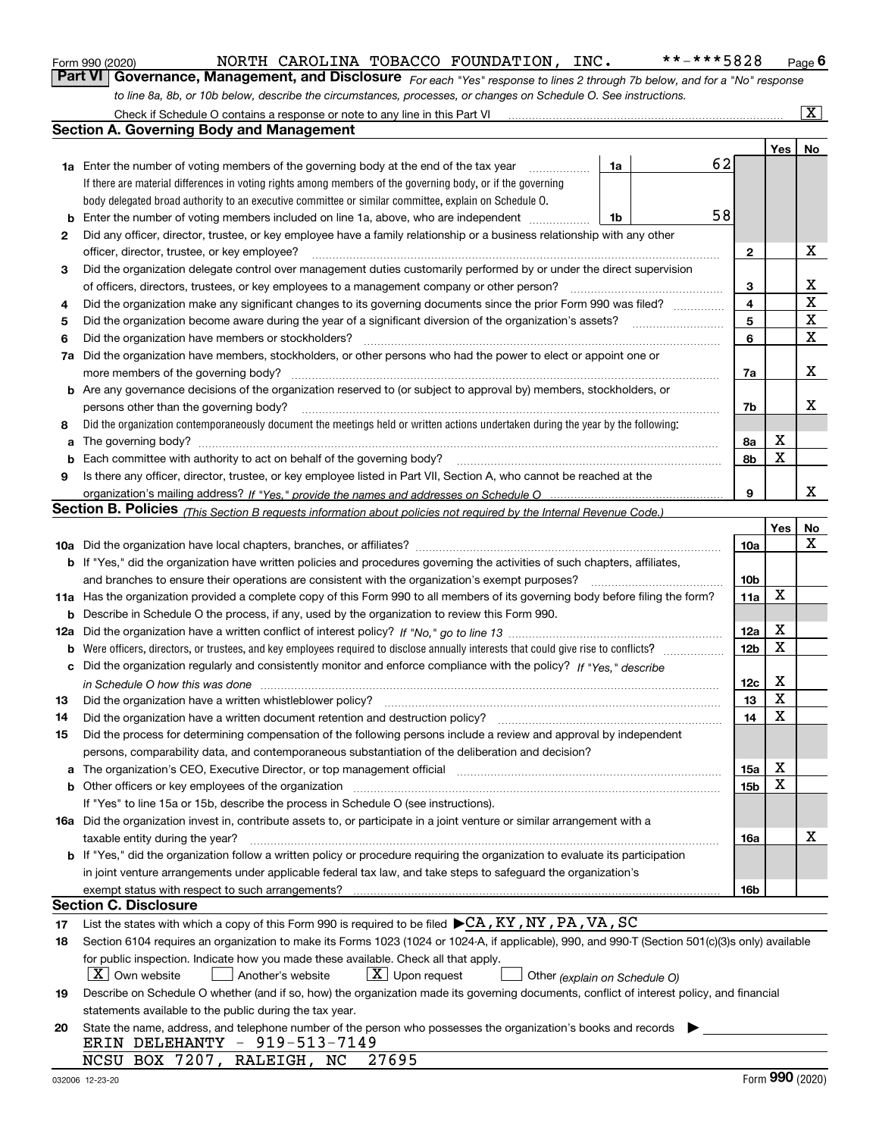|  | Form 990 (2020) |
|--|-----------------|
|  |                 |

## NORTH CAROLINA TOBACCO FOUNDATION, INC. \*\*-\*\*\*5828

*For each "Yes" response to lines 2 through 7b below, and for a "No" response to line 8a, 8b, or 10b below, describe the circumstances, processes, or changes on Schedule O. See instructions.* Form 990 (2020) Page **6Part VI Governance, Management, and Disclosure** 

|          | Check if Schedule O contains a response or note to any line in this Part VI                                                                                                                                             |                               |    |                 |     | $\overline{\mathbf{X}}$ $\overline{\mathbf{X}}$ |
|----------|-------------------------------------------------------------------------------------------------------------------------------------------------------------------------------------------------------------------------|-------------------------------|----|-----------------|-----|-------------------------------------------------|
|          | Section A. Governing Body and Management                                                                                                                                                                                |                               |    |                 |     |                                                 |
|          |                                                                                                                                                                                                                         |                               |    |                 | Yes | No                                              |
|          | 1a Enter the number of voting members of the governing body at the end of the tax year                                                                                                                                  | 1a                            | 62 |                 |     |                                                 |
|          | If there are material differences in voting rights among members of the governing body, or if the governing                                                                                                             |                               |    |                 |     |                                                 |
|          | body delegated broad authority to an executive committee or similar committee, explain on Schedule O.                                                                                                                   |                               |    |                 |     |                                                 |
| b        | Enter the number of voting members included on line 1a, above, who are independent                                                                                                                                      | 1b                            | 58 |                 |     |                                                 |
| 2        | Did any officer, director, trustee, or key employee have a family relationship or a business relationship with any other                                                                                                |                               |    |                 |     |                                                 |
|          | officer, director, trustee, or key employee?                                                                                                                                                                            |                               |    | 2               |     | х                                               |
| 3        | Did the organization delegate control over management duties customarily performed by or under the direct supervision                                                                                                   |                               |    |                 |     |                                                 |
|          | of officers, directors, trustees, or key employees to a management company or other person?                                                                                                                             |                               |    | 3               |     | х                                               |
| 4        | Did the organization make any significant changes to its governing documents since the prior Form 990 was filed?                                                                                                        |                               |    | 4               |     | $\mathbf X$                                     |
| 5        |                                                                                                                                                                                                                         |                               |    | 5               |     | X                                               |
| 6        | Did the organization have members or stockholders?                                                                                                                                                                      |                               |    | 6               |     | $\mathbf X$                                     |
| 7a       | Did the organization have members, stockholders, or other persons who had the power to elect or appoint one or                                                                                                          |                               |    |                 |     |                                                 |
|          | more members of the governing body?                                                                                                                                                                                     |                               |    | 7a              |     | х                                               |
|          | <b>b</b> Are any governance decisions of the organization reserved to (or subject to approval by) members, stockholders, or                                                                                             |                               |    |                 |     |                                                 |
|          | persons other than the governing body?                                                                                                                                                                                  |                               |    | 7b              |     | х                                               |
| 8        | Did the organization contemporaneously document the meetings held or written actions undertaken during the year by the following:                                                                                       |                               |    |                 |     |                                                 |
| a        |                                                                                                                                                                                                                         |                               |    | 8a              | Х   |                                                 |
| b        |                                                                                                                                                                                                                         |                               |    | 8b              | X   |                                                 |
| 9        | Is there any officer, director, trustee, or key employee listed in Part VII, Section A, who cannot be reached at the                                                                                                    |                               |    |                 |     |                                                 |
|          |                                                                                                                                                                                                                         |                               |    | 9               |     | x                                               |
|          | <b>Section B. Policies</b> (This Section B requests information about policies not required by the Internal Revenue Code.)                                                                                              |                               |    |                 |     |                                                 |
|          |                                                                                                                                                                                                                         |                               |    |                 | Yes | No                                              |
|          |                                                                                                                                                                                                                         |                               |    | 10a             |     | x                                               |
|          | <b>b</b> If "Yes," did the organization have written policies and procedures governing the activities of such chapters, affiliates,                                                                                     |                               |    |                 |     |                                                 |
|          | and branches to ensure their operations are consistent with the organization's exempt purposes?                                                                                                                         |                               |    | 10 <sub>b</sub> |     |                                                 |
|          | 11a Has the organization provided a complete copy of this Form 990 to all members of its governing body before filing the form?                                                                                         |                               |    | 11a             | X   |                                                 |
| b        | Describe in Schedule O the process, if any, used by the organization to review this Form 990.                                                                                                                           |                               |    |                 |     |                                                 |
|          |                                                                                                                                                                                                                         |                               |    | 12a             | х   |                                                 |
| b        |                                                                                                                                                                                                                         |                               |    | 12 <sub>b</sub> | X   |                                                 |
| c        | Did the organization regularly and consistently monitor and enforce compliance with the policy? If "Yes." describe                                                                                                      |                               |    |                 |     |                                                 |
|          |                                                                                                                                                                                                                         |                               |    | 12c             | х   |                                                 |
|          | in Schedule O how this was done www.communication.com/www.communications.com/www.communications.com/<br>Did the organization have a written whistleblower policy?                                                       |                               |    | 13              | X   |                                                 |
| 13<br>14 |                                                                                                                                                                                                                         |                               |    | 14              | X   |                                                 |
|          | Did the organization have a written document retention and destruction policy?                                                                                                                                          |                               |    |                 |     |                                                 |
| 15       | Did the process for determining compensation of the following persons include a review and approval by independent<br>persons, comparability data, and contemporaneous substantiation of the deliberation and decision? |                               |    |                 |     |                                                 |
|          |                                                                                                                                                                                                                         |                               |    |                 | х   |                                                 |
| a        | The organization's CEO, Executive Director, or top management official manufactured content of the organization's CEO, Executive Director, or top management official                                                   |                               |    | 15a             | x   |                                                 |
|          | <b>b</b> Other officers or key employees of the organization                                                                                                                                                            |                               |    | 15b             |     |                                                 |
|          | If "Yes" to line 15a or 15b, describe the process in Schedule O (see instructions).<br>16a Did the organization invest in, contribute assets to, or participate in a joint venture or similar arrangement with a        |                               |    |                 |     |                                                 |
|          |                                                                                                                                                                                                                         |                               |    |                 |     | х                                               |
|          | taxable entity during the year?                                                                                                                                                                                         |                               |    | 16a             |     |                                                 |
|          | b If "Yes," did the organization follow a written policy or procedure requiring the organization to evaluate its participation                                                                                          |                               |    |                 |     |                                                 |
|          | in joint venture arrangements under applicable federal tax law, and take steps to safeguard the organization's                                                                                                          |                               |    |                 |     |                                                 |
|          | exempt status with respect to such arrangements?<br><b>Section C. Disclosure</b>                                                                                                                                        |                               |    | 16b             |     |                                                 |
|          | List the states with which a copy of this Form 990 is required to be filed $\blacktriangleright$ CA, KY, NY, PA, VA, SC                                                                                                 |                               |    |                 |     |                                                 |
| 17       |                                                                                                                                                                                                                         |                               |    |                 |     |                                                 |
| 18       | Section 6104 requires an organization to make its Forms 1023 (1024 or 1024-A, if applicable), 990, and 990-T (Section 501(c)(3)s only) available                                                                        |                               |    |                 |     |                                                 |
|          | for public inspection. Indicate how you made these available. Check all that apply.                                                                                                                                     |                               |    |                 |     |                                                 |
|          | $X$ Own website<br>$X$ Upon request<br>Another's website                                                                                                                                                                | Other (explain on Schedule O) |    |                 |     |                                                 |
| 19       | Describe on Schedule O whether (and if so, how) the organization made its governing documents, conflict of interest policy, and financial                                                                               |                               |    |                 |     |                                                 |
|          | statements available to the public during the tax year.                                                                                                                                                                 |                               |    |                 |     |                                                 |
| 20       | State the name, address, and telephone number of the person who possesses the organization's books and records<br>ERIN DELEHANTY - 919-513-7149                                                                         |                               |    |                 |     |                                                 |
|          | NCSU BOX 7207, RALEIGH, NC<br>27695                                                                                                                                                                                     |                               |    |                 |     |                                                 |
|          |                                                                                                                                                                                                                         |                               |    |                 |     |                                                 |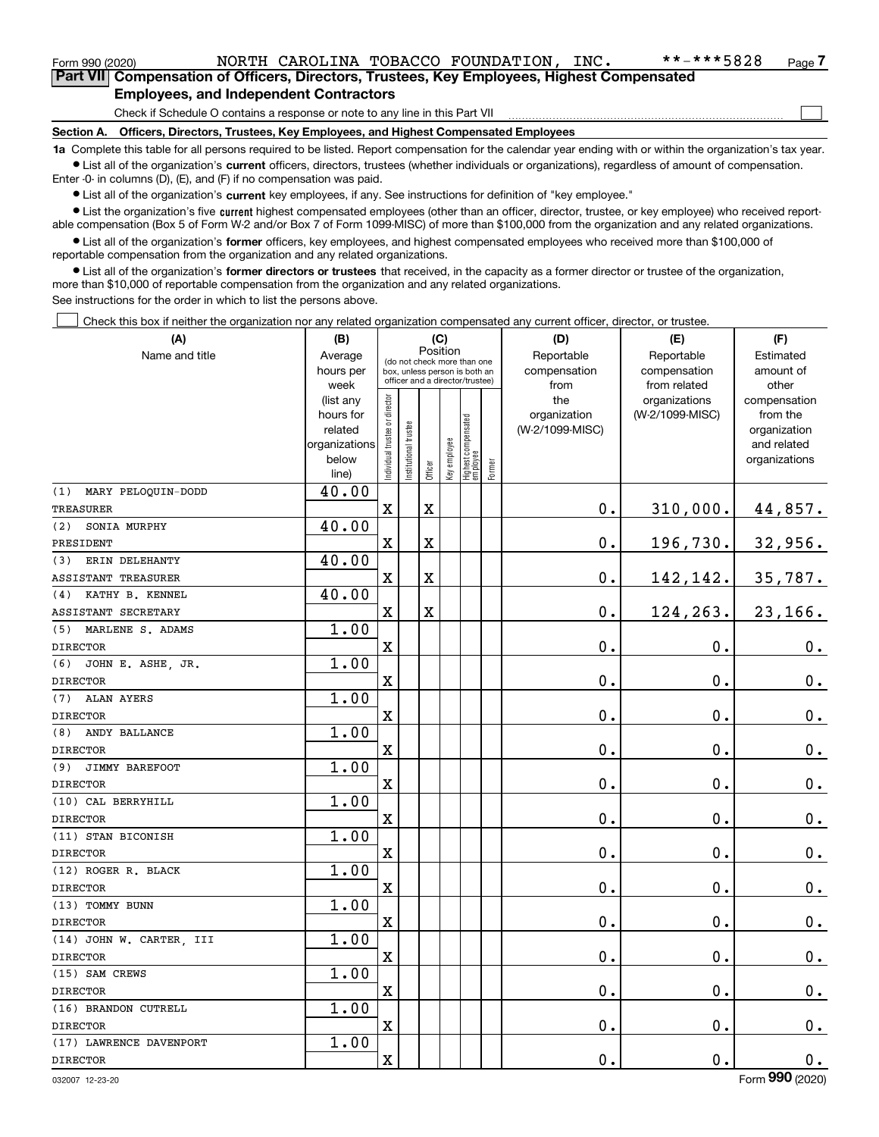### **Employees, and Independent Contractors**

Check if Schedule O contains a response or note to any line in this Part VII

**Section A. Officers, Directors, Trustees, Key Employees, and Highest Compensated Employees**

**1a**  Complete this table for all persons required to be listed. Report compensation for the calendar year ending with or within the organization's tax year. **•** List all of the organization's current officers, directors, trustees (whether individuals or organizations), regardless of amount of compensation.

Enter -0- in columns (D), (E), and (F) if no compensation was paid.

 $\bullet$  List all of the organization's  $\,$ current key employees, if any. See instructions for definition of "key employee."

**•** List the organization's five current highest compensated employees (other than an officer, director, trustee, or key employee) who received reportable compensation (Box 5 of Form W-2 and/or Box 7 of Form 1099-MISC) of more than \$100,000 from the organization and any related organizations.

**•** List all of the organization's former officers, key employees, and highest compensated employees who received more than \$100,000 of reportable compensation from the organization and any related organizations.

**former directors or trustees**  ¥ List all of the organization's that received, in the capacity as a former director or trustee of the organization, more than \$10,000 of reportable compensation from the organization and any related organizations.

See instructions for the order in which to list the persons above.

Check this box if neither the organization nor any related organization compensated any current officer, director, or trustee.  $\mathcal{L}^{\text{max}}$ 

| Reportable<br>Name and title<br>Average<br>Reportable<br>Estimated<br>(do not check more than one<br>compensation<br>hours per<br>compensation<br>amount of<br>box, unless person is both an<br>officer and a director/trustee)<br>from<br>from related<br>other<br>week<br>ndividual trustee or director<br>the<br>(list any<br>organizations<br>compensation<br>(W-2/1099-MISC)<br>hours for<br>organization<br>from the<br>Highest compensated<br>employee<br>nstitutional trustee<br>(W-2/1099-MISC)<br>related<br>organization<br>Key employee<br>organizations<br>and related<br>below<br>organizations<br>Former<br>Officer<br>line)<br>40.00<br>MARY PELOQUIN-DODD<br>(1)<br>$\mathbf x$<br>X<br>0.<br>310,000.<br>44,857.<br><b>TREASURER</b><br>SONIA MURPHY<br>40.00<br>(2)<br>0.<br>32,956.<br>X<br>X<br>196,730.<br>PRESIDENT<br>40.00<br>ERIN DELEHANTY<br>(3)<br>0.<br>$\mathbf X$<br>$\overline{\textbf{X}}$<br>142,142.<br>35,787.<br><b>ASSISTANT TREASURER</b><br>40.00<br>KATHY B. KENNEL<br>(4)<br>$\overline{\text{X}}$<br>$\overline{\mathbf{X}}$<br>0.<br>124,263.<br>23, 166.<br>ASSISTANT SECRETARY<br>1.00<br>(5)<br>MARLENE S. ADAMS<br>$\rm X$<br>0.<br>$\mathbf 0$ .<br>$0_{.}$<br><b>DIRECTOR</b><br>1.00<br>(6)<br>JOHN E. ASHE, JR.<br>$\overline{\text{X}}$<br>0.<br>$\mathbf 0$ .<br>$\mathbf 0$ .<br><b>DIRECTOR</b><br>1.00<br><b>ALAN AYERS</b><br>(7)<br>X<br>0.<br>0.<br>$0_{.}$<br><b>DIRECTOR</b><br>1.00<br>ANDY BALLANCE<br>(8)<br>0.<br>$\mathbf 0$ .<br>X<br>$\mathbf 0$ .<br><b>DIRECTOR</b><br>1.00<br>JIMMY BAREFOOT<br>(9)<br>$\mathbf 0$ .<br>$\mathbf X$<br>0.<br>$0_{.}$<br><b>DIRECTOR</b><br>1.00<br>(10) CAL BERRYHILL<br>$\overline{\text{X}}$<br>0.<br>$\mathbf 0$ .<br>0.<br><b>DIRECTOR</b><br>1.00<br>(11) STAN BICONISH<br>$\mathbf X$<br>0.<br>$\mathbf 0$ .<br>$\mathbf 0$ .<br><b>DIRECTOR</b><br>1.00<br>(12) ROGER R. BLACK<br>0.<br>X<br>$\mathbf 0$ .<br>$\mathbf 0$ .<br><b>DIRECTOR</b><br>1.00<br>(13) TOMMY BUNN<br>$\rm X$<br>0.<br>0.<br>$\mathbf 0$ .<br><b>DIRECTOR</b><br>1.00<br>(14) JOHN W. CARTER, III<br>$\mathbf X$<br>0.<br>$\mathbf 0$ .<br>0.<br><b>DIRECTOR</b><br>1.00<br>(15) SAM CREWS<br>$\rm X$<br>0.<br>$\mathbf 0$ .<br>$\mathbf 0$ .<br><b>DIRECTOR</b><br>1.00<br>(16) BRANDON CUTRELL<br>$\mathbf X$<br>0.<br>$\mathbf 0$ .<br>$\mathbf 0$ .<br><b>DIRECTOR</b><br>1.00<br>(17) LAWRENCE DAVENPORT<br>0.<br>X<br>$\mathbf 0$ .<br>$\mathbf 0$ .<br><b>DIRECTOR</b> | (A)<br>(B) |          |  | (C) |  |  |  | (D) | (E) | (F) |
|----------------------------------------------------------------------------------------------------------------------------------------------------------------------------------------------------------------------------------------------------------------------------------------------------------------------------------------------------------------------------------------------------------------------------------------------------------------------------------------------------------------------------------------------------------------------------------------------------------------------------------------------------------------------------------------------------------------------------------------------------------------------------------------------------------------------------------------------------------------------------------------------------------------------------------------------------------------------------------------------------------------------------------------------------------------------------------------------------------------------------------------------------------------------------------------------------------------------------------------------------------------------------------------------------------------------------------------------------------------------------------------------------------------------------------------------------------------------------------------------------------------------------------------------------------------------------------------------------------------------------------------------------------------------------------------------------------------------------------------------------------------------------------------------------------------------------------------------------------------------------------------------------------------------------------------------------------------------------------------------------------------------------------------------------------------------------------------------------------------------------------------------------------------------------------------------------------------------------------------------------------------------------------------------------------------------------------------------------------------------------------------------------------------------------------------------------------------------|------------|----------|--|-----|--|--|--|-----|-----|-----|
|                                                                                                                                                                                                                                                                                                                                                                                                                                                                                                                                                                                                                                                                                                                                                                                                                                                                                                                                                                                                                                                                                                                                                                                                                                                                                                                                                                                                                                                                                                                                                                                                                                                                                                                                                                                                                                                                                                                                                                                                                                                                                                                                                                                                                                                                                                                                                                                                                                                                      |            | Position |  |     |  |  |  |     |     |     |
|                                                                                                                                                                                                                                                                                                                                                                                                                                                                                                                                                                                                                                                                                                                                                                                                                                                                                                                                                                                                                                                                                                                                                                                                                                                                                                                                                                                                                                                                                                                                                                                                                                                                                                                                                                                                                                                                                                                                                                                                                                                                                                                                                                                                                                                                                                                                                                                                                                                                      |            |          |  |     |  |  |  |     |     |     |
|                                                                                                                                                                                                                                                                                                                                                                                                                                                                                                                                                                                                                                                                                                                                                                                                                                                                                                                                                                                                                                                                                                                                                                                                                                                                                                                                                                                                                                                                                                                                                                                                                                                                                                                                                                                                                                                                                                                                                                                                                                                                                                                                                                                                                                                                                                                                                                                                                                                                      |            |          |  |     |  |  |  |     |     |     |
|                                                                                                                                                                                                                                                                                                                                                                                                                                                                                                                                                                                                                                                                                                                                                                                                                                                                                                                                                                                                                                                                                                                                                                                                                                                                                                                                                                                                                                                                                                                                                                                                                                                                                                                                                                                                                                                                                                                                                                                                                                                                                                                                                                                                                                                                                                                                                                                                                                                                      |            |          |  |     |  |  |  |     |     |     |
|                                                                                                                                                                                                                                                                                                                                                                                                                                                                                                                                                                                                                                                                                                                                                                                                                                                                                                                                                                                                                                                                                                                                                                                                                                                                                                                                                                                                                                                                                                                                                                                                                                                                                                                                                                                                                                                                                                                                                                                                                                                                                                                                                                                                                                                                                                                                                                                                                                                                      |            |          |  |     |  |  |  |     |     |     |
|                                                                                                                                                                                                                                                                                                                                                                                                                                                                                                                                                                                                                                                                                                                                                                                                                                                                                                                                                                                                                                                                                                                                                                                                                                                                                                                                                                                                                                                                                                                                                                                                                                                                                                                                                                                                                                                                                                                                                                                                                                                                                                                                                                                                                                                                                                                                                                                                                                                                      |            |          |  |     |  |  |  |     |     |     |
|                                                                                                                                                                                                                                                                                                                                                                                                                                                                                                                                                                                                                                                                                                                                                                                                                                                                                                                                                                                                                                                                                                                                                                                                                                                                                                                                                                                                                                                                                                                                                                                                                                                                                                                                                                                                                                                                                                                                                                                                                                                                                                                                                                                                                                                                                                                                                                                                                                                                      |            |          |  |     |  |  |  |     |     |     |
|                                                                                                                                                                                                                                                                                                                                                                                                                                                                                                                                                                                                                                                                                                                                                                                                                                                                                                                                                                                                                                                                                                                                                                                                                                                                                                                                                                                                                                                                                                                                                                                                                                                                                                                                                                                                                                                                                                                                                                                                                                                                                                                                                                                                                                                                                                                                                                                                                                                                      |            |          |  |     |  |  |  |     |     |     |
|                                                                                                                                                                                                                                                                                                                                                                                                                                                                                                                                                                                                                                                                                                                                                                                                                                                                                                                                                                                                                                                                                                                                                                                                                                                                                                                                                                                                                                                                                                                                                                                                                                                                                                                                                                                                                                                                                                                                                                                                                                                                                                                                                                                                                                                                                                                                                                                                                                                                      |            |          |  |     |  |  |  |     |     |     |
|                                                                                                                                                                                                                                                                                                                                                                                                                                                                                                                                                                                                                                                                                                                                                                                                                                                                                                                                                                                                                                                                                                                                                                                                                                                                                                                                                                                                                                                                                                                                                                                                                                                                                                                                                                                                                                                                                                                                                                                                                                                                                                                                                                                                                                                                                                                                                                                                                                                                      |            |          |  |     |  |  |  |     |     |     |
|                                                                                                                                                                                                                                                                                                                                                                                                                                                                                                                                                                                                                                                                                                                                                                                                                                                                                                                                                                                                                                                                                                                                                                                                                                                                                                                                                                                                                                                                                                                                                                                                                                                                                                                                                                                                                                                                                                                                                                                                                                                                                                                                                                                                                                                                                                                                                                                                                                                                      |            |          |  |     |  |  |  |     |     |     |
|                                                                                                                                                                                                                                                                                                                                                                                                                                                                                                                                                                                                                                                                                                                                                                                                                                                                                                                                                                                                                                                                                                                                                                                                                                                                                                                                                                                                                                                                                                                                                                                                                                                                                                                                                                                                                                                                                                                                                                                                                                                                                                                                                                                                                                                                                                                                                                                                                                                                      |            |          |  |     |  |  |  |     |     |     |
|                                                                                                                                                                                                                                                                                                                                                                                                                                                                                                                                                                                                                                                                                                                                                                                                                                                                                                                                                                                                                                                                                                                                                                                                                                                                                                                                                                                                                                                                                                                                                                                                                                                                                                                                                                                                                                                                                                                                                                                                                                                                                                                                                                                                                                                                                                                                                                                                                                                                      |            |          |  |     |  |  |  |     |     |     |
|                                                                                                                                                                                                                                                                                                                                                                                                                                                                                                                                                                                                                                                                                                                                                                                                                                                                                                                                                                                                                                                                                                                                                                                                                                                                                                                                                                                                                                                                                                                                                                                                                                                                                                                                                                                                                                                                                                                                                                                                                                                                                                                                                                                                                                                                                                                                                                                                                                                                      |            |          |  |     |  |  |  |     |     |     |
|                                                                                                                                                                                                                                                                                                                                                                                                                                                                                                                                                                                                                                                                                                                                                                                                                                                                                                                                                                                                                                                                                                                                                                                                                                                                                                                                                                                                                                                                                                                                                                                                                                                                                                                                                                                                                                                                                                                                                                                                                                                                                                                                                                                                                                                                                                                                                                                                                                                                      |            |          |  |     |  |  |  |     |     |     |
|                                                                                                                                                                                                                                                                                                                                                                                                                                                                                                                                                                                                                                                                                                                                                                                                                                                                                                                                                                                                                                                                                                                                                                                                                                                                                                                                                                                                                                                                                                                                                                                                                                                                                                                                                                                                                                                                                                                                                                                                                                                                                                                                                                                                                                                                                                                                                                                                                                                                      |            |          |  |     |  |  |  |     |     |     |
|                                                                                                                                                                                                                                                                                                                                                                                                                                                                                                                                                                                                                                                                                                                                                                                                                                                                                                                                                                                                                                                                                                                                                                                                                                                                                                                                                                                                                                                                                                                                                                                                                                                                                                                                                                                                                                                                                                                                                                                                                                                                                                                                                                                                                                                                                                                                                                                                                                                                      |            |          |  |     |  |  |  |     |     |     |
|                                                                                                                                                                                                                                                                                                                                                                                                                                                                                                                                                                                                                                                                                                                                                                                                                                                                                                                                                                                                                                                                                                                                                                                                                                                                                                                                                                                                                                                                                                                                                                                                                                                                                                                                                                                                                                                                                                                                                                                                                                                                                                                                                                                                                                                                                                                                                                                                                                                                      |            |          |  |     |  |  |  |     |     |     |
|                                                                                                                                                                                                                                                                                                                                                                                                                                                                                                                                                                                                                                                                                                                                                                                                                                                                                                                                                                                                                                                                                                                                                                                                                                                                                                                                                                                                                                                                                                                                                                                                                                                                                                                                                                                                                                                                                                                                                                                                                                                                                                                                                                                                                                                                                                                                                                                                                                                                      |            |          |  |     |  |  |  |     |     |     |
|                                                                                                                                                                                                                                                                                                                                                                                                                                                                                                                                                                                                                                                                                                                                                                                                                                                                                                                                                                                                                                                                                                                                                                                                                                                                                                                                                                                                                                                                                                                                                                                                                                                                                                                                                                                                                                                                                                                                                                                                                                                                                                                                                                                                                                                                                                                                                                                                                                                                      |            |          |  |     |  |  |  |     |     |     |
|                                                                                                                                                                                                                                                                                                                                                                                                                                                                                                                                                                                                                                                                                                                                                                                                                                                                                                                                                                                                                                                                                                                                                                                                                                                                                                                                                                                                                                                                                                                                                                                                                                                                                                                                                                                                                                                                                                                                                                                                                                                                                                                                                                                                                                                                                                                                                                                                                                                                      |            |          |  |     |  |  |  |     |     |     |
|                                                                                                                                                                                                                                                                                                                                                                                                                                                                                                                                                                                                                                                                                                                                                                                                                                                                                                                                                                                                                                                                                                                                                                                                                                                                                                                                                                                                                                                                                                                                                                                                                                                                                                                                                                                                                                                                                                                                                                                                                                                                                                                                                                                                                                                                                                                                                                                                                                                                      |            |          |  |     |  |  |  |     |     |     |
|                                                                                                                                                                                                                                                                                                                                                                                                                                                                                                                                                                                                                                                                                                                                                                                                                                                                                                                                                                                                                                                                                                                                                                                                                                                                                                                                                                                                                                                                                                                                                                                                                                                                                                                                                                                                                                                                                                                                                                                                                                                                                                                                                                                                                                                                                                                                                                                                                                                                      |            |          |  |     |  |  |  |     |     |     |
|                                                                                                                                                                                                                                                                                                                                                                                                                                                                                                                                                                                                                                                                                                                                                                                                                                                                                                                                                                                                                                                                                                                                                                                                                                                                                                                                                                                                                                                                                                                                                                                                                                                                                                                                                                                                                                                                                                                                                                                                                                                                                                                                                                                                                                                                                                                                                                                                                                                                      |            |          |  |     |  |  |  |     |     |     |
|                                                                                                                                                                                                                                                                                                                                                                                                                                                                                                                                                                                                                                                                                                                                                                                                                                                                                                                                                                                                                                                                                                                                                                                                                                                                                                                                                                                                                                                                                                                                                                                                                                                                                                                                                                                                                                                                                                                                                                                                                                                                                                                                                                                                                                                                                                                                                                                                                                                                      |            |          |  |     |  |  |  |     |     |     |
|                                                                                                                                                                                                                                                                                                                                                                                                                                                                                                                                                                                                                                                                                                                                                                                                                                                                                                                                                                                                                                                                                                                                                                                                                                                                                                                                                                                                                                                                                                                                                                                                                                                                                                                                                                                                                                                                                                                                                                                                                                                                                                                                                                                                                                                                                                                                                                                                                                                                      |            |          |  |     |  |  |  |     |     |     |
|                                                                                                                                                                                                                                                                                                                                                                                                                                                                                                                                                                                                                                                                                                                                                                                                                                                                                                                                                                                                                                                                                                                                                                                                                                                                                                                                                                                                                                                                                                                                                                                                                                                                                                                                                                                                                                                                                                                                                                                                                                                                                                                                                                                                                                                                                                                                                                                                                                                                      |            |          |  |     |  |  |  |     |     |     |
|                                                                                                                                                                                                                                                                                                                                                                                                                                                                                                                                                                                                                                                                                                                                                                                                                                                                                                                                                                                                                                                                                                                                                                                                                                                                                                                                                                                                                                                                                                                                                                                                                                                                                                                                                                                                                                                                                                                                                                                                                                                                                                                                                                                                                                                                                                                                                                                                                                                                      |            |          |  |     |  |  |  |     |     |     |
|                                                                                                                                                                                                                                                                                                                                                                                                                                                                                                                                                                                                                                                                                                                                                                                                                                                                                                                                                                                                                                                                                                                                                                                                                                                                                                                                                                                                                                                                                                                                                                                                                                                                                                                                                                                                                                                                                                                                                                                                                                                                                                                                                                                                                                                                                                                                                                                                                                                                      |            |          |  |     |  |  |  |     |     |     |
|                                                                                                                                                                                                                                                                                                                                                                                                                                                                                                                                                                                                                                                                                                                                                                                                                                                                                                                                                                                                                                                                                                                                                                                                                                                                                                                                                                                                                                                                                                                                                                                                                                                                                                                                                                                                                                                                                                                                                                                                                                                                                                                                                                                                                                                                                                                                                                                                                                                                      |            |          |  |     |  |  |  |     |     |     |
|                                                                                                                                                                                                                                                                                                                                                                                                                                                                                                                                                                                                                                                                                                                                                                                                                                                                                                                                                                                                                                                                                                                                                                                                                                                                                                                                                                                                                                                                                                                                                                                                                                                                                                                                                                                                                                                                                                                                                                                                                                                                                                                                                                                                                                                                                                                                                                                                                                                                      |            |          |  |     |  |  |  |     |     |     |
|                                                                                                                                                                                                                                                                                                                                                                                                                                                                                                                                                                                                                                                                                                                                                                                                                                                                                                                                                                                                                                                                                                                                                                                                                                                                                                                                                                                                                                                                                                                                                                                                                                                                                                                                                                                                                                                                                                                                                                                                                                                                                                                                                                                                                                                                                                                                                                                                                                                                      |            |          |  |     |  |  |  |     |     |     |
|                                                                                                                                                                                                                                                                                                                                                                                                                                                                                                                                                                                                                                                                                                                                                                                                                                                                                                                                                                                                                                                                                                                                                                                                                                                                                                                                                                                                                                                                                                                                                                                                                                                                                                                                                                                                                                                                                                                                                                                                                                                                                                                                                                                                                                                                                                                                                                                                                                                                      |            |          |  |     |  |  |  |     |     |     |
|                                                                                                                                                                                                                                                                                                                                                                                                                                                                                                                                                                                                                                                                                                                                                                                                                                                                                                                                                                                                                                                                                                                                                                                                                                                                                                                                                                                                                                                                                                                                                                                                                                                                                                                                                                                                                                                                                                                                                                                                                                                                                                                                                                                                                                                                                                                                                                                                                                                                      |            |          |  |     |  |  |  |     |     |     |
|                                                                                                                                                                                                                                                                                                                                                                                                                                                                                                                                                                                                                                                                                                                                                                                                                                                                                                                                                                                                                                                                                                                                                                                                                                                                                                                                                                                                                                                                                                                                                                                                                                                                                                                                                                                                                                                                                                                                                                                                                                                                                                                                                                                                                                                                                                                                                                                                                                                                      |            |          |  |     |  |  |  |     |     |     |
|                                                                                                                                                                                                                                                                                                                                                                                                                                                                                                                                                                                                                                                                                                                                                                                                                                                                                                                                                                                                                                                                                                                                                                                                                                                                                                                                                                                                                                                                                                                                                                                                                                                                                                                                                                                                                                                                                                                                                                                                                                                                                                                                                                                                                                                                                                                                                                                                                                                                      |            |          |  |     |  |  |  |     |     |     |
|                                                                                                                                                                                                                                                                                                                                                                                                                                                                                                                                                                                                                                                                                                                                                                                                                                                                                                                                                                                                                                                                                                                                                                                                                                                                                                                                                                                                                                                                                                                                                                                                                                                                                                                                                                                                                                                                                                                                                                                                                                                                                                                                                                                                                                                                                                                                                                                                                                                                      |            |          |  |     |  |  |  |     |     |     |
|                                                                                                                                                                                                                                                                                                                                                                                                                                                                                                                                                                                                                                                                                                                                                                                                                                                                                                                                                                                                                                                                                                                                                                                                                                                                                                                                                                                                                                                                                                                                                                                                                                                                                                                                                                                                                                                                                                                                                                                                                                                                                                                                                                                                                                                                                                                                                                                                                                                                      |            |          |  |     |  |  |  |     |     |     |
|                                                                                                                                                                                                                                                                                                                                                                                                                                                                                                                                                                                                                                                                                                                                                                                                                                                                                                                                                                                                                                                                                                                                                                                                                                                                                                                                                                                                                                                                                                                                                                                                                                                                                                                                                                                                                                                                                                                                                                                                                                                                                                                                                                                                                                                                                                                                                                                                                                                                      |            |          |  |     |  |  |  |     |     |     |
|                                                                                                                                                                                                                                                                                                                                                                                                                                                                                                                                                                                                                                                                                                                                                                                                                                                                                                                                                                                                                                                                                                                                                                                                                                                                                                                                                                                                                                                                                                                                                                                                                                                                                                                                                                                                                                                                                                                                                                                                                                                                                                                                                                                                                                                                                                                                                                                                                                                                      |            |          |  |     |  |  |  |     |     |     |
|                                                                                                                                                                                                                                                                                                                                                                                                                                                                                                                                                                                                                                                                                                                                                                                                                                                                                                                                                                                                                                                                                                                                                                                                                                                                                                                                                                                                                                                                                                                                                                                                                                                                                                                                                                                                                                                                                                                                                                                                                                                                                                                                                                                                                                                                                                                                                                                                                                                                      |            |          |  |     |  |  |  |     |     |     |
|                                                                                                                                                                                                                                                                                                                                                                                                                                                                                                                                                                                                                                                                                                                                                                                                                                                                                                                                                                                                                                                                                                                                                                                                                                                                                                                                                                                                                                                                                                                                                                                                                                                                                                                                                                                                                                                                                                                                                                                                                                                                                                                                                                                                                                                                                                                                                                                                                                                                      |            |          |  |     |  |  |  |     |     |     |

 $\mathcal{L}^{\text{max}}$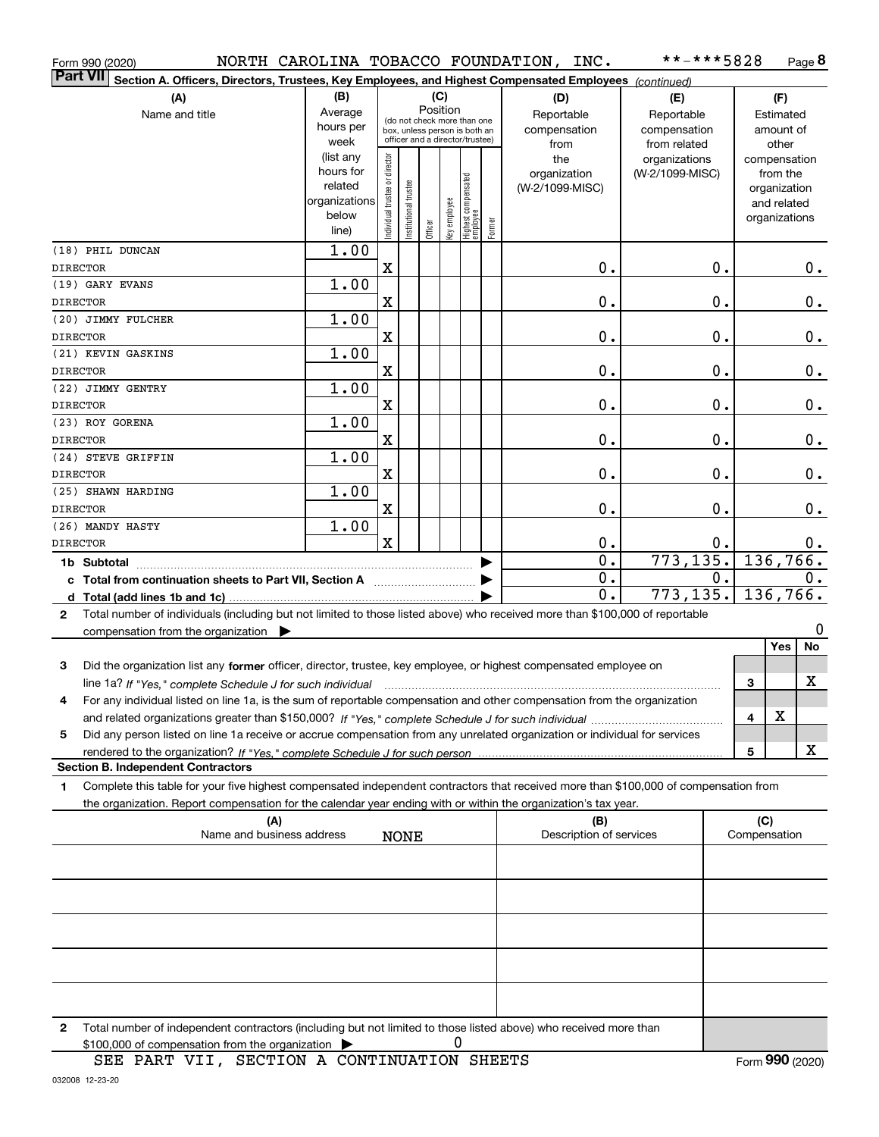| Form 990 (2020)                                                                                                                              |                      |                                |                                                              |          |              |                                   |        | NORTH CAROLINA TOBACCO FOUNDATION, INC. | **-***5828      |     |                              | Page 8        |
|----------------------------------------------------------------------------------------------------------------------------------------------|----------------------|--------------------------------|--------------------------------------------------------------|----------|--------------|-----------------------------------|--------|-----------------------------------------|-----------------|-----|------------------------------|---------------|
| <b>Part VII</b><br>Section A. Officers, Directors, Trustees, Key Employees, and Highest Compensated Employees (continued)                    |                      |                                |                                                              |          |              |                                   |        |                                         |                 |     |                              |               |
| (A)                                                                                                                                          | (B)                  |                                |                                                              |          | (C)          |                                   |        | (D)                                     | (E)             |     | (F)                          |               |
| Name and title                                                                                                                               | Average              |                                |                                                              | Position |              |                                   |        | Reportable                              | Reportable      |     | Estimated                    |               |
|                                                                                                                                              | hours per            |                                | (do not check more than one<br>box, unless person is both an |          |              |                                   |        | compensation                            | compensation    |     | amount of                    |               |
|                                                                                                                                              | week                 |                                |                                                              |          |              | officer and a director/trustee)   |        | from                                    | from related    |     | other                        |               |
|                                                                                                                                              | (list any            |                                |                                                              |          |              |                                   |        | the                                     | organizations   |     | compensation                 |               |
|                                                                                                                                              | hours for<br>related |                                |                                                              |          |              |                                   |        | organization                            | (W-2/1099-MISC) |     | from the                     |               |
|                                                                                                                                              | organizations        |                                |                                                              |          |              |                                   |        | (W-2/1099-MISC)                         |                 |     | organization                 |               |
|                                                                                                                                              | below                |                                |                                                              |          |              |                                   |        |                                         |                 |     | and related<br>organizations |               |
|                                                                                                                                              | line)                | Individual trustee or director | Institutional trustee                                        | Officer  | Key employee | Highest compensated<br>  employee | Former |                                         |                 |     |                              |               |
| (18) PHIL DUNCAN                                                                                                                             | 1.00                 |                                |                                                              |          |              |                                   |        |                                         |                 |     |                              |               |
| <b>DIRECTOR</b>                                                                                                                              |                      | X                              |                                                              |          |              |                                   |        | 0.                                      | 0.              |     |                              | 0.            |
| (19) GARY EVANS                                                                                                                              | 1.00                 |                                |                                                              |          |              |                                   |        |                                         |                 |     |                              |               |
| <b>DIRECTOR</b>                                                                                                                              |                      | X                              |                                                              |          |              |                                   |        | $\mathbf 0$ .                           | $\mathbf 0$ .   |     |                              | $0$ .         |
| (20) JIMMY FULCHER                                                                                                                           | 1.00                 |                                |                                                              |          |              |                                   |        |                                         |                 |     |                              |               |
| <b>DIRECTOR</b>                                                                                                                              |                      | X                              |                                                              |          |              |                                   |        | $\mathbf 0$ .                           | 0.              |     |                              | $\mathbf 0$ . |
| (21) KEVIN GASKINS                                                                                                                           | 1.00                 |                                |                                                              |          |              |                                   |        |                                         |                 |     |                              |               |
| <b>DIRECTOR</b>                                                                                                                              |                      | X                              |                                                              |          |              |                                   |        | 0.                                      | $\mathbf 0$ .   |     |                              | $0$ .         |
| (22) JIMMY GENTRY                                                                                                                            | 1.00                 |                                |                                                              |          |              |                                   |        |                                         |                 |     |                              |               |
| <b>DIRECTOR</b>                                                                                                                              |                      | X                              |                                                              |          |              |                                   |        | $\mathbf 0$ .                           | $\mathbf 0$ .   |     |                              | 0.            |
| (23) ROY GORENA                                                                                                                              | 1.00                 |                                |                                                              |          |              |                                   |        |                                         |                 |     |                              |               |
| <b>DIRECTOR</b>                                                                                                                              |                      | X                              |                                                              |          |              |                                   |        | $\mathbf 0$ .                           | $\mathbf 0$ .   |     |                              | $\mathbf 0$ . |
| (24) STEVE GRIFFIN                                                                                                                           | 1.00                 |                                |                                                              |          |              |                                   |        |                                         |                 |     |                              |               |
| <b>DIRECTOR</b>                                                                                                                              |                      | X                              |                                                              |          |              |                                   |        | 0.                                      | $\mathbf 0$ .   |     |                              | $\mathbf 0$ . |
| (25) SHAWN HARDING                                                                                                                           | 1.00                 |                                |                                                              |          |              |                                   |        |                                         |                 |     |                              |               |
| <b>DIRECTOR</b>                                                                                                                              |                      | X                              |                                                              |          |              |                                   |        | 0.                                      | $\mathbf 0$ .   |     |                              | $\mathbf 0$ . |
| (26) MANDY HASTY                                                                                                                             | 1.00                 |                                |                                                              |          |              |                                   |        |                                         |                 |     |                              |               |
| <b>DIRECTOR</b>                                                                                                                              |                      | $\mathbf x$                    |                                                              |          |              |                                   |        | $\mathbf 0$ .                           | Ο.              |     |                              | 0.            |
| 1b Subtotal                                                                                                                                  |                      |                                |                                                              |          |              |                                   |        | $\overline{\mathfrak{o}}$ .             | 773, 135.       |     |                              | 136,766.      |
| c Total from continuation sheets to Part VII, Section A [ [ [ [ [ [ ] ] ]                                                                    |                      |                                |                                                              |          |              |                                   |        | $\overline{0}$ .                        | 0.              |     |                              | 0.            |
|                                                                                                                                              |                      |                                |                                                              |          |              |                                   |        | $\overline{0}$ .                        | 773, 135.       |     |                              | 136,766.      |
| Total number of individuals (including but not limited to those listed above) who received more than \$100,000 of reportable<br>$\mathbf{2}$ |                      |                                |                                                              |          |              |                                   |        |                                         |                 |     |                              |               |
| compensation from the organization                                                                                                           |                      |                                |                                                              |          |              |                                   |        |                                         |                 |     |                              | 0             |
|                                                                                                                                              |                      |                                |                                                              |          |              |                                   |        |                                         |                 |     | Yes                          | No            |
| Did the organization list any former officer, director, trustee, key employee, or highest compensated employee on<br>3                       |                      |                                |                                                              |          |              |                                   |        |                                         |                 |     |                              |               |
| line 1a? If "Yes," complete Schedule J for such individual manufactured contained and the Schedule Schedule J for such individual            |                      |                                |                                                              |          |              |                                   |        |                                         |                 | з   |                              | х             |
| For any individual listed on line 1a, is the sum of reportable compensation and other compensation from the organization<br>4                |                      |                                |                                                              |          |              |                                   |        |                                         |                 |     |                              |               |
|                                                                                                                                              |                      |                                |                                                              |          |              |                                   |        |                                         |                 | 4   | X                            |               |
| Did any person listed on line 1a receive or accrue compensation from any unrelated organization or individual for services<br>5              |                      |                                |                                                              |          |              |                                   |        |                                         |                 |     |                              |               |
|                                                                                                                                              |                      |                                |                                                              |          |              |                                   |        |                                         |                 | 5   |                              | x             |
| <b>Section B. Independent Contractors</b>                                                                                                    |                      |                                |                                                              |          |              |                                   |        |                                         |                 |     |                              |               |
| Complete this table for your five highest compensated independent contractors that received more than \$100,000 of compensation from<br>1    |                      |                                |                                                              |          |              |                                   |        |                                         |                 |     |                              |               |
| the organization. Report compensation for the calendar year ending with or within the organization's tax year.                               |                      |                                |                                                              |          |              |                                   |        |                                         |                 |     |                              |               |
| (A)                                                                                                                                          |                      |                                |                                                              |          |              |                                   |        | (B)                                     |                 | (C) |                              |               |
| Name and business address<br>Description of services<br>Compensation<br><b>NONE</b>                                                          |                      |                                |                                                              |          |              |                                   |        |                                         |                 |     |                              |               |
|                                                                                                                                              |                      |                                |                                                              |          |              |                                   |        |                                         |                 |     |                              |               |
|                                                                                                                                              |                      |                                |                                                              |          |              |                                   |        |                                         |                 |     |                              |               |
|                                                                                                                                              |                      |                                |                                                              |          |              |                                   |        |                                         |                 |     |                              |               |
|                                                                                                                                              |                      |                                |                                                              |          |              |                                   |        |                                         |                 |     |                              |               |
|                                                                                                                                              |                      |                                |                                                              |          |              |                                   |        |                                         |                 |     |                              |               |
|                                                                                                                                              |                      |                                |                                                              |          |              |                                   |        |                                         |                 |     |                              |               |
|                                                                                                                                              |                      |                                |                                                              |          |              |                                   |        |                                         |                 |     |                              |               |
|                                                                                                                                              |                      |                                |                                                              |          |              |                                   |        |                                         |                 |     |                              |               |
|                                                                                                                                              |                      |                                |                                                              |          |              |                                   |        |                                         |                 |     |                              |               |
|                                                                                                                                              |                      |                                |                                                              |          |              |                                   |        |                                         |                 |     |                              |               |

**2**Total number of independent contractors (including but not limited to those listed above) who received more than  $$100,000$  of compensation from the organization  $\qquad \blacktriangleright$   $\qquad \qquad 0$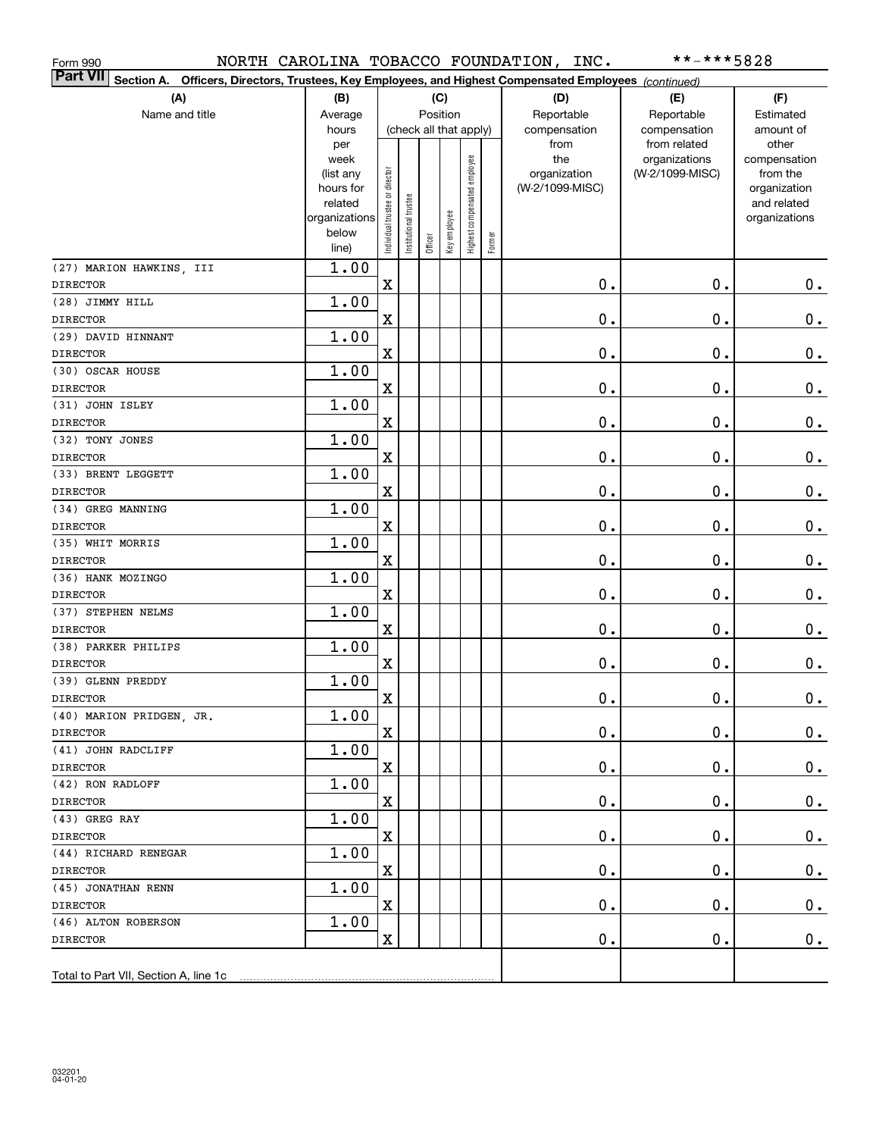| Form 990                                                                                                                  |               |                                |                       |                        |              |                              |        | NORTH CAROLINA TOBACCO FOUNDATION, INC. | **-***5828                    |                       |
|---------------------------------------------------------------------------------------------------------------------------|---------------|--------------------------------|-----------------------|------------------------|--------------|------------------------------|--------|-----------------------------------------|-------------------------------|-----------------------|
| <b>Part VII</b><br>Section A. Officers, Directors, Trustees, Key Employees, and Highest Compensated Employees (continued) |               |                                |                       |                        |              |                              |        |                                         |                               |                       |
| (A)                                                                                                                       | (B)           |                                |                       | (C)                    |              |                              |        | (D)                                     | (E)                           | (F)                   |
| Name and title                                                                                                            | Average       |                                |                       | Position               |              |                              |        | Reportable                              | Reportable                    | Estimated             |
|                                                                                                                           | hours         |                                |                       | (check all that apply) |              |                              |        | compensation                            | compensation                  | amount of             |
|                                                                                                                           | per<br>week   |                                |                       |                        |              |                              |        | from<br>the                             | from related<br>organizations | other<br>compensation |
|                                                                                                                           | (list any     |                                |                       |                        |              |                              |        | organization                            | (W-2/1099-MISC)               | from the              |
|                                                                                                                           | hours for     |                                |                       |                        |              |                              |        | (W-2/1099-MISC)                         |                               | organization          |
|                                                                                                                           | related       |                                |                       |                        |              |                              |        |                                         |                               | and related           |
|                                                                                                                           | organizations | Individual trustee or director | Institutional trustee |                        | Key employee | Highest compensated employee |        |                                         |                               | organizations         |
|                                                                                                                           | below         |                                |                       | Officer                |              |                              | Former |                                         |                               |                       |
|                                                                                                                           | line)         |                                |                       |                        |              |                              |        |                                         |                               |                       |
| (27) MARION HAWKINS, III                                                                                                  | 1.00          |                                |                       |                        |              |                              |        |                                         |                               |                       |
| <b>DIRECTOR</b>                                                                                                           |               | $\mathbf X$                    |                       |                        |              |                              |        | $\mathbf 0$ .                           | 0.                            | $0_{.}$               |
| (28) JIMMY HILL                                                                                                           | 1.00          |                                |                       |                        |              |                              |        |                                         |                               |                       |
| <b>DIRECTOR</b>                                                                                                           |               | $\mathbf X$                    |                       |                        |              |                              |        | $\mathbf 0$ .                           | 0.                            | $0_{.}$               |
| (29) DAVID HINNANT                                                                                                        | 1.00          |                                |                       |                        |              |                              |        |                                         |                               |                       |
| <b>DIRECTOR</b>                                                                                                           |               | $\mathbf X$                    |                       |                        |              |                              |        | $\mathbf 0$ .                           | 0.                            | $0_{.}$               |
| (30) OSCAR HOUSE                                                                                                          | 1.00          |                                |                       |                        |              |                              |        |                                         |                               |                       |
| <b>DIRECTOR</b>                                                                                                           |               | $\mathbf X$                    |                       |                        |              |                              |        | $\mathbf 0$ .                           | 0.                            | $\mathbf 0$ .         |
| (31) JOHN ISLEY                                                                                                           | 1.00          |                                |                       |                        |              |                              |        |                                         |                               |                       |
| <b>DIRECTOR</b>                                                                                                           |               | $\mathbf X$                    |                       |                        |              |                              |        | $\mathbf 0$ .                           | 0.                            | $\mathbf 0$ .         |
| (32) TONY JONES                                                                                                           | 1.00          |                                |                       |                        |              |                              |        |                                         |                               |                       |
| <b>DIRECTOR</b>                                                                                                           |               | $\mathbf X$                    |                       |                        |              |                              |        | $\mathbf 0$ .                           | 0.                            | $\mathbf 0$ .         |
| (33) BRENT LEGGETT                                                                                                        | 1.00          |                                |                       |                        |              |                              |        |                                         |                               |                       |
| <b>DIRECTOR</b>                                                                                                           |               | $\mathbf X$                    |                       |                        |              |                              |        | $\mathbf 0$ .                           | 0.                            | $0_{.}$               |
| (34) GREG MANNING                                                                                                         | 1.00          |                                |                       |                        |              |                              |        |                                         |                               |                       |
| <b>DIRECTOR</b>                                                                                                           |               | $\mathbf X$                    |                       |                        |              |                              |        | $\mathbf 0$ .                           | 0.                            | $0_{.}$               |
| (35) WHIT MORRIS                                                                                                          | 1.00          | $\mathbf X$                    |                       |                        |              |                              |        | $\mathbf 0$ .                           | 0.                            |                       |
| <b>DIRECTOR</b><br>(36) HANK MOZINGO                                                                                      | 1.00          |                                |                       |                        |              |                              |        |                                         |                               | $0_{.}$               |
| <b>DIRECTOR</b>                                                                                                           |               | $\mathbf X$                    |                       |                        |              |                              |        | $\mathbf 0$ .                           | 0.                            | 0.                    |
| (37) STEPHEN NELMS                                                                                                        | 1.00          |                                |                       |                        |              |                              |        |                                         |                               |                       |
| <b>DIRECTOR</b>                                                                                                           |               | $\mathbf X$                    |                       |                        |              |                              |        | $\mathbf 0$ .                           | 0.                            | 0.                    |
| (38) PARKER PHILIPS                                                                                                       | 1.00          |                                |                       |                        |              |                              |        |                                         |                               |                       |
| <b>DIRECTOR</b>                                                                                                           |               | $\mathbf X$                    |                       |                        |              |                              |        | 0.                                      | $\mathbf 0$ .                 | 0.                    |
| (39) GLENN PREDDY                                                                                                         | 1.00          |                                |                       |                        |              |                              |        |                                         |                               |                       |
| DIRECTOR                                                                                                                  |               | X                              |                       |                        |              |                              |        | $\mathbf 0$ .                           | $\mathbf 0$ .                 | $\pmb{0}$ .           |
| (40) MARION PRIDGEN, JR.                                                                                                  | 1.00          |                                |                       |                        |              |                              |        |                                         |                               |                       |
| <b>DIRECTOR</b>                                                                                                           |               | X                              |                       |                        |              |                              |        | $\mathbf 0$ .                           | 0.                            | $0\cdot$              |
| (41) JOHN RADCLIFF                                                                                                        | 1.00          |                                |                       |                        |              |                              |        |                                         |                               |                       |
| <b>DIRECTOR</b>                                                                                                           |               | X                              |                       |                        |              |                              |        | О.                                      | $\mathbf 0$ .                 | $0\,.$                |
| (42) RON RADLOFF                                                                                                          | 1.00          |                                |                       |                        |              |                              |        |                                         |                               |                       |
| <b>DIRECTOR</b>                                                                                                           |               | X                              |                       |                        |              |                              |        | О.                                      | $\mathbf 0$ .                 | 0.                    |
| (43) GREG RAY                                                                                                             | 1.00          |                                |                       |                        |              |                              |        |                                         |                               |                       |
| <b>DIRECTOR</b>                                                                                                           |               | X                              |                       |                        |              |                              |        | О.                                      | $\mathbf 0$ .                 | $0\,.$                |
| (44) RICHARD RENEGAR                                                                                                      | 1.00          |                                |                       |                        |              |                              |        |                                         |                               |                       |
| <b>DIRECTOR</b>                                                                                                           |               | X                              |                       |                        |              |                              |        | О.                                      | $\mathbf 0$ .                 | $0\,.$                |
| (45) JONATHAN RENN                                                                                                        | 1.00          |                                |                       |                        |              |                              |        |                                         |                               |                       |
| <b>DIRECTOR</b>                                                                                                           |               | X                              |                       |                        |              |                              |        | О.                                      | $\mathbf 0$ .                 | $0\,.$                |
| (46) ALTON ROBERSON                                                                                                       | 1.00          |                                |                       |                        |              |                              |        |                                         |                               |                       |
| <b>DIRECTOR</b>                                                                                                           |               | X                              |                       |                        |              |                              |        | $\mathbf 0$ .                           | $\mathbf 0$ .                 | 0.                    |
|                                                                                                                           |               |                                |                       |                        |              |                              |        |                                         |                               |                       |
| Total to Part VII, Section A, line 1c                                                                                     |               |                                |                       |                        |              |                              |        |                                         |                               |                       |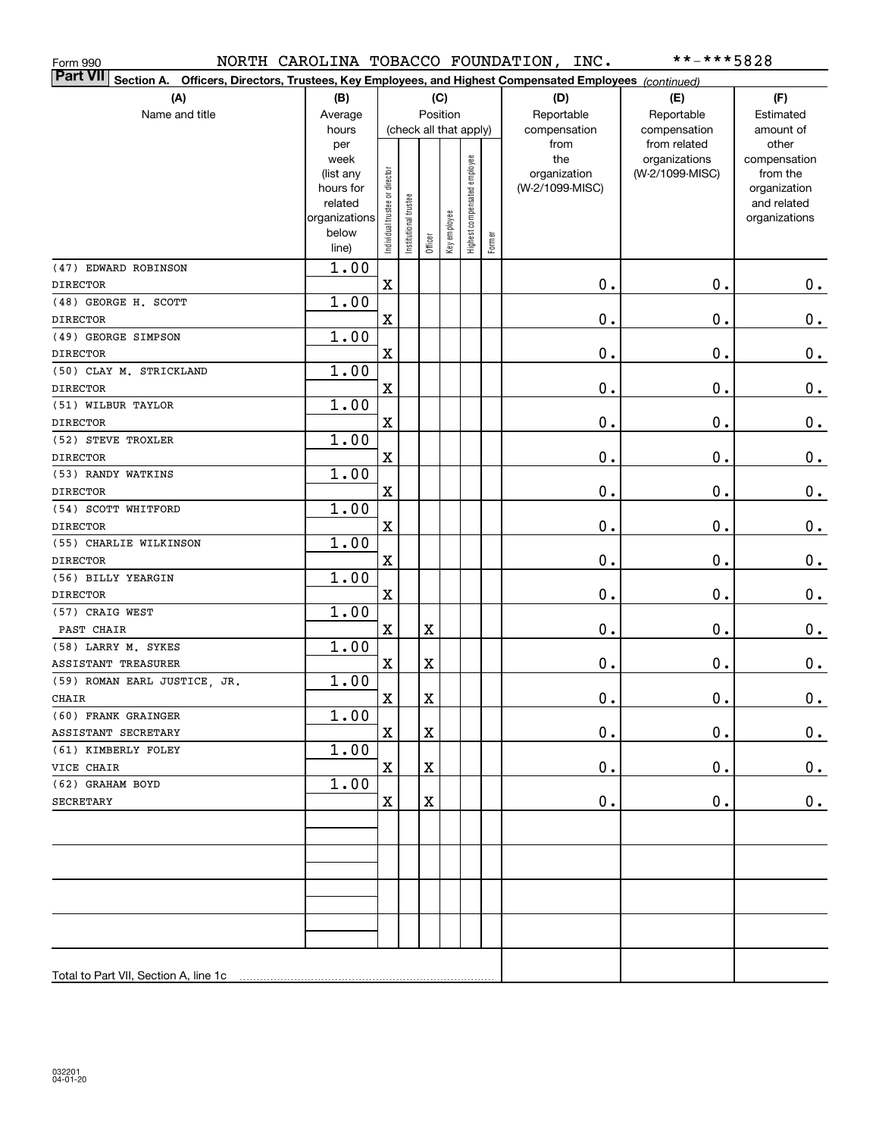| Form 990                                                                                                                  |               |                                |                                    |             |              |                              |        | NORTH CAROLINA TOBACCO FOUNDATION, INC. | **-***5828                    |                       |
|---------------------------------------------------------------------------------------------------------------------------|---------------|--------------------------------|------------------------------------|-------------|--------------|------------------------------|--------|-----------------------------------------|-------------------------------|-----------------------|
| <b>Part VII</b><br>Section A. Officers, Directors, Trustees, Key Employees, and Highest Compensated Employees (continued) |               |                                |                                    |             |              |                              |        |                                         |                               |                       |
| (A)                                                                                                                       | (B)           |                                |                                    |             | (C)          |                              |        | (D)                                     | (E)                           | (F)                   |
| Name and title                                                                                                            | Average       |                                | Position<br>(check all that apply) |             |              |                              |        | Reportable                              | Reportable                    | Estimated             |
|                                                                                                                           | hours         |                                |                                    |             |              |                              |        | compensation                            | compensation                  | amount of             |
|                                                                                                                           | per<br>week   |                                |                                    |             |              |                              |        | from<br>the                             | from related<br>organizations | other<br>compensation |
|                                                                                                                           | (list any     |                                |                                    |             |              |                              |        | organization                            | (W-2/1099-MISC)               | from the              |
|                                                                                                                           | hours for     |                                |                                    |             |              |                              |        | (W-2/1099-MISC)                         |                               | organization          |
|                                                                                                                           | related       |                                |                                    |             |              |                              |        |                                         |                               | and related           |
|                                                                                                                           | organizations |                                |                                    |             |              |                              |        |                                         |                               | organizations         |
|                                                                                                                           | below         | Individual trustee or director | Institutional trustee              | Officer     | Key employee | Highest compensated employee | Former |                                         |                               |                       |
|                                                                                                                           | line)         |                                |                                    |             |              |                              |        |                                         |                               |                       |
| (47) EDWARD ROBINSON<br><b>DIRECTOR</b>                                                                                   | 1.00          | $\mathbf X$                    |                                    |             |              |                              |        | $\mathbf 0$ .                           | 0.                            | 0.                    |
| (48) GEORGE H. SCOTT                                                                                                      | 1.00          |                                |                                    |             |              |                              |        |                                         |                               |                       |
| <b>DIRECTOR</b>                                                                                                           |               | $\mathbf X$                    |                                    |             |              |                              |        | $\mathbf 0$ .                           | 0.                            | $\mathbf 0$ .         |
| (49) GEORGE SIMPSON                                                                                                       | 1.00          |                                |                                    |             |              |                              |        |                                         |                               |                       |
| <b>DIRECTOR</b>                                                                                                           |               | $\mathbf X$                    |                                    |             |              |                              |        | $\mathbf 0$ .                           | 0.                            | $\mathbf 0$ .         |
| (50) CLAY M. STRICKLAND                                                                                                   | 1.00          |                                |                                    |             |              |                              |        |                                         |                               |                       |
| <b>DIRECTOR</b>                                                                                                           |               | $\mathbf X$                    |                                    |             |              |                              |        | $\mathbf 0$ .                           | 0.                            | $\mathbf 0$ .         |
| (51) WILBUR TAYLOR                                                                                                        | 1.00          |                                |                                    |             |              |                              |        |                                         |                               |                       |
| <b>DIRECTOR</b>                                                                                                           |               | $\mathbf X$                    |                                    |             |              |                              |        | $\mathbf 0$ .                           | 0.                            | $\mathbf 0$ .         |
| (52) STEVE TROXLER                                                                                                        | 1.00          |                                |                                    |             |              |                              |        |                                         |                               |                       |
| <b>DIRECTOR</b>                                                                                                           |               | $\mathbf X$                    |                                    |             |              |                              |        | $\mathbf 0$ .                           | 0.                            | $\mathbf 0$ .         |
| (53) RANDY WATKINS                                                                                                        | 1.00          |                                |                                    |             |              |                              |        |                                         |                               |                       |
| <b>DIRECTOR</b>                                                                                                           |               | $\mathbf X$                    |                                    |             |              |                              |        | $\mathbf 0$ .                           | 0.                            | $\mathbf 0$ .         |
| (54) SCOTT WHITFORD                                                                                                       | 1.00          |                                |                                    |             |              |                              |        |                                         |                               |                       |
| <b>DIRECTOR</b>                                                                                                           |               | $\mathbf X$                    |                                    |             |              |                              |        | $\mathbf 0$ .                           | 0.                            | 0.                    |
| (55) CHARLIE WILKINSON                                                                                                    | 1.00          |                                |                                    |             |              |                              |        |                                         |                               |                       |
| <b>DIRECTOR</b>                                                                                                           |               | $\mathbf X$                    |                                    |             |              |                              |        | $\mathbf 0$ .                           | 0.                            | 0.                    |
| (56) BILLY YEARGIN                                                                                                        | 1.00          |                                |                                    |             |              |                              |        |                                         |                               |                       |
| <b>DIRECTOR</b>                                                                                                           |               | $\mathbf X$                    |                                    |             |              |                              |        | $\mathbf 0$ .                           | 0.                            | 0.                    |
| (57) CRAIG WEST                                                                                                           | 1.00          |                                |                                    |             |              |                              |        |                                         |                               |                       |
| PAST CHAIR                                                                                                                |               | $\mathbf X$                    |                                    | $\mathbf X$ |              |                              |        | $\mathbf 0$ .                           | 0.                            | $\mathbf 0$ .         |
| (58) LARRY M. SYKES                                                                                                       | 1.00          |                                |                                    |             |              |                              |        |                                         |                               |                       |
| ASSISTANT TREASURER                                                                                                       |               | X                              |                                    | $\mathbf X$ |              |                              |        | 0.                                      | 0.                            | $0_{.}$               |
| (59) ROMAN EARL JUSTICE, JR.                                                                                              | 1.00          |                                |                                    |             |              |                              |        | $\mathbf 0$ .                           | $0$ .                         |                       |
| CHAIR<br>(60) FRANK GRAINGER                                                                                              | 1.00          | X                              |                                    | X           |              |                              |        |                                         |                               | 0.                    |
| ASSISTANT SECRETARY                                                                                                       |               | X                              |                                    | X           |              |                              |        | $\mathbf 0$ .                           | $\mathbf 0$ .                 | $0_{.}$               |
| (61) KIMBERLY FOLEY                                                                                                       | 1.00          |                                |                                    |             |              |                              |        |                                         |                               |                       |
| VICE CHAIR                                                                                                                |               | $\mathbf X$                    |                                    | $\mathbf X$ |              |                              |        | $\mathbf 0$ .                           | $\mathbf 0$ .                 | 0.                    |
| (62) GRAHAM BOYD                                                                                                          | 1.00          |                                |                                    |             |              |                              |        |                                         |                               |                       |
| SECRETARY                                                                                                                 |               | X                              |                                    | $\mathbf X$ |              |                              |        | $\mathbf 0$ .                           | 0.                            | $0$ .                 |
|                                                                                                                           |               |                                |                                    |             |              |                              |        |                                         |                               |                       |
|                                                                                                                           |               |                                |                                    |             |              |                              |        |                                         |                               |                       |
|                                                                                                                           |               |                                |                                    |             |              |                              |        |                                         |                               |                       |
|                                                                                                                           |               |                                |                                    |             |              |                              |        |                                         |                               |                       |
|                                                                                                                           |               |                                |                                    |             |              |                              |        |                                         |                               |                       |
|                                                                                                                           |               |                                |                                    |             |              |                              |        |                                         |                               |                       |
|                                                                                                                           |               |                                |                                    |             |              |                              |        |                                         |                               |                       |
|                                                                                                                           |               |                                |                                    |             |              |                              |        |                                         |                               |                       |
|                                                                                                                           |               |                                |                                    |             |              |                              |        |                                         |                               |                       |
|                                                                                                                           |               |                                |                                    |             |              |                              |        |                                         |                               |                       |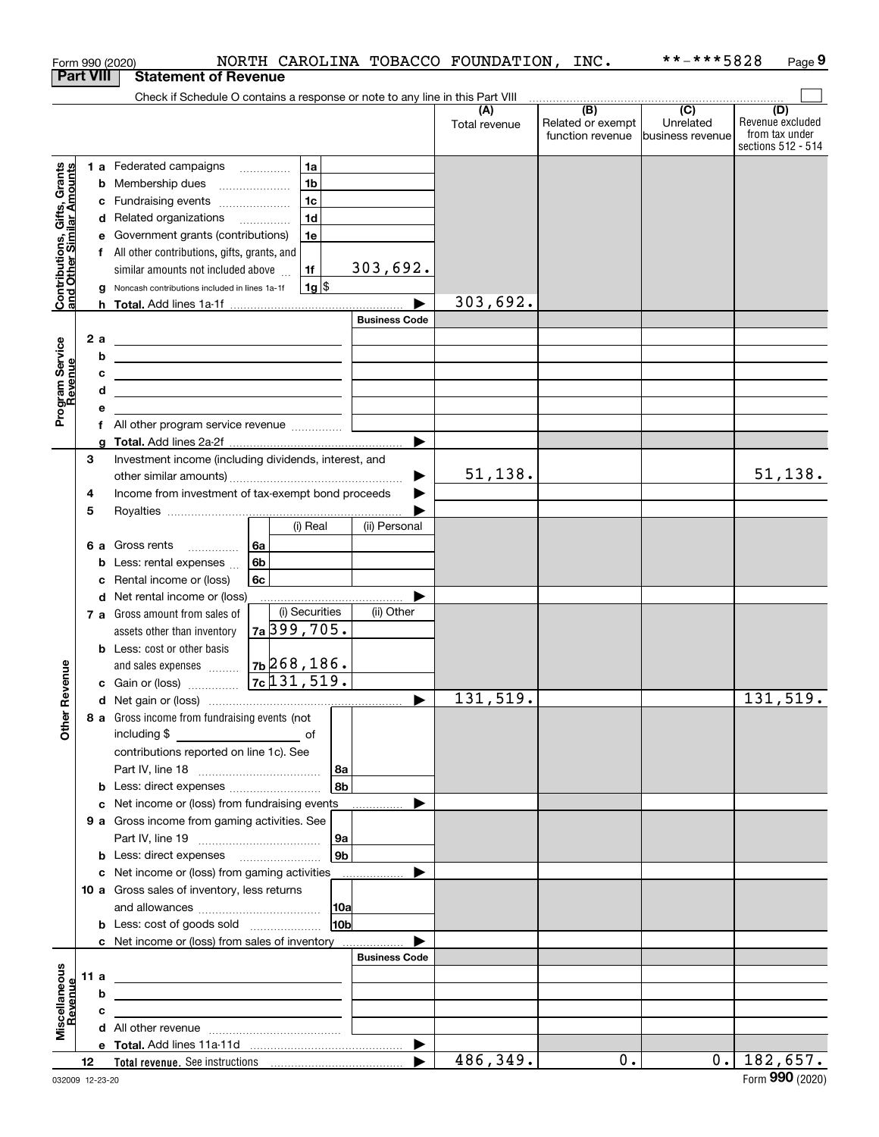|                                                           |                  |   | NORTH CAROLINA TOBACCO FOUNDATION,<br>Form 990 (2020)                                                                  |                       |                      | INC.                                         | **-***5828                                        | Page 9                                                          |
|-----------------------------------------------------------|------------------|---|------------------------------------------------------------------------------------------------------------------------|-----------------------|----------------------|----------------------------------------------|---------------------------------------------------|-----------------------------------------------------------------|
|                                                           | <b>Part VIII</b> |   | <b>Statement of Revenue</b>                                                                                            |                       |                      |                                              |                                                   |                                                                 |
|                                                           |                  |   | Check if Schedule O contains a response or note to any line in this Part VIII                                          |                       |                      |                                              |                                                   |                                                                 |
|                                                           |                  |   |                                                                                                                        |                       | (A)<br>Total revenue | (B)<br>Related or exempt<br>function revenue | $\overline{(C)}$<br>Unrelated<br>business revenue | (D)<br>Revenue excluded<br>from tax under<br>sections 512 - 514 |
|                                                           |                  |   | 1 a Federated campaigns<br>1a                                                                                          |                       |                      |                                              |                                                   |                                                                 |
| Contributions, Gifts, Grants<br>and Other Similar Amounts |                  |   | 1 <sub>b</sub><br><b>b</b> Membership dues                                                                             |                       |                      |                                              |                                                   |                                                                 |
|                                                           |                  |   | 1 <sub>c</sub><br>c Fundraising events                                                                                 |                       |                      |                                              |                                                   |                                                                 |
|                                                           |                  |   | 1 <sub>d</sub><br>d Related organizations                                                                              |                       |                      |                                              |                                                   |                                                                 |
|                                                           |                  |   | e Government grants (contributions)<br>1e                                                                              |                       |                      |                                              |                                                   |                                                                 |
|                                                           |                  |   | f All other contributions, gifts, grants, and                                                                          |                       |                      |                                              |                                                   |                                                                 |
|                                                           |                  |   | similar amounts not included above<br>1f                                                                               | 303,692.              |                      |                                              |                                                   |                                                                 |
|                                                           |                  | a | $1g$ \$<br>Noncash contributions included in lines 1a-1f                                                               |                       |                      |                                              |                                                   |                                                                 |
|                                                           |                  |   |                                                                                                                        |                       | 303,692.             |                                              |                                                   |                                                                 |
|                                                           |                  |   |                                                                                                                        | <b>Business Code</b>  |                      |                                              |                                                   |                                                                 |
|                                                           | 2 a              |   | <u> 1989 - Johann Stein, marwolaethau a bhann an t-Albann an t-Albann an t-Albann an t-Albann an t-Albann an t-Alb</u> |                       |                      |                                              |                                                   |                                                                 |
|                                                           |                  | b | <u> 1989 - Andrea Stadt Britain, amerikansk politik (</u>                                                              |                       |                      |                                              |                                                   |                                                                 |
|                                                           |                  | c | <u> 1989 - Andrea Stadt Britain, amerikansk politik (</u>                                                              |                       |                      |                                              |                                                   |                                                                 |
|                                                           |                  | d | <u> 1989 - Johann Barn, fransk politik (f. 1989)</u>                                                                   |                       |                      |                                              |                                                   |                                                                 |
| Program Service<br>Revenue                                |                  | e |                                                                                                                        |                       |                      |                                              |                                                   |                                                                 |
|                                                           |                  |   | f All other program service revenue                                                                                    |                       |                      |                                              |                                                   |                                                                 |
|                                                           | З                | a |                                                                                                                        |                       |                      |                                              |                                                   |                                                                 |
|                                                           |                  |   | Investment income (including dividends, interest, and                                                                  |                       | 51, 138.             |                                              |                                                   | 51,138.                                                         |
|                                                           | 4                |   | Income from investment of tax-exempt bond proceeds                                                                     |                       |                      |                                              |                                                   |                                                                 |
|                                                           | 5                |   |                                                                                                                        |                       |                      |                                              |                                                   |                                                                 |
|                                                           |                  |   | (i) Real                                                                                                               | (ii) Personal         |                      |                                              |                                                   |                                                                 |
|                                                           |                  |   | <b>6 a</b> Gross rents<br>6a                                                                                           |                       |                      |                                              |                                                   |                                                                 |
|                                                           |                  |   | 6b<br><b>b</b> Less: rental expenses $\ldots$                                                                          |                       |                      |                                              |                                                   |                                                                 |
|                                                           |                  |   | c Rental income or (loss)<br>6c                                                                                        |                       |                      |                                              |                                                   |                                                                 |
|                                                           |                  |   | d Net rental income or (loss)                                                                                          |                       |                      |                                              |                                                   |                                                                 |
|                                                           |                  |   | (i) Securities<br>7 a Gross amount from sales of                                                                       | (ii) Other            |                      |                                              |                                                   |                                                                 |
|                                                           |                  |   | 7a 399, 705.<br>assets other than inventory                                                                            |                       |                      |                                              |                                                   |                                                                 |
|                                                           |                  |   | <b>b</b> Less: cost or other basis                                                                                     |                       |                      |                                              |                                                   |                                                                 |
|                                                           |                  |   | $7b$ 268, 186.<br>and sales expenses                                                                                   |                       |                      |                                              |                                                   |                                                                 |
| evenue                                                    |                  |   | $7c$ $131, 519.$<br>c Gain or (loss)                                                                                   |                       |                      |                                              |                                                   |                                                                 |
|                                                           |                  |   |                                                                                                                        |                       | 131,519.             |                                              |                                                   | 131,519.                                                        |
| Other R                                                   |                  |   | 8 a Gross income from fundraising events (not                                                                          |                       |                      |                                              |                                                   |                                                                 |
|                                                           |                  |   | including \$                                                                                                           |                       |                      |                                              |                                                   |                                                                 |
|                                                           |                  |   | contributions reported on line 1c). See                                                                                |                       |                      |                                              |                                                   |                                                                 |
|                                                           |                  |   | 8a                                                                                                                     |                       |                      |                                              |                                                   |                                                                 |
|                                                           |                  |   | 8b<br><b>b</b> Less: direct expenses                                                                                   |                       |                      |                                              |                                                   |                                                                 |
|                                                           |                  |   | c Net income or (loss) from fundraising events                                                                         |                       |                      |                                              |                                                   |                                                                 |
|                                                           |                  |   | 9 a Gross income from gaming activities. See                                                                           |                       |                      |                                              |                                                   |                                                                 |
|                                                           |                  |   | ∣9a                                                                                                                    |                       |                      |                                              |                                                   |                                                                 |
|                                                           |                  |   | <b>b</b> Less: direct expenses <b>manually contained</b>                                                               | 9b                    |                      |                                              |                                                   |                                                                 |
|                                                           |                  |   | c Net income or (loss) from gaming activities<br>10 a Gross sales of inventory, less returns                           |                       |                      |                                              |                                                   |                                                                 |
|                                                           |                  |   |                                                                                                                        |                       |                      |                                              |                                                   |                                                                 |
|                                                           |                  |   | <b>b</b> Less: cost of goods sold                                                                                      | 10 <sub>b</sub>       |                      |                                              |                                                   |                                                                 |
|                                                           |                  |   | c Net income or (loss) from sales of inventory                                                                         |                       |                      |                                              |                                                   |                                                                 |
|                                                           |                  |   |                                                                                                                        | <b>Business Code</b>  |                      |                                              |                                                   |                                                                 |
|                                                           | 11 a             |   | <u> 1989 - Johann John Stein, fransk politik (d. 1989)</u>                                                             |                       |                      |                                              |                                                   |                                                                 |
|                                                           |                  | b | <u> 1989 - Johann John Stone, markin fan it ferstjer fan de ferstjer fan it ferstjer fan de ferstjer fan it fers</u>   |                       |                      |                                              |                                                   |                                                                 |
| Miscellaneous<br>Revenue                                  |                  | с |                                                                                                                        |                       |                      |                                              |                                                   |                                                                 |
|                                                           |                  |   |                                                                                                                        |                       |                      |                                              |                                                   |                                                                 |
|                                                           |                  |   |                                                                                                                        |                       |                      |                                              |                                                   |                                                                 |
|                                                           | 12               |   |                                                                                                                        | $\blacktriangleright$ | 486,349.             | $0$ .                                        | 0.1                                               | 182,657.                                                        |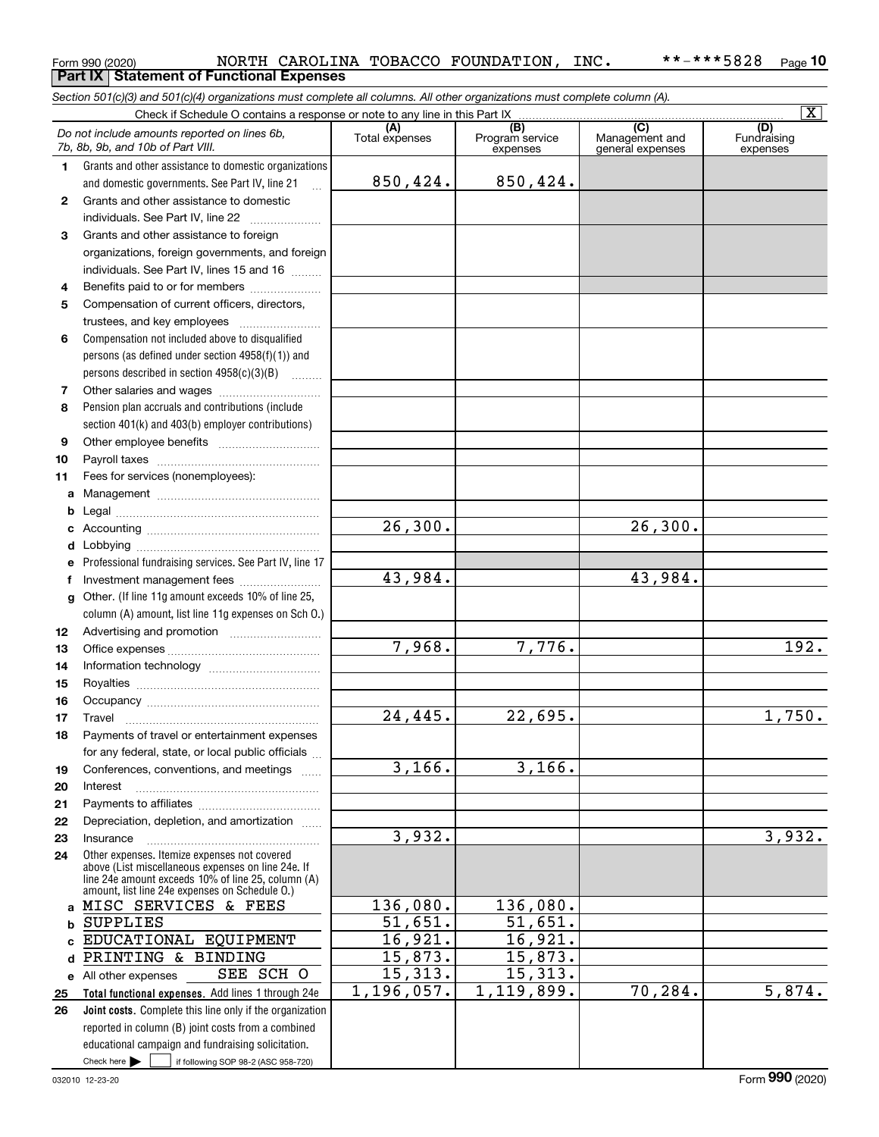### Form 990 (2020) NORTH CAROLINA TOBACCO FOUNDATION,INC. \*\*-\*\*\*5828 <sub>Page</sub> **10 Part IX Statement of Functional Expenses**

*Section 501(c)(3) and 501(c)(4) organizations must complete all columns. All other organizations must complete column (A).*

|              | $\overline{\mathbf{x}}$<br>Check if Schedule O contains a response or note to any line in this Part IX |                       |                                    |                                           |                                |  |
|--------------|--------------------------------------------------------------------------------------------------------|-----------------------|------------------------------------|-------------------------------------------|--------------------------------|--|
|              | Do not include amounts reported on lines 6b,<br>7b, 8b, 9b, and 10b of Part VIII.                      | (A)<br>Total expenses | (B)<br>Program service<br>expenses | (C)<br>Management and<br>general expenses | (D)<br>Fundraising<br>expenses |  |
| 1.           | Grants and other assistance to domestic organizations                                                  |                       |                                    |                                           |                                |  |
|              | and domestic governments. See Part IV, line 21<br>$\mathbf{r}$                                         | 850,424.              | 850,424.                           |                                           |                                |  |
| $\mathbf{2}$ | Grants and other assistance to domestic                                                                |                       |                                    |                                           |                                |  |
|              | individuals. See Part IV, line 22                                                                      |                       |                                    |                                           |                                |  |
| 3            | Grants and other assistance to foreign                                                                 |                       |                                    |                                           |                                |  |
|              | organizations, foreign governments, and foreign                                                        |                       |                                    |                                           |                                |  |
|              | individuals. See Part IV, lines 15 and 16                                                              |                       |                                    |                                           |                                |  |
| 4            | Benefits paid to or for members                                                                        |                       |                                    |                                           |                                |  |
| 5            | Compensation of current officers, directors,                                                           |                       |                                    |                                           |                                |  |
|              | trustees, and key employees                                                                            |                       |                                    |                                           |                                |  |
| 6            | Compensation not included above to disqualified                                                        |                       |                                    |                                           |                                |  |
|              | persons (as defined under section $4958(f)(1)$ ) and                                                   |                       |                                    |                                           |                                |  |
|              | persons described in section 4958(c)(3)(B)                                                             |                       |                                    |                                           |                                |  |
| 7            |                                                                                                        |                       |                                    |                                           |                                |  |
| 8            | Pension plan accruals and contributions (include                                                       |                       |                                    |                                           |                                |  |
|              | section 401(k) and 403(b) employer contributions)                                                      |                       |                                    |                                           |                                |  |
| 9            |                                                                                                        |                       |                                    |                                           |                                |  |
| 10           |                                                                                                        |                       |                                    |                                           |                                |  |
| 11           | Fees for services (nonemployees):                                                                      |                       |                                    |                                           |                                |  |
| a            |                                                                                                        |                       |                                    |                                           |                                |  |
| b            |                                                                                                        | 26,300.               |                                    | 26, 300.                                  |                                |  |
| c            |                                                                                                        |                       |                                    |                                           |                                |  |
| d            |                                                                                                        |                       |                                    |                                           |                                |  |
| е            | Professional fundraising services. See Part IV, line 17                                                | 43,984.               |                                    | 43,984.                                   |                                |  |
| f            | Investment management fees<br>Other. (If line 11g amount exceeds 10% of line 25,                       |                       |                                    |                                           |                                |  |
| g            | column (A) amount, list line 11g expenses on Sch O.)                                                   |                       |                                    |                                           |                                |  |
| 12           |                                                                                                        |                       |                                    |                                           |                                |  |
| 13           |                                                                                                        | 7,968.                | 7,776.                             |                                           | 192.                           |  |
| 14           |                                                                                                        |                       |                                    |                                           |                                |  |
| 15           |                                                                                                        |                       |                                    |                                           |                                |  |
| 16           |                                                                                                        |                       |                                    |                                           |                                |  |
| 17           | Travel                                                                                                 | 24,445.               | 22,695.                            |                                           | 1,750.                         |  |
| 18           | Payments of travel or entertainment expenses                                                           |                       |                                    |                                           |                                |  |
|              | for any federal, state, or local public officials                                                      |                       |                                    |                                           |                                |  |
| 19           | Conferences, conventions, and meetings                                                                 | 3,166.                | 3,166.                             |                                           |                                |  |
| 20           | Interest                                                                                               |                       |                                    |                                           |                                |  |
| 21           |                                                                                                        |                       |                                    |                                           |                                |  |
| 22           | Depreciation, depletion, and amortization                                                              |                       |                                    |                                           |                                |  |
| 23           | Insurance                                                                                              | 3,932.                |                                    |                                           | 3,932.                         |  |
| 24           | Other expenses. Itemize expenses not covered<br>above (List miscellaneous expenses on line 24e. If     |                       |                                    |                                           |                                |  |
|              | line 24e amount exceeds 10% of line 25, column (A)                                                     |                       |                                    |                                           |                                |  |
|              | amount, list line 24e expenses on Schedule O.)                                                         |                       |                                    |                                           |                                |  |
| a            | MISC SERVICES & FEES                                                                                   | 136,080.              | 136,080.                           |                                           |                                |  |
| b            | <b>SUPPLIES</b>                                                                                        | $51,651$ .            | 51,651.                            |                                           |                                |  |
| C            | EDUCATIONAL EQUIPMENT<br>PRINTING & BINDING                                                            | 16,921.<br>15,873.    | 16,921.<br>15,873.                 |                                           |                                |  |
| d            | SEE SCH O                                                                                              | 15,313.               | 15,313.                            |                                           |                                |  |
| е<br>25      | All other expenses<br>Total functional expenses. Add lines 1 through 24e                               | 1,196,057.            | 1,119,899.                         | 70,284.                                   | 5,874.                         |  |
| 26           | Joint costs. Complete this line only if the organization                                               |                       |                                    |                                           |                                |  |
|              | reported in column (B) joint costs from a combined                                                     |                       |                                    |                                           |                                |  |
|              | educational campaign and fundraising solicitation.                                                     |                       |                                    |                                           |                                |  |
|              | Check here $\blacktriangleright$<br>if following SOP 98-2 (ASC 958-720)                                |                       |                                    |                                           |                                |  |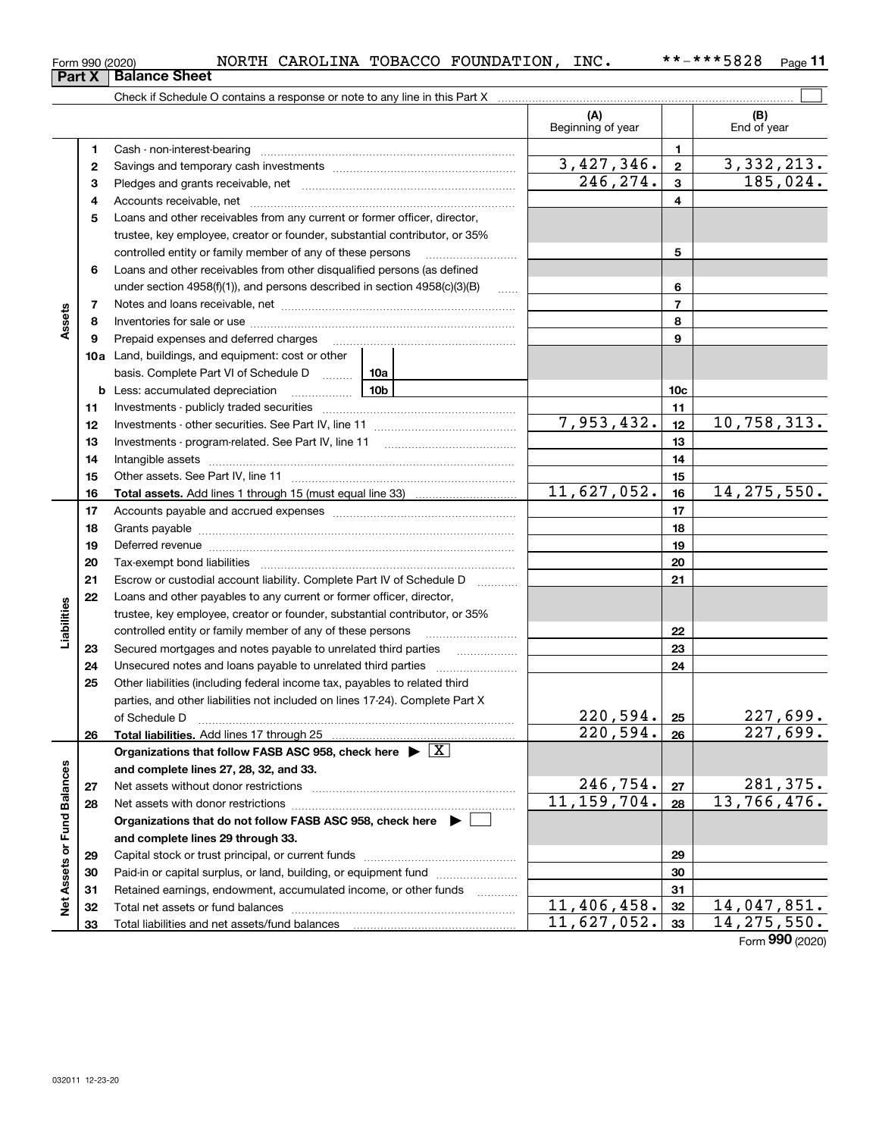Total liabilities and net assets/fund balances

| וטבע |               | --------------------- |
|------|---------------|-----------------------|
|      | Balance Sheet |                       |

|                             | Part X | <b>Balance Sheet</b>                                                                                                                                                                                                           |                     |                           |                 |                            |
|-----------------------------|--------|--------------------------------------------------------------------------------------------------------------------------------------------------------------------------------------------------------------------------------|---------------------|---------------------------|-----------------|----------------------------|
|                             |        | Check if Schedule O contains a response or note to any line in this Part X [11] Check if Schedule O contains are response or note to any line in this Part X [11] Museum manager and the Check of Museum manager and the Check |                     |                           |                 |                            |
|                             |        |                                                                                                                                                                                                                                |                     | (A)<br>Beginning of year  |                 | (B)<br>End of year         |
|                             | 1      |                                                                                                                                                                                                                                |                     |                           | 1               |                            |
|                             | 2      |                                                                                                                                                                                                                                |                     | 3,427,346.                | $\mathbf{2}$    | 3, 332, 213.               |
|                             | з      |                                                                                                                                                                                                                                |                     | 246,274.                  | $\mathbf{3}$    | 185,024.                   |
|                             | 4      |                                                                                                                                                                                                                                |                     |                           | 4               |                            |
|                             | 5      | Loans and other receivables from any current or former officer, director,                                                                                                                                                      |                     |                           |                 |                            |
|                             |        | trustee, key employee, creator or founder, substantial contributor, or 35%                                                                                                                                                     |                     |                           |                 |                            |
|                             |        | controlled entity or family member of any of these persons                                                                                                                                                                     |                     | 5                         |                 |                            |
|                             | 6      | Loans and other receivables from other disqualified persons (as defined                                                                                                                                                        |                     |                           |                 |                            |
|                             |        | under section $4958(f)(1)$ , and persons described in section $4958(c)(3)(B)$                                                                                                                                                  |                     |                           | 6               |                            |
|                             | 7      |                                                                                                                                                                                                                                |                     |                           | $\overline{7}$  |                            |
| Assets                      | 8      |                                                                                                                                                                                                                                |                     |                           | 8               |                            |
|                             | 9      | Prepaid expenses and deferred charges                                                                                                                                                                                          |                     | 9                         |                 |                            |
|                             |        | <b>10a</b> Land, buildings, and equipment: cost or other                                                                                                                                                                       |                     |                           |                 |                            |
|                             |        | basis. Complete Part VI of Schedule D  10a                                                                                                                                                                                     |                     |                           |                 |                            |
|                             |        | <b>b</b> Less: accumulated depreciation<br>. 1                                                                                                                                                                                 | 10 <sub>b</sub>     |                           | 10 <sub>c</sub> |                            |
|                             | 11     |                                                                                                                                                                                                                                |                     | 11                        |                 |                            |
|                             | 12     |                                                                                                                                                                                                                                | 7,953,432.          | 12                        | 10,758,313.     |                            |
|                             | 13     |                                                                                                                                                                                                                                |                     | 13                        |                 |                            |
|                             | 14     |                                                                                                                                                                                                                                |                     | 14                        |                 |                            |
|                             | 15     |                                                                                                                                                                                                                                |                     | 15                        |                 |                            |
|                             | 16     |                                                                                                                                                                                                                                |                     | $\overline{11,627,052}$ . | 16              | 14, 275, 550.              |
|                             | 17     |                                                                                                                                                                                                                                |                     | 17                        |                 |                            |
|                             | 18     |                                                                                                                                                                                                                                |                     |                           | 18              |                            |
|                             | 19     | Deferred revenue manual contracts and contracts are all the contracts and contracts are contracted and contracts are contracted and contract are contracted and contract are contracted and contract are contracted and contra |                     |                           | 19              |                            |
|                             | 20     |                                                                                                                                                                                                                                |                     |                           | 20              |                            |
|                             | 21     | Escrow or custodial account liability. Complete Part IV of Schedule D                                                                                                                                                          |                     |                           | 21              |                            |
|                             | 22     | Loans and other payables to any current or former officer, director,                                                                                                                                                           |                     |                           |                 |                            |
| Liabilities                 |        | trustee, key employee, creator or founder, substantial contributor, or 35%                                                                                                                                                     |                     |                           |                 |                            |
|                             |        | controlled entity or family member of any of these persons                                                                                                                                                                     |                     |                           | 22              |                            |
|                             | 23     |                                                                                                                                                                                                                                |                     |                           | 23              |                            |
|                             | 24     |                                                                                                                                                                                                                                |                     |                           | 24              |                            |
|                             | 25     | Other liabilities (including federal income tax, payables to related third                                                                                                                                                     |                     |                           |                 |                            |
|                             |        | parties, and other liabilities not included on lines 17-24). Complete Part X                                                                                                                                                   |                     |                           |                 |                            |
|                             |        | of Schedule D                                                                                                                                                                                                                  |                     | 220,594.                  | 25              | 227,699.                   |
|                             | 26     | Total liabilities. Add lines 17 through 25                                                                                                                                                                                     |                     | 220,594.                  | 26              | 227,699.                   |
|                             |        | Organizations that follow FASB ASC 958, check here $\blacktriangleright \boxed{X}$                                                                                                                                             |                     |                           |                 |                            |
|                             |        | and complete lines 27, 28, 32, and 33.                                                                                                                                                                                         |                     |                           |                 |                            |
|                             | 27     | Net assets without donor restrictions                                                                                                                                                                                          |                     | 246,754.<br>11, 159, 704. | 27              | 281, 375.<br>13, 766, 476. |
|                             | 28     |                                                                                                                                                                                                                                |                     |                           | 28              |                            |
| Net Assets or Fund Balances |        | Organizations that do not follow FASB ASC 958, check here $\blacktriangleright$                                                                                                                                                |                     |                           |                 |                            |
|                             |        | and complete lines 29 through 33.                                                                                                                                                                                              |                     |                           |                 |                            |
|                             | 29     |                                                                                                                                                                                                                                |                     |                           | 29              |                            |
|                             | 30     | Paid-in or capital surplus, or land, building, or equipment fund                                                                                                                                                               |                     |                           | 30              |                            |
|                             | 31     | Retained earnings, endowment, accumulated income, or other funds                                                                                                                                                               | 1.1.1.1.1.1.1.1.1.1 | 11,406,458.               | 31              |                            |
|                             | 32     | Total net assets or fund balances                                                                                                                                                                                              |                     |                           | 32              | 14,047,851.                |

Form (2020) **990**

 $11,406,458.$   $32 \mid 14,047,851.$  $11,627,052.$  33 14,275,550.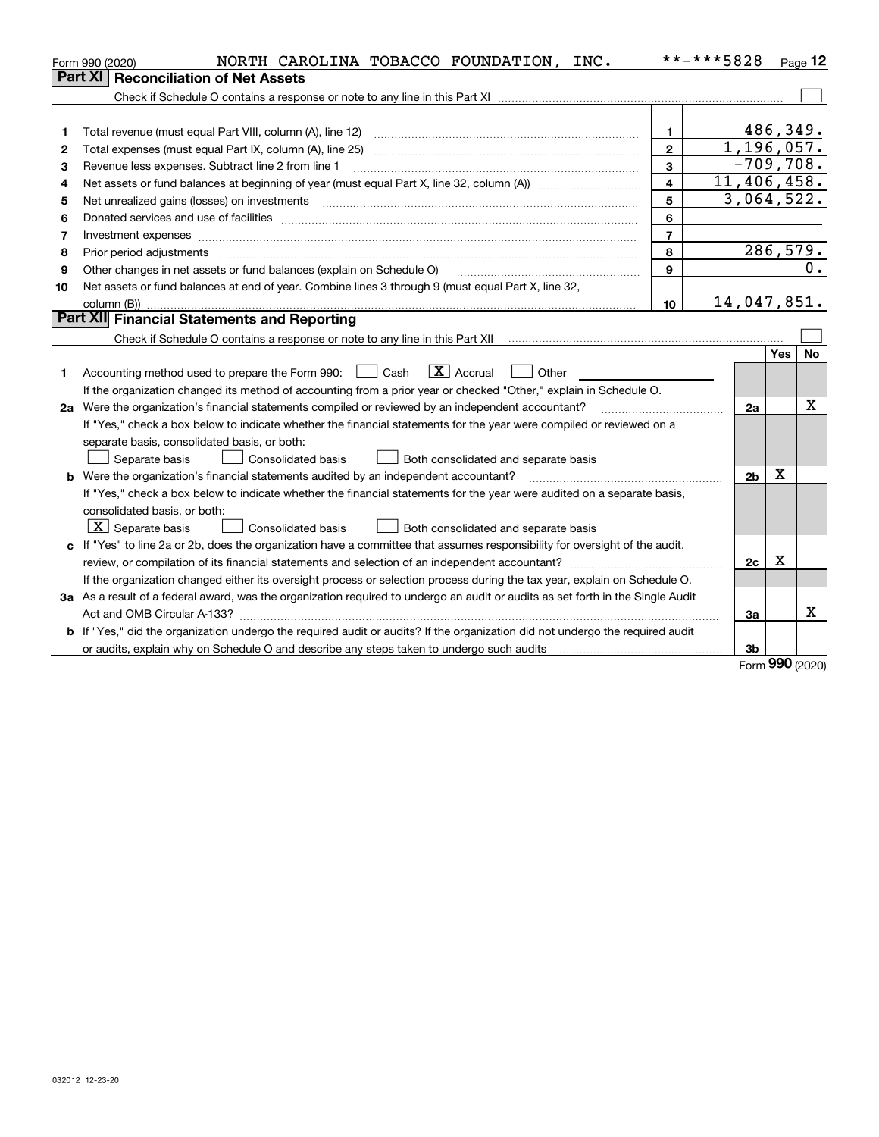|    | NORTH CAROLINA TOBACCO FOUNDATION, INC.<br>Form 990 (2020)                                                                      |                         | **-***5828     |            | $Page$ 12 |
|----|---------------------------------------------------------------------------------------------------------------------------------|-------------------------|----------------|------------|-----------|
|    | <b>Reconciliation of Net Assets</b><br>Part XI                                                                                  |                         |                |            |           |
|    |                                                                                                                                 |                         |                |            |           |
|    |                                                                                                                                 |                         |                |            |           |
| 1  | Total revenue (must equal Part VIII, column (A), line 12)                                                                       | $\mathbf{1}$            |                | 486,349.   |           |
| 2  | Total expenses (must equal Part IX, column (A), line 25)                                                                        | $\mathbf{2}$            | 1,196,057.     |            |           |
| 3  | Revenue less expenses. Subtract line 2 from line 1                                                                              | 3                       | $-709,708.$    |            |           |
| 4  |                                                                                                                                 | $\overline{\mathbf{4}}$ | 11,406,458.    |            |           |
| 5  | Net unrealized gains (losses) on investments                                                                                    | 5                       | 3,064,522.     |            |           |
| 6  |                                                                                                                                 | 6                       |                |            |           |
| 7  | Investment expenses www.communication.com/www.communication.com/www.communication.com/www.com                                   | $\overline{7}$          |                |            |           |
| 8  | Prior period adjustments                                                                                                        | 8                       |                |            | 286,579.  |
| 9  | Other changes in net assets or fund balances (explain on Schedule O)                                                            | 9                       |                |            | 0.        |
| 10 | Net assets or fund balances at end of year. Combine lines 3 through 9 (must equal Part X, line 32,                              |                         |                |            |           |
|    | column (B))                                                                                                                     | 10                      | 14,047,851.    |            |           |
|    | Part XII Financial Statements and Reporting                                                                                     |                         |                |            |           |
|    |                                                                                                                                 |                         |                |            |           |
|    |                                                                                                                                 |                         |                | <b>Yes</b> | No        |
| 1  | $\boxed{\mathbf{X}}$ Accrual<br>Accounting method used to prepare the Form 990: <u>II</u> Cash<br>Other                         |                         |                |            |           |
|    | If the organization changed its method of accounting from a prior year or checked "Other," explain in Schedule O.               |                         |                |            |           |
|    | 2a Were the organization's financial statements compiled or reviewed by an independent accountant?                              |                         | 2a             |            | х         |
|    | If "Yes," check a box below to indicate whether the financial statements for the year were compiled or reviewed on a            |                         |                |            |           |
|    | separate basis, consolidated basis, or both:                                                                                    |                         |                |            |           |
|    | Separate basis<br><b>Consolidated basis</b><br>Both consolidated and separate basis                                             |                         |                |            |           |
|    | <b>b</b> Were the organization's financial statements audited by an independent accountant?                                     |                         | 2 <sub>b</sub> | Χ          |           |
|    | If "Yes," check a box below to indicate whether the financial statements for the year were audited on a separate basis,         |                         |                |            |           |
|    | consolidated basis, or both:                                                                                                    |                         |                |            |           |
|    | $X$ Separate basis<br><b>Consolidated basis</b><br>Both consolidated and separate basis                                         |                         |                |            |           |
|    | c If "Yes" to line 2a or 2b, does the organization have a committee that assumes responsibility for oversight of the audit,     |                         |                |            |           |
|    | review, or compilation of its financial statements and selection of an independent accountant?                                  |                         | 2c             | X          |           |
|    | If the organization changed either its oversight process or selection process during the tax year, explain on Schedule O.       |                         |                |            |           |
|    | 3a As a result of a federal award, was the organization required to undergo an audit or audits as set forth in the Single Audit |                         |                |            |           |
|    |                                                                                                                                 |                         | За             |            | x         |
|    | b If "Yes," did the organization undergo the required audit or audits? If the organization did not undergo the required audit   |                         |                |            |           |
|    | or audits, explain why on Schedule O and describe any steps taken to undergo such audits                                        |                         | 3b             |            |           |

Form (2020) **990**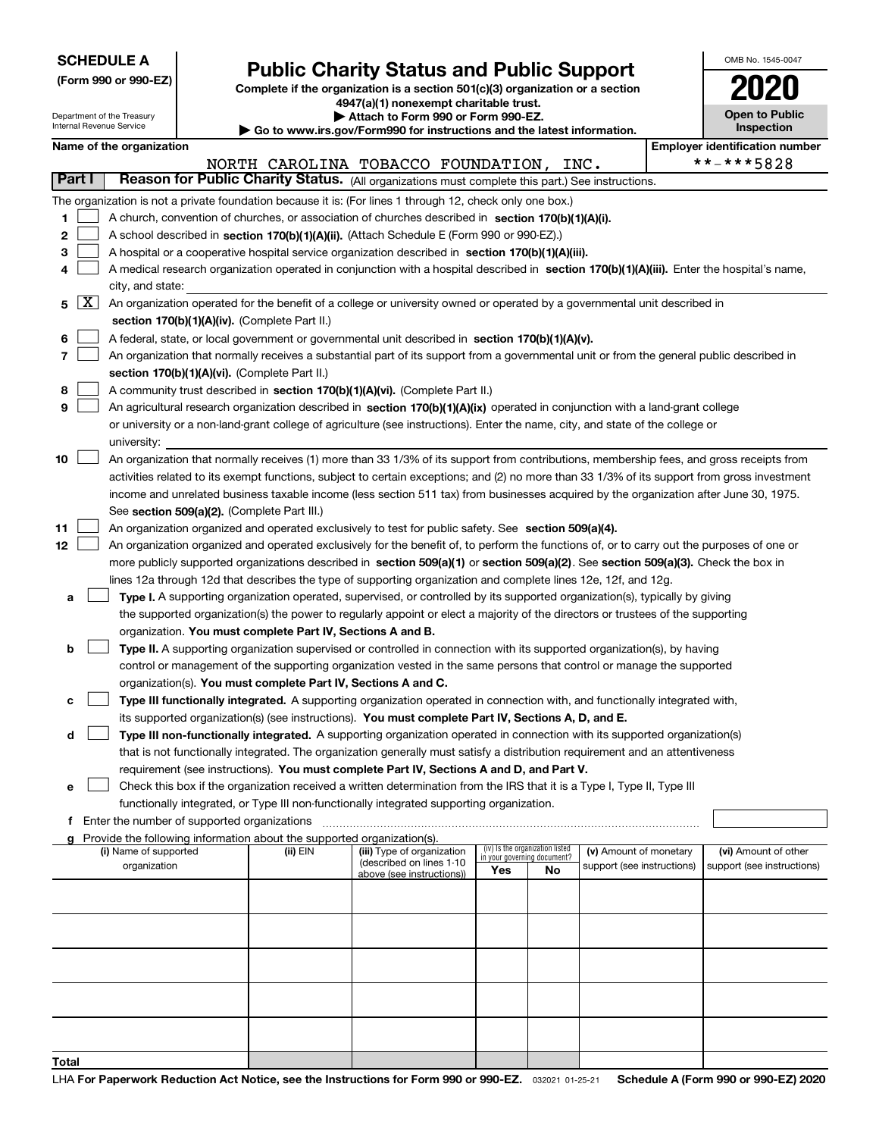|  | <b>SCHEDULE A</b> |
|--|-------------------|
|--|-------------------|

**11**

## **Public Charity Status and Public Support**

| <b>P</b> Allach to Form 330 of Form 330 EL.                          |
|----------------------------------------------------------------------|
| Go to www.irs.gov/Form990 for instructions and the latest informatio |

| (Form 990 or 990-EZ)                                          |                          | Public Gridlity Status and Public Support<br>Complete if the organization is a section 501(c)(3) organization or a section<br>4947(a)(1) nonexempt charitable trust. | 2020                                       |
|---------------------------------------------------------------|--------------------------|----------------------------------------------------------------------------------------------------------------------------------------------------------------------|--------------------------------------------|
| Department of the Treasury<br><b>Internal Revenue Service</b> |                          | Attach to Form 990 or Form 990-EZ.<br>$\blacktriangleright$ Go to www.irs.gov/Form990 for instructions and the latest information.                                   | <b>Open to Public</b><br><b>Inspection</b> |
|                                                               | Name of the organization |                                                                                                                                                                      | <b>Employer identification number</b>      |
|                                                               |                          | NORTH CAROLINA TOBACCO FOUNDATION, INC.                                                                                                                              | **-***5828                                 |
| Part I                                                        |                          | Reason for Public Charity Status. (All organizations must complete this part.) See instructions.                                                                     |                                            |
|                                                               |                          | The organization is not a private foundation because it is: (For lines 1 through 12, check only one box.)                                                            |                                            |
|                                                               |                          | A church, convention of churches, or association of churches described in section 170(b)(1)(A)(i).                                                                   |                                            |
| 2                                                             |                          | A school described in section 170(b)(1)(A)(ii). (Attach Schedule E (Form 990 or 990-EZ).)                                                                            |                                            |
| 3                                                             |                          | A hospital or a cooperative hospital service organization described in section 170(b)(1)(A)(iii).                                                                    |                                            |
| 4                                                             |                          | A medical research organization operated in conjunction with a hospital described in section 170(b)(1)(A)(iii). Enter the hospital's name,                           |                                            |
|                                                               | city, and state:         |                                                                                                                                                                      |                                            |
| $\mathbf{X}$<br>5                                             |                          | An organization operated for the benefit of a college or university owned or operated by a governmental unit described in                                            |                                            |
|                                                               |                          | section 170(b)(1)(A)(iv). (Complete Part II.)                                                                                                                        |                                            |
| 6                                                             |                          | A federal, state, or local government or governmental unit described in section 170(b)(1)(A)(v).                                                                     |                                            |
|                                                               |                          | An organization that normally receives a substantial part of its support from a governmental unit or from the general public described in                            |                                            |
|                                                               |                          | section 170(b)(1)(A)(vi). (Complete Part II.)                                                                                                                        |                                            |
| 8                                                             |                          | A community trust described in section 170(b)(1)(A)(vi). (Complete Part II.)                                                                                         |                                            |
| 9                                                             |                          | An agricultural research organization described in section 170(b)(1)(A)(ix) operated in conjunction with a land-grant college                                        |                                            |
|                                                               |                          | or university or a non-land-grant college of agriculture (see instructions). Enter the name, city, and state of the college or                                       |                                            |
|                                                               | university:              |                                                                                                                                                                      |                                            |

OMB No. 1545-0047

| 10 ∣ | An organization that normally receives (1) more than 33 1/3% of its support from contributions, membership fees, and gross receipts from     |
|------|----------------------------------------------------------------------------------------------------------------------------------------------|
|      | activities related to its exempt functions, subject to certain exceptions; and (2) no more than 33 1/3% of its support from gross investment |
|      | income and unrelated business taxable income (less section 511 tax) from businesses acquired by the organization after June 30, 1975.        |
|      | See section 509(a)(2). (Complete Part III.)                                                                                                  |
|      |                                                                                                                                              |

|  |  |  |  | 1 $\Box$ An organization organized and operated exclusively to test for public safety. See section 509(a)(4). |
|--|--|--|--|---------------------------------------------------------------------------------------------------------------|
|  |  |  |  |                                                                                                               |

**12**more publicly supported organizations described in s**ection 509(a)(1)** or section 509(a)(2). See section 509(a)(3). Check the box in An organization organized and operated exclusively for the benefit of, to perform the functions of, or to carry out the purposes of one or lines 12a through 12d that describes the type of supporting organization and complete lines 12e, 12f, and 12g.  $\mathcal{L}^{\text{max}}$ 

**aType I.** A supporting organization operated, supervised, or controlled by its supported organization(s), typically by giving organization. **You must complete Part IV, Sections A and B.** the supported organization(s) the power to regularly appoint or elect a majority of the directors or trustees of the supporting

**bType II.** A supporting organization supervised or controlled in connection with its supported organization(s), by having organization(s). **You must complete Part IV, Sections A and C.** control or management of the supporting organization vested in the same persons that control or manage the supported  $\mathcal{L}^{\text{max}}$ 

**cType III functionally integrated.** A supporting organization operated in connection with, and functionally integrated with, its supported organization(s) (see instructions). **You must complete Part IV, Sections A, D, and E.**  $\mathcal{L}^{\text{max}}$ 

**dType III non-functionally integrated.** A supporting organization operated in connection with its supported organization(s) requirement (see instructions). **You must complete Part IV, Sections A and D, and Part V.** that is not functionally integrated. The organization generally must satisfy a distribution requirement and an attentiveness  $\mathcal{L}^{\text{max}}$ 

**e**Check this box if the organization received a written determination from the IRS that it is a Type I, Type II, Type III functionally integrated, or Type III non-functionally integrated supporting organization.  $\mathcal{L}^{\text{max}}$ 

**f**Enter the number of supported organizations ~~~~~~~~~~~~~~~~~~~~~~~~~~~~~~~~~~~~~

| Provide the following information about the supported organization(s).<br>a |          |                            |                                                                |     |                            |                            |
|-----------------------------------------------------------------------------|----------|----------------------------|----------------------------------------------------------------|-----|----------------------------|----------------------------|
| (i) Name of supported                                                       | (ii) EIN | (iii) Type of organization | (iv) Is the organization listed<br>in your governing document? |     | (v) Amount of monetary     | (vi) Amount of other       |
| organization                                                                |          | (described on lines 1-10   | Yes                                                            | No. | support (see instructions) | support (see instructions) |
|                                                                             |          | above (see instructions))  |                                                                |     |                            |                            |
|                                                                             |          |                            |                                                                |     |                            |                            |
|                                                                             |          |                            |                                                                |     |                            |                            |
|                                                                             |          |                            |                                                                |     |                            |                            |
|                                                                             |          |                            |                                                                |     |                            |                            |
|                                                                             |          |                            |                                                                |     |                            |                            |
|                                                                             |          |                            |                                                                |     |                            |                            |
|                                                                             |          |                            |                                                                |     |                            |                            |
|                                                                             |          |                            |                                                                |     |                            |                            |
|                                                                             |          |                            |                                                                |     |                            |                            |
|                                                                             |          |                            |                                                                |     |                            |                            |
| Total                                                                       |          |                            |                                                                |     |                            |                            |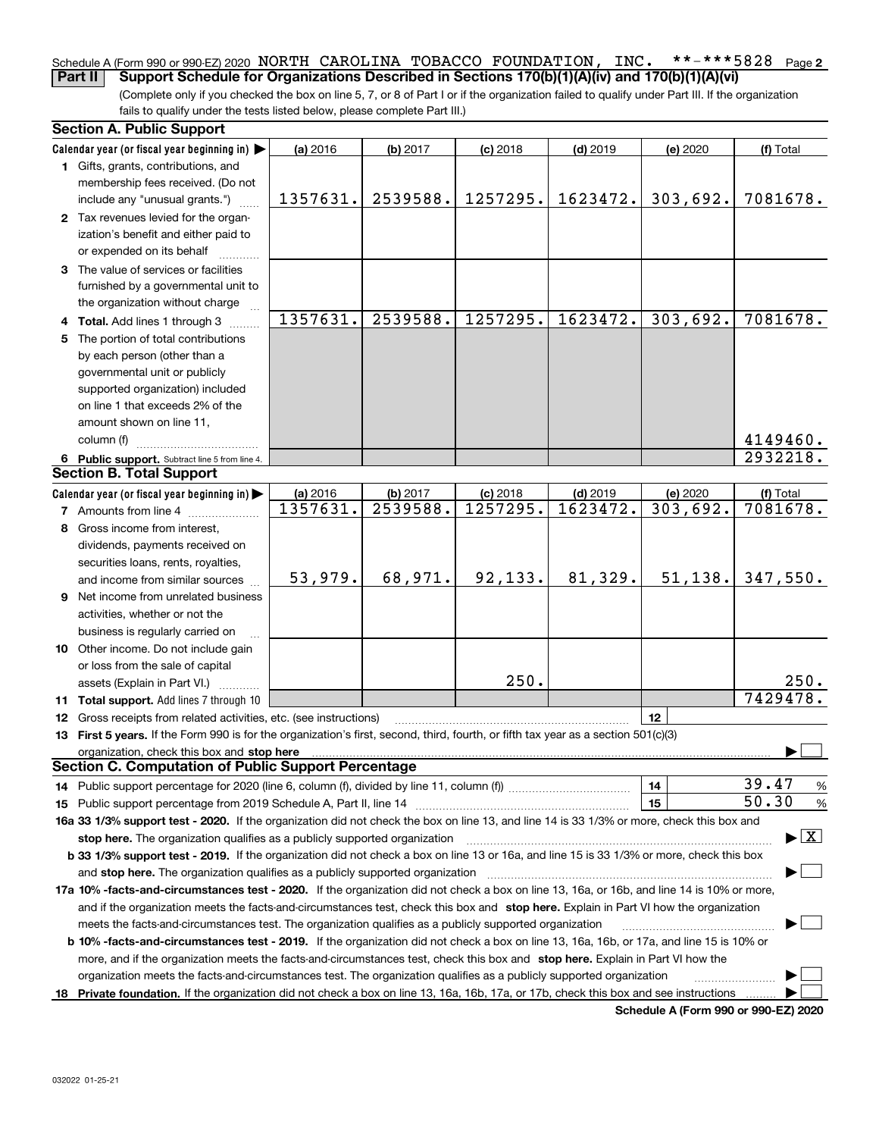#### **2** Schedule A (Form 990 or 990-EZ) 2020  $\,$  <code>NORTH CAROLINA TOBACCO FOUNDATION</code> , <code>INC. \*\*-\*\*\*5828</code> <code>Page</code> **Part II Support Schedule for Organizations Described in Sections 170(b)(1)(A)(iv) and 170(b)(1)(A)(vi)**

(Complete only if you checked the box on line 5, 7, or 8 of Part I or if the organization failed to qualify under Part III. If the organization fails to qualify under the tests listed below, please complete Part III.)

| <b>Section A. Public Support</b>                                                                                                                                                                                               |          |            |            |            |          |                                          |
|--------------------------------------------------------------------------------------------------------------------------------------------------------------------------------------------------------------------------------|----------|------------|------------|------------|----------|------------------------------------------|
| Calendar year (or fiscal year beginning in) $\blacktriangleright$                                                                                                                                                              | (a) 2016 | $(b)$ 2017 | $(c)$ 2018 | $(d)$ 2019 | (e) 2020 | (f) Total                                |
| 1 Gifts, grants, contributions, and                                                                                                                                                                                            |          |            |            |            |          |                                          |
| membership fees received. (Do not                                                                                                                                                                                              |          |            |            |            |          |                                          |
| include any "unusual grants.")                                                                                                                                                                                                 | 1357631. | 2539588.   | 1257295.   | 1623472.   | 303,692. | 7081678.                                 |
| 2 Tax revenues levied for the organ-                                                                                                                                                                                           |          |            |            |            |          |                                          |
| ization's benefit and either paid to                                                                                                                                                                                           |          |            |            |            |          |                                          |
| or expended on its behalf                                                                                                                                                                                                      |          |            |            |            |          |                                          |
| 3 The value of services or facilities                                                                                                                                                                                          |          |            |            |            |          |                                          |
| furnished by a governmental unit to                                                                                                                                                                                            |          |            |            |            |          |                                          |
| the organization without charge                                                                                                                                                                                                |          |            |            |            |          |                                          |
| 4 Total. Add lines 1 through 3                                                                                                                                                                                                 | 1357631. | 2539588.   | 1257295.   | 1623472.   | 303,692. | 7081678.                                 |
| 5 The portion of total contributions                                                                                                                                                                                           |          |            |            |            |          |                                          |
| by each person (other than a                                                                                                                                                                                                   |          |            |            |            |          |                                          |
| governmental unit or publicly                                                                                                                                                                                                  |          |            |            |            |          |                                          |
| supported organization) included                                                                                                                                                                                               |          |            |            |            |          |                                          |
| on line 1 that exceeds 2% of the                                                                                                                                                                                               |          |            |            |            |          |                                          |
| amount shown on line 11,                                                                                                                                                                                                       |          |            |            |            |          |                                          |
| column (f)                                                                                                                                                                                                                     |          |            |            |            |          | 4149460.                                 |
| 6 Public support. Subtract line 5 from line 4.                                                                                                                                                                                 |          |            |            |            |          | 2932218.                                 |
| <b>Section B. Total Support</b>                                                                                                                                                                                                |          |            |            |            |          |                                          |
| Calendar year (or fiscal year beginning in)                                                                                                                                                                                    | (a) 2016 | (b) 2017   | $(c)$ 2018 | $(d)$ 2019 | (e) 2020 | (f) Total                                |
| <b>7</b> Amounts from line 4                                                                                                                                                                                                   | 1357631. | 2539588.   | 1257295.   | 1623472.   | 303,692. | 7081678.                                 |
| 8 Gross income from interest,                                                                                                                                                                                                  |          |            |            |            |          |                                          |
| dividends, payments received on                                                                                                                                                                                                |          |            |            |            |          |                                          |
| securities loans, rents, royalties,                                                                                                                                                                                            |          |            |            |            |          |                                          |
| and income from similar sources                                                                                                                                                                                                | 53,979.  | 68,971.    | 92,133.    | 81,329.    | 51, 138. | 347,550.                                 |
| 9 Net income from unrelated business                                                                                                                                                                                           |          |            |            |            |          |                                          |
| activities, whether or not the                                                                                                                                                                                                 |          |            |            |            |          |                                          |
| business is regularly carried on                                                                                                                                                                                               |          |            |            |            |          |                                          |
| 10 Other income. Do not include gain                                                                                                                                                                                           |          |            |            |            |          |                                          |
| or loss from the sale of capital                                                                                                                                                                                               |          |            |            |            |          |                                          |
| assets (Explain in Part VI.)                                                                                                                                                                                                   |          |            | 250.       |            |          | 250.                                     |
| 11 Total support. Add lines 7 through 10                                                                                                                                                                                       |          |            |            |            |          | 7429478.                                 |
| 12 Gross receipts from related activities, etc. (see instructions)                                                                                                                                                             |          |            |            |            | 12       |                                          |
| 13 First 5 years. If the Form 990 is for the organization's first, second, third, fourth, or fifth tax year as a section 501(c)(3)                                                                                             |          |            |            |            |          |                                          |
| organization, check this box and stop here manufactured and stop here and stop here are all the contractions of the state of the state of the contract of the state of the state of the state of the state of the state of the |          |            |            |            |          |                                          |
| <b>Section C. Computation of Public Support Percentage</b>                                                                                                                                                                     |          |            |            |            |          |                                          |
| 14 Public support percentage for 2020 (line 6, column (f), divided by line 11, column (f) <i>mummumumum</i>                                                                                                                    |          |            |            |            | 14       | 39.47<br>$\%$                            |
|                                                                                                                                                                                                                                |          |            |            |            | 15       | 50.30<br>%                               |
| 16a 33 1/3% support test - 2020. If the organization did not check the box on line 13, and line 14 is 33 1/3% or more, check this box and                                                                                      |          |            |            |            |          |                                          |
| stop here. The organization qualifies as a publicly supported organization                                                                                                                                                     |          |            |            |            |          | $\blacktriangleright$ $\boxed{\text{X}}$ |
| b 33 1/3% support test - 2019. If the organization did not check a box on line 13 or 16a, and line 15 is 33 1/3% or more, check this box                                                                                       |          |            |            |            |          |                                          |
| and stop here. The organization qualifies as a publicly supported organization                                                                                                                                                 |          |            |            |            |          |                                          |
| 17a 10% -facts-and-circumstances test - 2020. If the organization did not check a box on line 13, 16a, or 16b, and line 14 is 10% or more,                                                                                     |          |            |            |            |          |                                          |
| and if the organization meets the facts-and-circumstances test, check this box and stop here. Explain in Part VI how the organization                                                                                          |          |            |            |            |          |                                          |
| meets the facts-and-circumstances test. The organization qualifies as a publicly supported organization                                                                                                                        |          |            |            |            |          |                                          |
| <b>b 10% -facts-and-circumstances test - 2019.</b> If the organization did not check a box on line 13, 16a, 16b, or 17a, and line 15 is 10% or                                                                                 |          |            |            |            |          |                                          |
|                                                                                                                                                                                                                                |          |            |            |            |          |                                          |
| more, and if the organization meets the facts-and-circumstances test, check this box and stop here. Explain in Part VI how the                                                                                                 |          |            |            |            |          |                                          |
| organization meets the facts-and-circumstances test. The organization qualifies as a publicly supported organization                                                                                                           |          |            |            |            |          |                                          |
| 18 Private foundation. If the organization did not check a box on line 13, 16a, 16b, 17a, or 17b, check this box and see instructions                                                                                          |          |            |            |            |          |                                          |

**Schedule A (Form 990 or 990-EZ) 2020**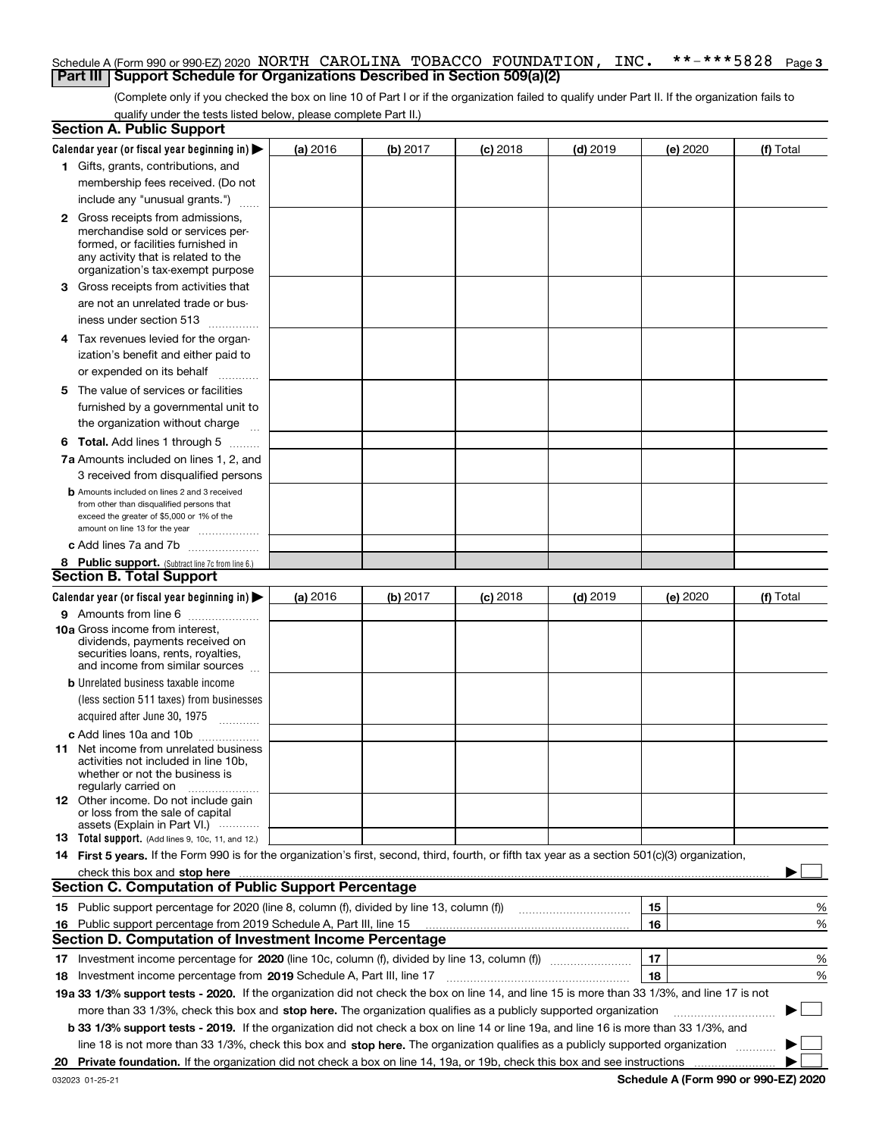#### **3** Schedule A (Form 990 or 990-EZ) 2020  $\,$  <code>NORTH CAROLINA TOBACCO FOUNDATION</code> , <code>INC. \*\*-\*\*\*5828</code> <code>Page</code> **Part III** | Support Schedule for Organizations Described in Section 509(a)(2)

(Complete only if you checked the box on line 10 of Part I or if the organization failed to qualify under Part II. If the organization fails to qualify under the tests listed below, please complete Part II.)

|    | <b>Section A. Public Support</b>                                                                                                                 |          |          |                 |                                                      |          |           |
|----|--------------------------------------------------------------------------------------------------------------------------------------------------|----------|----------|-----------------|------------------------------------------------------|----------|-----------|
|    | Calendar year (or fiscal year beginning in) $\blacktriangleright$                                                                                | (a) 2016 | (b) 2017 | <b>(c)</b> 2018 | $(d)$ 2019                                           | (e) 2020 | (f) Total |
|    | 1 Gifts, grants, contributions, and                                                                                                              |          |          |                 |                                                      |          |           |
|    | membership fees received. (Do not                                                                                                                |          |          |                 |                                                      |          |           |
|    | include any "unusual grants.")                                                                                                                   |          |          |                 |                                                      |          |           |
|    | <b>2</b> Gross receipts from admissions,                                                                                                         |          |          |                 |                                                      |          |           |
|    | merchandise sold or services per-                                                                                                                |          |          |                 |                                                      |          |           |
|    | formed, or facilities furnished in                                                                                                               |          |          |                 |                                                      |          |           |
|    | any activity that is related to the                                                                                                              |          |          |                 |                                                      |          |           |
|    | organization's tax-exempt purpose                                                                                                                |          |          |                 |                                                      |          |           |
|    | 3 Gross receipts from activities that                                                                                                            |          |          |                 |                                                      |          |           |
|    | are not an unrelated trade or bus-                                                                                                               |          |          |                 |                                                      |          |           |
|    | iness under section 513                                                                                                                          |          |          |                 |                                                      |          |           |
|    | 4 Tax revenues levied for the organ-                                                                                                             |          |          |                 |                                                      |          |           |
|    | ization's benefit and either paid to                                                                                                             |          |          |                 |                                                      |          |           |
|    | or expended on its behalf<br>.                                                                                                                   |          |          |                 |                                                      |          |           |
|    | 5 The value of services or facilities                                                                                                            |          |          |                 |                                                      |          |           |
|    | furnished by a governmental unit to                                                                                                              |          |          |                 |                                                      |          |           |
|    | the organization without charge                                                                                                                  |          |          |                 |                                                      |          |           |
|    |                                                                                                                                                  |          |          |                 |                                                      |          |           |
|    | <b>6 Total.</b> Add lines 1 through 5                                                                                                            |          |          |                 |                                                      |          |           |
|    | 7a Amounts included on lines 1, 2, and                                                                                                           |          |          |                 |                                                      |          |           |
|    | 3 received from disqualified persons                                                                                                             |          |          |                 |                                                      |          |           |
|    | <b>b</b> Amounts included on lines 2 and 3 received                                                                                              |          |          |                 |                                                      |          |           |
|    | from other than disqualified persons that<br>exceed the greater of \$5,000 or 1% of the                                                          |          |          |                 |                                                      |          |           |
|    | amount on line 13 for the year                                                                                                                   |          |          |                 |                                                      |          |           |
|    | c Add lines 7a and 7b                                                                                                                            |          |          |                 |                                                      |          |           |
|    | 8 Public support. (Subtract line 7c from line 6.)                                                                                                |          |          |                 |                                                      |          |           |
|    | <b>Section B. Total Support</b>                                                                                                                  |          |          |                 |                                                      |          |           |
|    | Calendar year (or fiscal year beginning in) $\blacktriangleright$                                                                                | (a) 2016 | (b) 2017 | $(c)$ 2018      | $(d)$ 2019                                           | (e) 2020 | (f) Total |
|    | 9 Amounts from line 6                                                                                                                            |          |          |                 |                                                      |          |           |
|    | 10a Gross income from interest,                                                                                                                  |          |          |                 |                                                      |          |           |
|    | dividends, payments received on                                                                                                                  |          |          |                 |                                                      |          |           |
|    | securities loans, rents, royalties,                                                                                                              |          |          |                 |                                                      |          |           |
|    | and income from similar sources                                                                                                                  |          |          |                 |                                                      |          |           |
|    | <b>b</b> Unrelated business taxable income                                                                                                       |          |          |                 |                                                      |          |           |
|    | (less section 511 taxes) from businesses                                                                                                         |          |          |                 |                                                      |          |           |
|    | acquired after June 30, 1975                                                                                                                     |          |          |                 |                                                      |          |           |
|    | c Add lines 10a and 10b                                                                                                                          |          |          |                 |                                                      |          |           |
|    | 11 Net income from unrelated business                                                                                                            |          |          |                 |                                                      |          |           |
|    | activities not included in line 10b.                                                                                                             |          |          |                 |                                                      |          |           |
|    | whether or not the business is<br>regularly carried on                                                                                           |          |          |                 |                                                      |          |           |
|    | 12 Other income. Do not include gain                                                                                                             |          |          |                 |                                                      |          |           |
|    | or loss from the sale of capital                                                                                                                 |          |          |                 |                                                      |          |           |
|    | assets (Explain in Part VI.)                                                                                                                     |          |          |                 |                                                      |          |           |
|    | <b>13</b> Total support. (Add lines 9, 10c, 11, and 12.)                                                                                         |          |          |                 |                                                      |          |           |
|    | 14 First 5 years. If the Form 990 is for the organization's first, second, third, fourth, or fifth tax year as a section 501(c)(3) organization, |          |          |                 |                                                      |          |           |
|    | check this box and stop here measurements are constructed as the state of the state of the state of the state o                                  |          |          |                 |                                                      |          |           |
|    | <b>Section C. Computation of Public Support Percentage</b>                                                                                       |          |          |                 |                                                      |          |           |
|    | 15 Public support percentage for 2020 (line 8, column (f), divided by line 13, column (f))                                                       |          |          |                 | <u> 1986 - Johann Stoff, Amerikaansk politiker (</u> | 15       | %         |
|    | 16 Public support percentage from 2019 Schedule A, Part III, line 15                                                                             |          |          |                 |                                                      | 16       | %         |
|    | <b>Section D. Computation of Investment Income Percentage</b>                                                                                    |          |          |                 |                                                      |          |           |
|    |                                                                                                                                                  |          |          |                 |                                                      | 17       | %         |
|    | <b>18</b> Investment income percentage from <b>2019</b> Schedule A, Part III, line 17                                                            |          |          |                 |                                                      | 18       | %         |
|    | 19a 33 1/3% support tests - 2020. If the organization did not check the box on line 14, and line 15 is more than 33 1/3%, and line 17 is not     |          |          |                 |                                                      |          |           |
|    | more than 33 1/3%, check this box and stop here. The organization qualifies as a publicly supported organization                                 |          |          |                 |                                                      |          | ▶         |
|    | b 33 1/3% support tests - 2019. If the organization did not check a box on line 14 or line 19a, and line 16 is more than 33 1/3%, and            |          |          |                 |                                                      |          |           |
|    | line 18 is not more than 33 1/3%, check this box and stop here. The organization qualifies as a publicly supported organization                  |          |          |                 |                                                      |          |           |
| 20 |                                                                                                                                                  |          |          |                 |                                                      |          |           |
|    |                                                                                                                                                  |          |          |                 |                                                      |          |           |

**Schedule A (Form 990 or 990-EZ) 2020**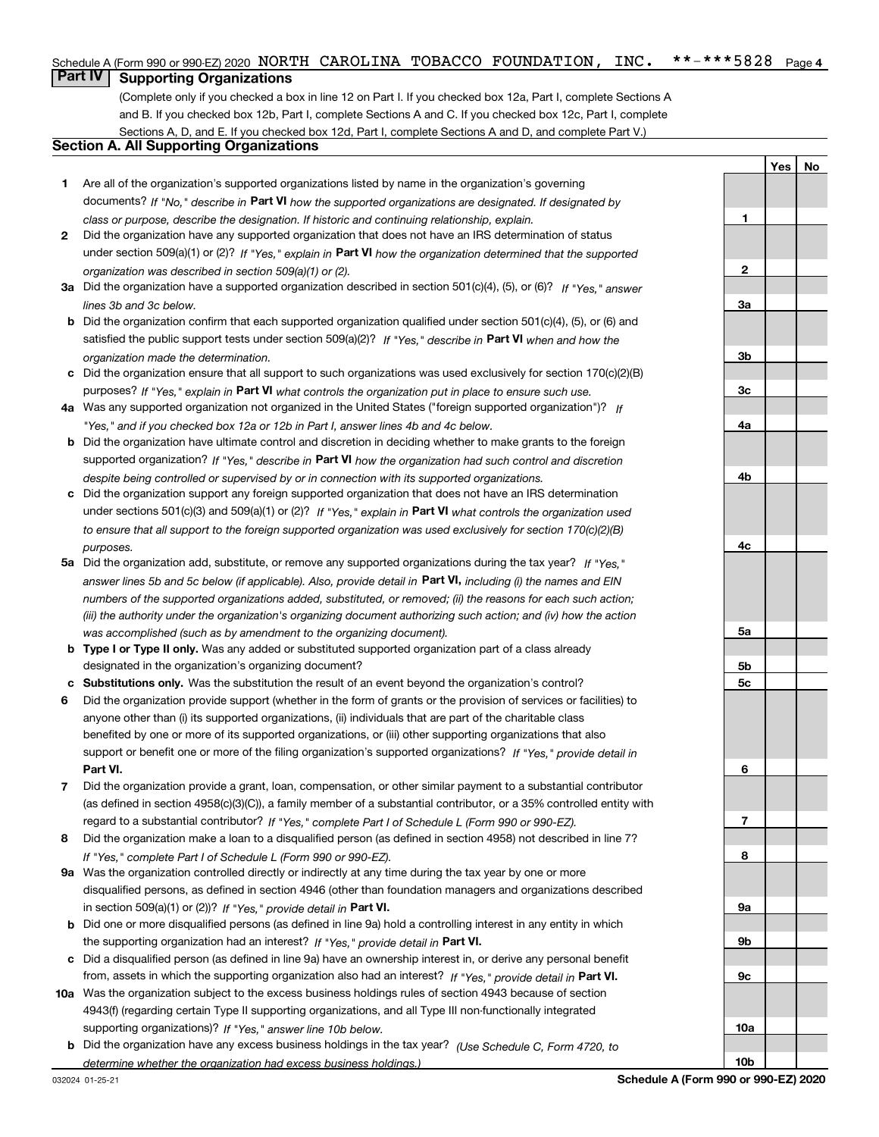#### $***$   $***$  5828 Page 4 Schedule A (Form 990 or 990-EZ) 2020  $\,$  <code>NORTH CAROLINA TOBACCO FOUNDATION</code> , <code>INC. \*\*-\*\*\*5828</code> <code>Page</code>

## **Part IV Supporting Organizations**

(Complete only if you checked a box in line 12 on Part I. If you checked box 12a, Part I, complete Sections A and B. If you checked box 12b, Part I, complete Sections A and C. If you checked box 12c, Part I, complete Sections A, D, and E. If you checked box 12d, Part I, complete Sections A and D, and complete Part V.)

### **Section A. All Supporting Organizations**

- **1** Are all of the organization's supported organizations listed by name in the organization's governing documents? If "No," describe in **Part VI** how the supported organizations are designated. If designated by *class or purpose, describe the designation. If historic and continuing relationship, explain.*
- **2** Did the organization have any supported organization that does not have an IRS determination of status under section 509(a)(1) or (2)? If "Yes," explain in Part VI how the organization determined that the supported *organization was described in section 509(a)(1) or (2).*
- **3a** Did the organization have a supported organization described in section 501(c)(4), (5), or (6)? If "Yes," answer *lines 3b and 3c below.*
- **b** Did the organization confirm that each supported organization qualified under section 501(c)(4), (5), or (6) and satisfied the public support tests under section 509(a)(2)? If "Yes," describe in **Part VI** when and how the *organization made the determination.*
- **c**Did the organization ensure that all support to such organizations was used exclusively for section 170(c)(2)(B) purposes? If "Yes," explain in **Part VI** what controls the organization put in place to ensure such use.
- **4a***If* Was any supported organization not organized in the United States ("foreign supported organization")? *"Yes," and if you checked box 12a or 12b in Part I, answer lines 4b and 4c below.*
- **b** Did the organization have ultimate control and discretion in deciding whether to make grants to the foreign supported organization? If "Yes," describe in **Part VI** how the organization had such control and discretion *despite being controlled or supervised by or in connection with its supported organizations.*
- **c** Did the organization support any foreign supported organization that does not have an IRS determination under sections 501(c)(3) and 509(a)(1) or (2)? If "Yes," explain in **Part VI** what controls the organization used *to ensure that all support to the foreign supported organization was used exclusively for section 170(c)(2)(B) purposes.*
- **5a***If "Yes,"* Did the organization add, substitute, or remove any supported organizations during the tax year? answer lines 5b and 5c below (if applicable). Also, provide detail in **Part VI,** including (i) the names and EIN *numbers of the supported organizations added, substituted, or removed; (ii) the reasons for each such action; (iii) the authority under the organization's organizing document authorizing such action; and (iv) how the action was accomplished (such as by amendment to the organizing document).*
- **b** Type I or Type II only. Was any added or substituted supported organization part of a class already designated in the organization's organizing document?
- **cSubstitutions only.**  Was the substitution the result of an event beyond the organization's control?
- **6** Did the organization provide support (whether in the form of grants or the provision of services or facilities) to **Part VI.** *If "Yes," provide detail in* support or benefit one or more of the filing organization's supported organizations? anyone other than (i) its supported organizations, (ii) individuals that are part of the charitable class benefited by one or more of its supported organizations, or (iii) other supporting organizations that also
- **7**Did the organization provide a grant, loan, compensation, or other similar payment to a substantial contributor *If "Yes," complete Part I of Schedule L (Form 990 or 990-EZ).* regard to a substantial contributor? (as defined in section 4958(c)(3)(C)), a family member of a substantial contributor, or a 35% controlled entity with
- **8** Did the organization make a loan to a disqualified person (as defined in section 4958) not described in line 7? *If "Yes," complete Part I of Schedule L (Form 990 or 990-EZ).*
- **9a** Was the organization controlled directly or indirectly at any time during the tax year by one or more in section 509(a)(1) or (2))? If "Yes," *provide detail in* <code>Part VI.</code> disqualified persons, as defined in section 4946 (other than foundation managers and organizations described
- **b** Did one or more disqualified persons (as defined in line 9a) hold a controlling interest in any entity in which the supporting organization had an interest? If "Yes," provide detail in P**art VI**.
- **c**Did a disqualified person (as defined in line 9a) have an ownership interest in, or derive any personal benefit from, assets in which the supporting organization also had an interest? If "Yes," provide detail in P**art VI.**
- **10a** Was the organization subject to the excess business holdings rules of section 4943 because of section supporting organizations)? If "Yes," answer line 10b below. 4943(f) (regarding certain Type II supporting organizations, and all Type III non-functionally integrated
- **b** Did the organization have any excess business holdings in the tax year? (Use Schedule C, Form 4720, to *determine whether the organization had excess business holdings.)*

**YesNo**

**1**

**10b**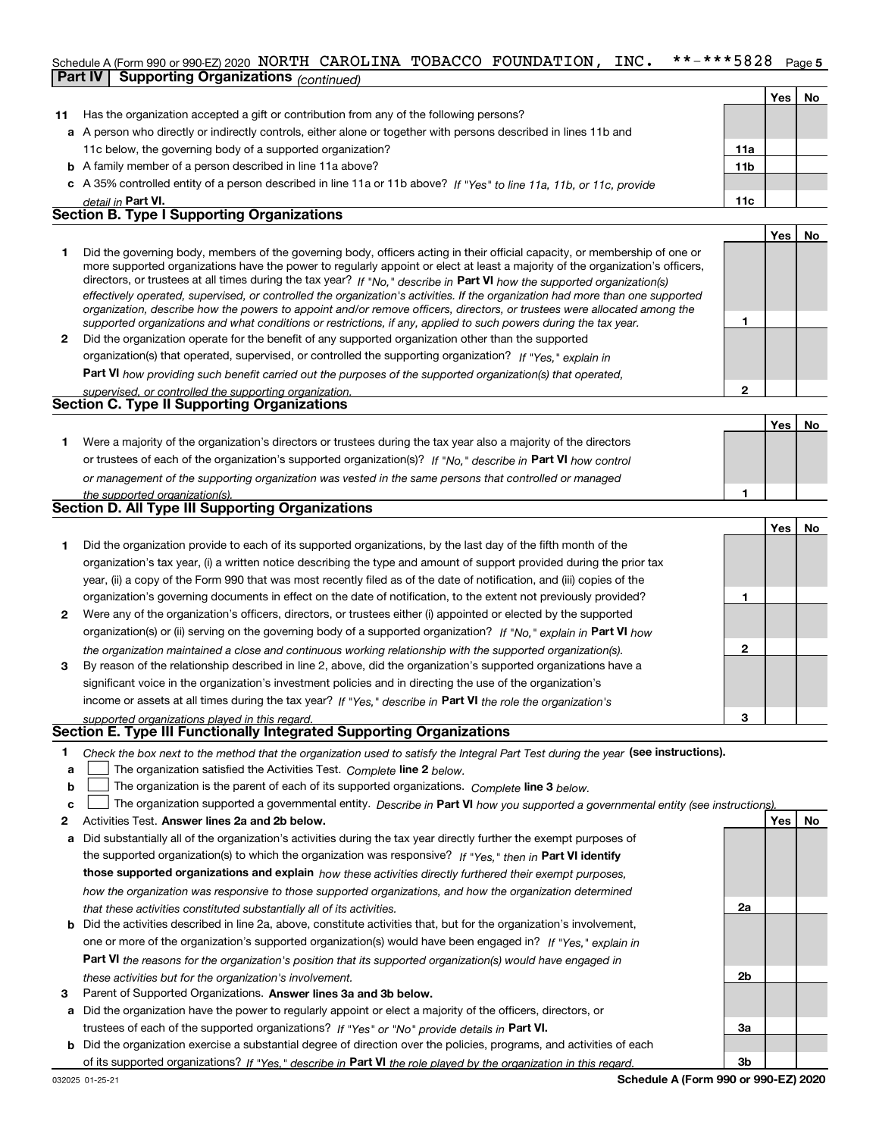#### $***$  \* \* \* 5828 Page 5 Schedule A (Form 990 or 990-EZ) 2020  $\,$  <code>NORTH CAROLINA TOBACCO FOUNDATION</code> , <code>INC. \*\*-\*\*\*5828</code> <code>Page</code> **Part IV Supporting Organizations** *(continued)*

|    |                                                                                                                                                                                                                                                             |                 | Yes | No. |
|----|-------------------------------------------------------------------------------------------------------------------------------------------------------------------------------------------------------------------------------------------------------------|-----------------|-----|-----|
| 11 | Has the organization accepted a gift or contribution from any of the following persons?                                                                                                                                                                     |                 |     |     |
|    | a A person who directly or indirectly controls, either alone or together with persons described in lines 11b and                                                                                                                                            |                 |     |     |
|    | 11c below, the governing body of a supported organization?                                                                                                                                                                                                  | 11a             |     |     |
|    | <b>b</b> A family member of a person described in line 11a above?                                                                                                                                                                                           | 11 <sub>b</sub> |     |     |
|    | c A 35% controlled entity of a person described in line 11a or 11b above? If "Yes" to line 11a, 11b, or 11c, provide                                                                                                                                        |                 |     |     |
|    | detail in Part VI.                                                                                                                                                                                                                                          | 11c             |     |     |
|    | <b>Section B. Type I Supporting Organizations</b>                                                                                                                                                                                                           |                 |     |     |
|    |                                                                                                                                                                                                                                                             |                 | Yes | No  |
|    | Did the governing body, members of the governing body, officers acting in their official capacity, or membership of one or<br>more supported organizations have the power to regularly appoint or elect at least a majority of the organization's officers, |                 |     |     |

|              | more supported organizations have the power to regularly appoint or elect at least a majority or the organization s onicers,<br>directors, or trustees at all times during the tax year? If "No," describe in Part VI how the supported organization(s)<br>effectively operated, supervised, or controlled the organization's activities. If the organization had more than one supported<br>organization, describe how the powers to appoint and/or remove officers, directors, or trustees were allocated among the |  |
|--------------|-----------------------------------------------------------------------------------------------------------------------------------------------------------------------------------------------------------------------------------------------------------------------------------------------------------------------------------------------------------------------------------------------------------------------------------------------------------------------------------------------------------------------|--|
|              | supported organizations and what conditions or restrictions, if any, applied to such powers during the tax year.                                                                                                                                                                                                                                                                                                                                                                                                      |  |
| $\mathbf{2}$ | Did the organization operate for the benefit of any supported organization other than the supported                                                                                                                                                                                                                                                                                                                                                                                                                   |  |
|              | organization(s) that operated, supervised, or controlled the supporting organization? If "Yes," explain in                                                                                                                                                                                                                                                                                                                                                                                                            |  |
|              | Part VI how providing such benefit carried out the purposes of the supported organization(s) that operated,                                                                                                                                                                                                                                                                                                                                                                                                           |  |

| Section C. Type II Supporting Organizations |                                                                                                                  |  |     |    |  |  |  |  |
|---------------------------------------------|------------------------------------------------------------------------------------------------------------------|--|-----|----|--|--|--|--|
|                                             |                                                                                                                  |  | Yes | No |  |  |  |  |
|                                             | Were a majority of the organization's directors or trustees during the tax year also a majority of the directors |  |     |    |  |  |  |  |
|                                             | or trustees of each of the organization's supported organization(s)? If "No." describe in Part VI how control    |  |     |    |  |  |  |  |
|                                             | or management of the supporting organization was vested in the same persons that controlled or managed           |  |     |    |  |  |  |  |

|              | the supported organization(s).                                                                                         |   |       |    |
|--------------|------------------------------------------------------------------------------------------------------------------------|---|-------|----|
|              | <b>Section D. All Type III Supporting Organizations</b>                                                                |   |       |    |
|              |                                                                                                                        |   | Yes l | No |
|              | Did the organization provide to each of its supported organizations, by the last day of the fifth month of the         |   |       |    |
|              | organization's tax year, (i) a written notice describing the type and amount of support provided during the prior tax  |   |       |    |
|              | year, (ii) a copy of the Form 990 that was most recently filed as of the date of notification, and (iii) copies of the |   |       |    |
|              | organization's governing documents in effect on the date of notification, to the extent not previously provided?       |   |       |    |
| $\mathbf{2}$ | Were any of the organization's officers, directors, or trustees either (i) appointed or elected by the supported       |   |       |    |
|              | organization(s) or (ii) serving on the governing body of a supported organization? If "No," explain in Part VI how     |   |       |    |
|              | the organization maintained a close and continuous working relationship with the supported organization(s).            | 2 |       |    |
| 3            | By reason of the relationship described in line 2, above, did the organization's supported organizations have a        |   |       |    |
|              | significant voice in the organization's investment policies and in directing the use of the organization's             |   |       |    |
|              | income or assets at all times during the tax year? If "Yes," describe in Part VI the role the organization's           |   |       |    |
|              | supported organizations played in this regard                                                                          | 3 |       |    |

## *supported organizations played in this regard.* **Section E. Type III Functionally Integrated Supporting Organizations**

- **1**Check the box next to the method that the organization used to satisfy the Integral Part Test during the year (see instructions).
- **alinupy** The organization satisfied the Activities Test. Complete line 2 below.
- **b**The organization is the parent of each of its supported organizations. *Complete* line 3 *below.*  $\mathcal{L}^{\text{max}}$

|  |  |  | $\mathbf{c}$ $\Box$ The organization supported a governmental entity. Describe in Part VI how you supported a governmental entity (see instructions). |  |
|--|--|--|-------------------------------------------------------------------------------------------------------------------------------------------------------|--|
|--|--|--|-------------------------------------------------------------------------------------------------------------------------------------------------------|--|

**2Answer lines 2a and 2b below. Yes No** Activities Test.

*supervised, or controlled the supporting organization.*

- **a** Did substantially all of the organization's activities during the tax year directly further the exempt purposes of the supported organization(s) to which the organization was responsive? If "Yes," then in **Part VI identify those supported organizations and explain**  *how these activities directly furthered their exempt purposes, how the organization was responsive to those supported organizations, and how the organization determined that these activities constituted substantially all of its activities.*
- **b** Did the activities described in line 2a, above, constitute activities that, but for the organization's involvement, **Part VI**  *the reasons for the organization's position that its supported organization(s) would have engaged in* one or more of the organization's supported organization(s) would have been engaged in? If "Yes," e*xplain in these activities but for the organization's involvement.*
- **3** Parent of Supported Organizations. Answer lines 3a and 3b below.

**a** Did the organization have the power to regularly appoint or elect a majority of the officers, directors, or trustees of each of the supported organizations? If "Yes" or "No" provide details in **Part VI.** 

**b** Did the organization exercise a substantial degree of direction over the policies, programs, and activities of each of its supported organizations? If "Yes," describe in Part VI the role played by the organization in this regard.

**2a**

**2b**

**3a**

**3b**

**2**

**1**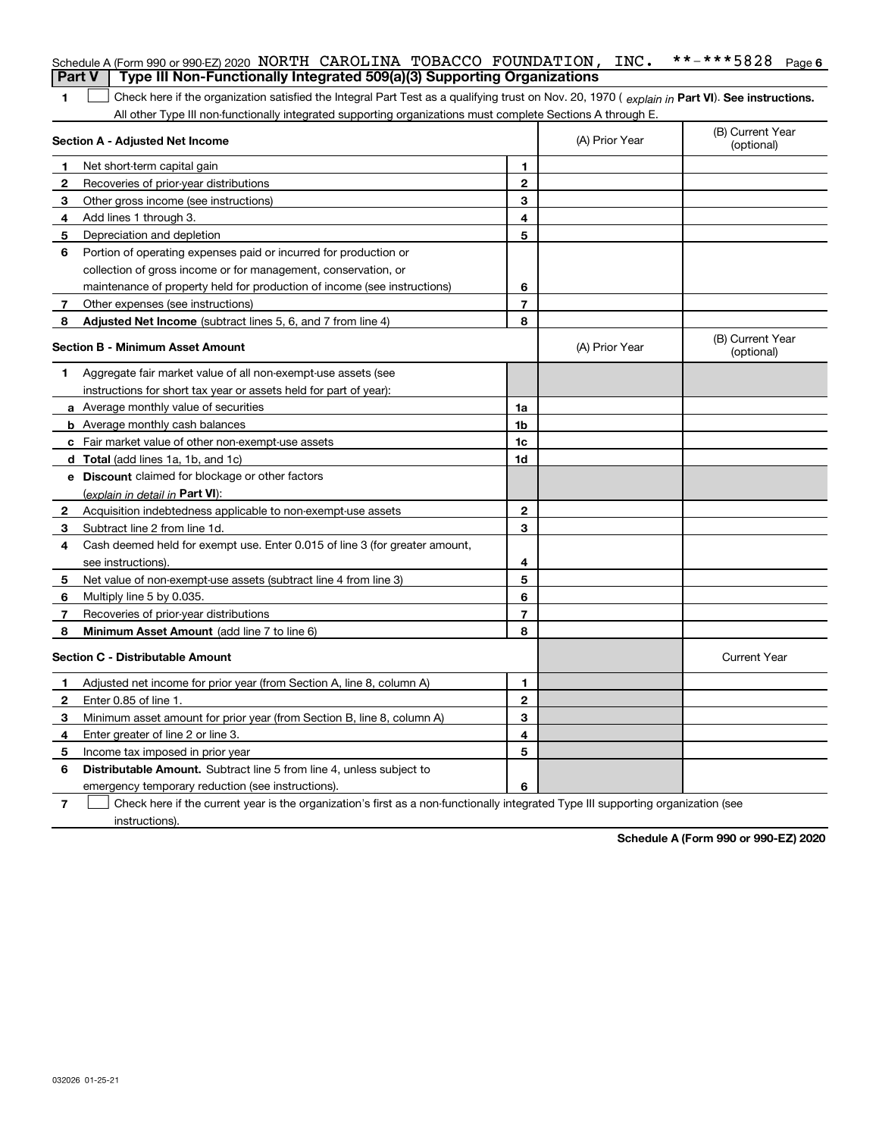|    | Schedule A (Form 990 or 990-EZ) 2020 NORTH CAROLINA TOBACCO FOUNDATION, $INC$ .                                                                |                |                | **-***5828<br>Page 6           |
|----|------------------------------------------------------------------------------------------------------------------------------------------------|----------------|----------------|--------------------------------|
|    | Type III Non-Functionally Integrated 509(a)(3) Supporting Organizations<br><b>Part V</b>                                                       |                |                |                                |
| 1  | Check here if the organization satisfied the Integral Part Test as a qualifying trust on Nov. 20, 1970 (explain in Part VI). See instructions. |                |                |                                |
|    | All other Type III non-functionally integrated supporting organizations must complete Sections A through E.                                    |                |                |                                |
|    | Section A - Adjusted Net Income                                                                                                                |                | (A) Prior Year | (B) Current Year<br>(optional) |
| 1  | Net short-term capital gain                                                                                                                    | 1              |                |                                |
| 2  | Recoveries of prior-year distributions                                                                                                         | $\mathbf 2$    |                |                                |
| 3  | Other gross income (see instructions)                                                                                                          | 3              |                |                                |
| 4  | Add lines 1 through 3.                                                                                                                         | 4              |                |                                |
| 5  | Depreciation and depletion                                                                                                                     | 5              |                |                                |
| 6  | Portion of operating expenses paid or incurred for production or                                                                               |                |                |                                |
|    | collection of gross income or for management, conservation, or                                                                                 |                |                |                                |
|    | maintenance of property held for production of income (see instructions)                                                                       | 6              |                |                                |
| 7  | Other expenses (see instructions)                                                                                                              | $\overline{7}$ |                |                                |
| 8  | Adjusted Net Income (subtract lines 5, 6, and 7 from line 4)                                                                                   | 8              |                |                                |
|    | <b>Section B - Minimum Asset Amount</b>                                                                                                        |                | (A) Prior Year | (B) Current Year<br>(optional) |
| 1  | Aggregate fair market value of all non-exempt-use assets (see                                                                                  |                |                |                                |
|    | instructions for short tax year or assets held for part of year):                                                                              |                |                |                                |
|    | <b>a</b> Average monthly value of securities                                                                                                   | 1a             |                |                                |
|    | <b>b</b> Average monthly cash balances                                                                                                         | 1b             |                |                                |
|    | <b>c</b> Fair market value of other non-exempt-use assets                                                                                      | 1c             |                |                                |
|    | d Total (add lines 1a, 1b, and 1c)                                                                                                             | 1d             |                |                                |
|    | e Discount claimed for blockage or other factors                                                                                               |                |                |                                |
|    | (explain in detail in Part VI):                                                                                                                |                |                |                                |
| 2  | Acquisition indebtedness applicable to non-exempt-use assets                                                                                   | 2              |                |                                |
| 3  | Subtract line 2 from line 1d.                                                                                                                  | 3              |                |                                |
| 4  | Cash deemed held for exempt use. Enter 0.015 of line 3 (for greater amount,                                                                    |                |                |                                |
|    | see instructions).                                                                                                                             | 4              |                |                                |
| 5  | Net value of non-exempt-use assets (subtract line 4 from line 3)                                                                               | 5              |                |                                |
| 6  | Multiply line 5 by 0.035.                                                                                                                      | 6              |                |                                |
| 7  | Recoveries of prior-year distributions                                                                                                         | $\overline{7}$ |                |                                |
| 8  | Minimum Asset Amount (add line 7 to line 6)                                                                                                    | 8              |                |                                |
|    | <b>Section C - Distributable Amount</b>                                                                                                        |                |                | <b>Current Year</b>            |
| 1. | Adjusted net income for prior year (from Section A, line 8, column A)                                                                          | 1              |                |                                |
| 2  | Enter 0.85 of line 1.                                                                                                                          | 2              |                |                                |
| 3  | Minimum asset amount for prior year (from Section B, line 8, column A)                                                                         | 3              |                |                                |
| 4  | Enter greater of line 2 or line 3.                                                                                                             | 4              |                |                                |
| 5  | Income tax imposed in prior year                                                                                                               | 5              |                |                                |
| 6  | Distributable Amount. Subtract line 5 from line 4, unless subject to                                                                           |                |                |                                |
|    | emergency temporary reduction (see instructions).                                                                                              | 6              |                |                                |
| 7  | Check here if the current year is the organization's first as a non-functionally integrated Type III supporting organization (see              |                |                |                                |

instructions).

**Schedule A (Form 990 or 990-EZ) 2020**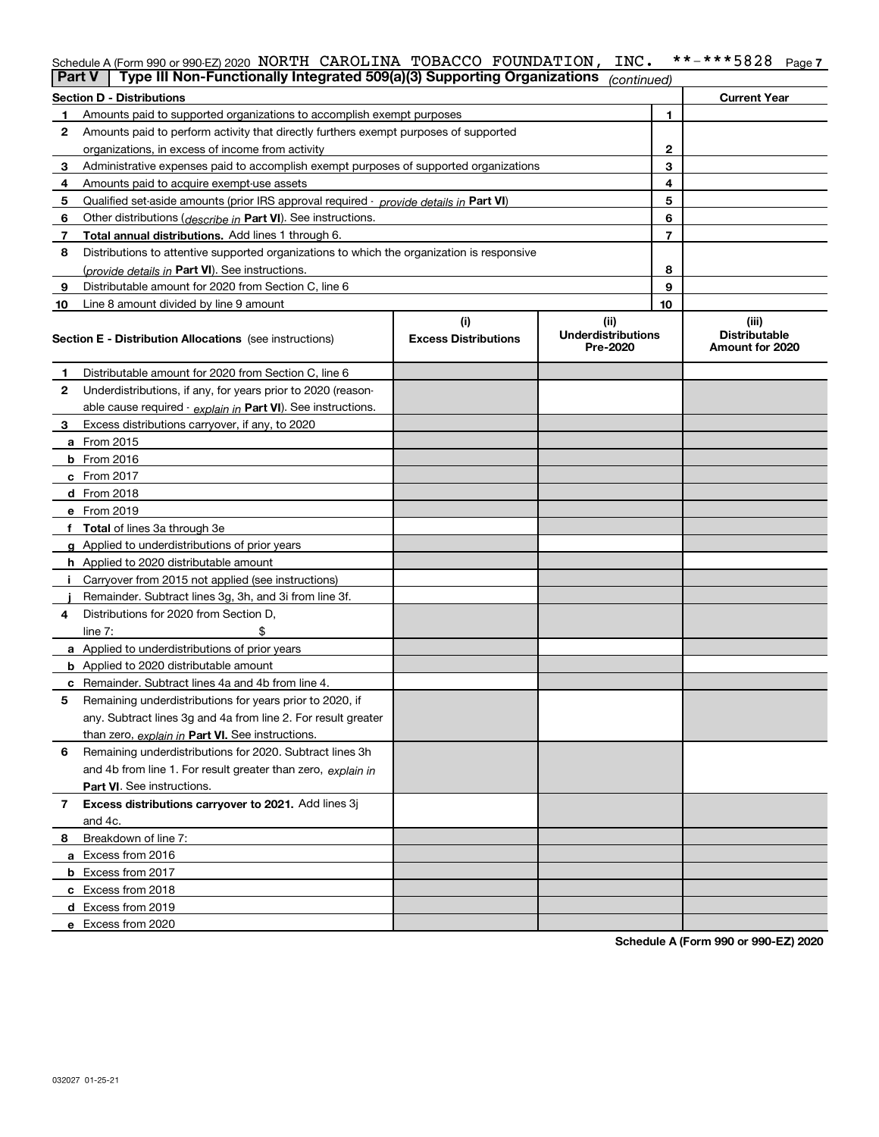| <b>Part V</b> | Schedule A (Form 990 or 990-EZ) 2020 NORTH CAROLINA TOBACCO FOUNDATION,<br>Type III Non-Functionally Integrated 509(a)(3) Supporting Organizations |                                    | INC.                                  |        |                                                  |  |
|---------------|----------------------------------------------------------------------------------------------------------------------------------------------------|------------------------------------|---------------------------------------|--------|--------------------------------------------------|--|
|               |                                                                                                                                                    |                                    | (continued)                           |        |                                                  |  |
|               | <b>Section D - Distributions</b>                                                                                                                   |                                    |                                       |        | <b>Current Year</b>                              |  |
| 1             | Amounts paid to supported organizations to accomplish exempt purposes                                                                              |                                    |                                       | 1      |                                                  |  |
| 2             | Amounts paid to perform activity that directly furthers exempt purposes of supported                                                               |                                    |                                       |        |                                                  |  |
|               | organizations, in excess of income from activity                                                                                                   |                                    |                                       | 2      |                                                  |  |
| 3             | Administrative expenses paid to accomplish exempt purposes of supported organizations                                                              |                                    |                                       | 3      |                                                  |  |
| 4             | Amounts paid to acquire exempt-use assets                                                                                                          |                                    |                                       | 4      |                                                  |  |
| 5             | Qualified set-aside amounts (prior IRS approval required - provide details in Part VI)                                                             |                                    |                                       | 5      |                                                  |  |
| 6             | Other distributions ( <i>describe in</i> Part VI). See instructions.                                                                               |                                    |                                       | 6      |                                                  |  |
| 7             | Total annual distributions. Add lines 1 through 6.                                                                                                 |                                    |                                       | 7      |                                                  |  |
| 8             | Distributions to attentive supported organizations to which the organization is responsive                                                         |                                    |                                       |        |                                                  |  |
|               | (provide details in Part VI). See instructions.                                                                                                    |                                    |                                       | 8<br>9 |                                                  |  |
| 9             | Distributable amount for 2020 from Section C, line 6                                                                                               |                                    |                                       | 10     |                                                  |  |
| 10            | Line 8 amount divided by line 9 amount                                                                                                             |                                    | (ii)                                  |        |                                                  |  |
|               | <b>Section E - Distribution Allocations</b> (see instructions)                                                                                     | (i)<br><b>Excess Distributions</b> | <b>Underdistributions</b><br>Pre-2020 |        | (iii)<br><b>Distributable</b><br>Amount for 2020 |  |
| 1             | Distributable amount for 2020 from Section C, line 6                                                                                               |                                    |                                       |        |                                                  |  |
| 2             | Underdistributions, if any, for years prior to 2020 (reason-                                                                                       |                                    |                                       |        |                                                  |  |
|               | able cause required - explain in Part VI). See instructions.                                                                                       |                                    |                                       |        |                                                  |  |
| 3             | Excess distributions carryover, if any, to 2020                                                                                                    |                                    |                                       |        |                                                  |  |
|               | a From 2015                                                                                                                                        |                                    |                                       |        |                                                  |  |
|               | <b>b</b> From 2016                                                                                                                                 |                                    |                                       |        |                                                  |  |
|               | c From 2017                                                                                                                                        |                                    |                                       |        |                                                  |  |
|               | d From 2018                                                                                                                                        |                                    |                                       |        |                                                  |  |
|               | e From 2019                                                                                                                                        |                                    |                                       |        |                                                  |  |
|               | f Total of lines 3a through 3e                                                                                                                     |                                    |                                       |        |                                                  |  |
|               | g Applied to underdistributions of prior years                                                                                                     |                                    |                                       |        |                                                  |  |
|               | <b>h</b> Applied to 2020 distributable amount                                                                                                      |                                    |                                       |        |                                                  |  |
| Ť.            | Carryover from 2015 not applied (see instructions)                                                                                                 |                                    |                                       |        |                                                  |  |
|               | Remainder. Subtract lines 3g, 3h, and 3i from line 3f.                                                                                             |                                    |                                       |        |                                                  |  |
| 4             | Distributions for 2020 from Section D.                                                                                                             |                                    |                                       |        |                                                  |  |
|               | line $7:$                                                                                                                                          |                                    |                                       |        |                                                  |  |
|               | a Applied to underdistributions of prior years                                                                                                     |                                    |                                       |        |                                                  |  |
|               | <b>b</b> Applied to 2020 distributable amount                                                                                                      |                                    |                                       |        |                                                  |  |
|               | <b>c</b> Remainder. Subtract lines 4a and 4b from line 4.                                                                                          |                                    |                                       |        |                                                  |  |
|               | Remaining underdistributions for years prior to 2020, if                                                                                           |                                    |                                       |        |                                                  |  |
|               | any. Subtract lines 3g and 4a from line 2. For result greater                                                                                      |                                    |                                       |        |                                                  |  |
|               | than zero, explain in Part VI. See instructions.                                                                                                   |                                    |                                       |        |                                                  |  |
| 6             | Remaining underdistributions for 2020. Subtract lines 3h                                                                                           |                                    |                                       |        |                                                  |  |
|               | and 4b from line 1. For result greater than zero, explain in                                                                                       |                                    |                                       |        |                                                  |  |
|               | Part VI. See instructions.                                                                                                                         |                                    |                                       |        |                                                  |  |
| 7             | Excess distributions carryover to 2021. Add lines 3j                                                                                               |                                    |                                       |        |                                                  |  |
|               | and 4c.                                                                                                                                            |                                    |                                       |        |                                                  |  |
| 8             | Breakdown of line 7:                                                                                                                               |                                    |                                       |        |                                                  |  |
|               | a Excess from 2016                                                                                                                                 |                                    |                                       |        |                                                  |  |
|               | <b>b</b> Excess from 2017                                                                                                                          |                                    |                                       |        |                                                  |  |
|               | c Excess from 2018                                                                                                                                 |                                    |                                       |        |                                                  |  |
|               | d Excess from 2019                                                                                                                                 |                                    |                                       |        |                                                  |  |
|               | e Excess from 2020                                                                                                                                 |                                    |                                       |        |                                                  |  |

**Schedule A (Form 990 or 990-EZ) 2020**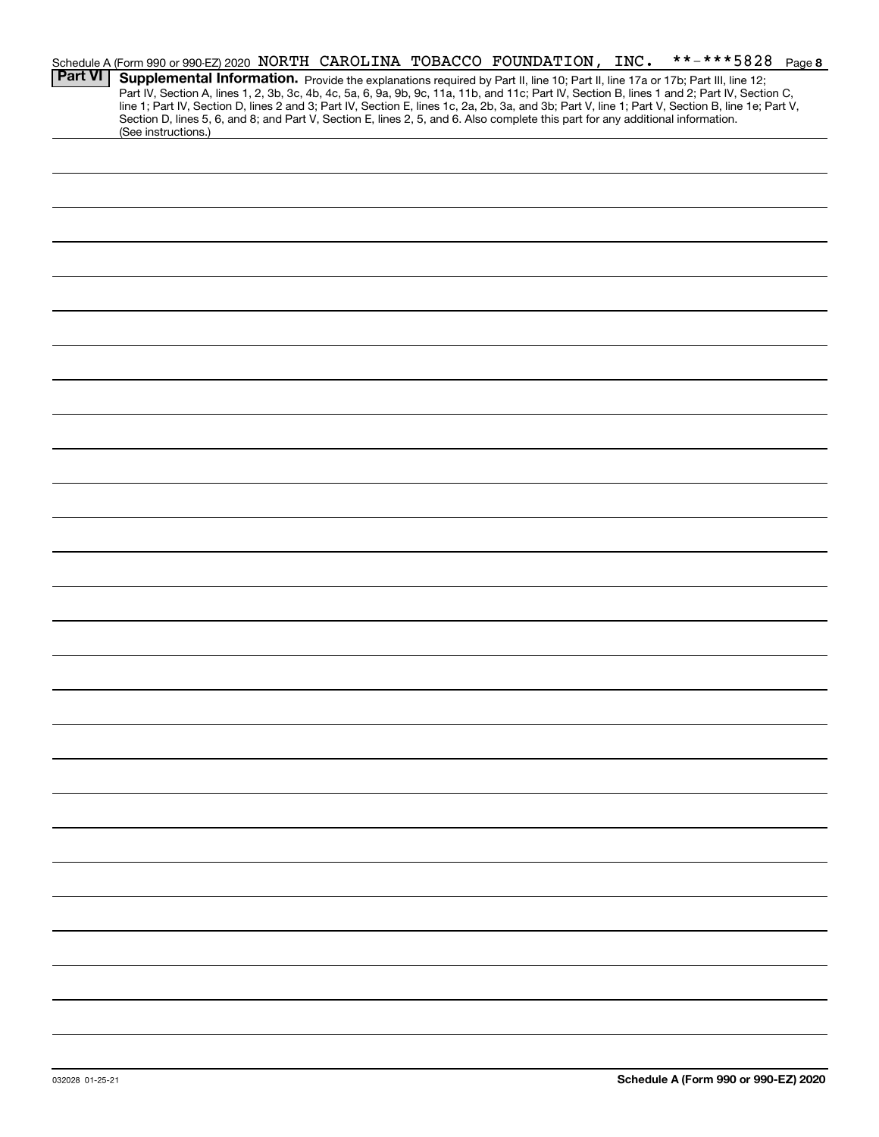|                | **-***5828 Page 8<br>Schedule A (Form 990 or 990-EZ) 2020 NORTH CAROLINA TOBACCO FOUNDATION, INC.                                                                                                                                                                                                |
|----------------|--------------------------------------------------------------------------------------------------------------------------------------------------------------------------------------------------------------------------------------------------------------------------------------------------|
| <b>Part VI</b> | Supplemental Information. Provide the explanations required by Part II, line 10; Part II, line 17a or 17b; Part III, line 12;                                                                                                                                                                    |
|                | Part IV, Section A, lines 1, 2, 3b, 3c, 4b, 4c, 5a, 6, 9a, 9b, 9c, 11a, 11b, and 11c; Part IV, Section B, lines 1 and 2; Part IV, Section C,<br>line 1; Part IV, Section D, lines 2 and 3; Part IV, Section E, lines 1c, 2a, 2b, 3a, and 3b; Part V, line 1; Part V, Section B, line 1e; Part V, |
|                | Section D, lines 5, 6, and 8; and Part V, Section E, lines 2, 5, and 6. Also complete this part for any additional information.                                                                                                                                                                  |
|                | (See instructions.)                                                                                                                                                                                                                                                                              |
|                |                                                                                                                                                                                                                                                                                                  |
|                |                                                                                                                                                                                                                                                                                                  |
|                |                                                                                                                                                                                                                                                                                                  |
|                |                                                                                                                                                                                                                                                                                                  |
|                |                                                                                                                                                                                                                                                                                                  |
|                |                                                                                                                                                                                                                                                                                                  |
|                |                                                                                                                                                                                                                                                                                                  |
|                |                                                                                                                                                                                                                                                                                                  |
|                |                                                                                                                                                                                                                                                                                                  |
|                |                                                                                                                                                                                                                                                                                                  |
|                |                                                                                                                                                                                                                                                                                                  |
|                |                                                                                                                                                                                                                                                                                                  |
|                |                                                                                                                                                                                                                                                                                                  |
|                |                                                                                                                                                                                                                                                                                                  |
|                |                                                                                                                                                                                                                                                                                                  |
|                |                                                                                                                                                                                                                                                                                                  |
|                |                                                                                                                                                                                                                                                                                                  |
|                |                                                                                                                                                                                                                                                                                                  |
|                |                                                                                                                                                                                                                                                                                                  |
|                |                                                                                                                                                                                                                                                                                                  |
|                |                                                                                                                                                                                                                                                                                                  |
|                |                                                                                                                                                                                                                                                                                                  |
|                |                                                                                                                                                                                                                                                                                                  |
|                |                                                                                                                                                                                                                                                                                                  |
|                |                                                                                                                                                                                                                                                                                                  |
|                |                                                                                                                                                                                                                                                                                                  |
|                |                                                                                                                                                                                                                                                                                                  |
|                |                                                                                                                                                                                                                                                                                                  |
|                |                                                                                                                                                                                                                                                                                                  |
|                |                                                                                                                                                                                                                                                                                                  |
|                |                                                                                                                                                                                                                                                                                                  |
|                |                                                                                                                                                                                                                                                                                                  |
|                |                                                                                                                                                                                                                                                                                                  |
|                |                                                                                                                                                                                                                                                                                                  |
|                |                                                                                                                                                                                                                                                                                                  |
|                |                                                                                                                                                                                                                                                                                                  |
|                |                                                                                                                                                                                                                                                                                                  |
|                |                                                                                                                                                                                                                                                                                                  |
|                |                                                                                                                                                                                                                                                                                                  |
|                |                                                                                                                                                                                                                                                                                                  |
|                |                                                                                                                                                                                                                                                                                                  |
|                |                                                                                                                                                                                                                                                                                                  |
|                |                                                                                                                                                                                                                                                                                                  |
|                |                                                                                                                                                                                                                                                                                                  |
|                |                                                                                                                                                                                                                                                                                                  |
|                |                                                                                                                                                                                                                                                                                                  |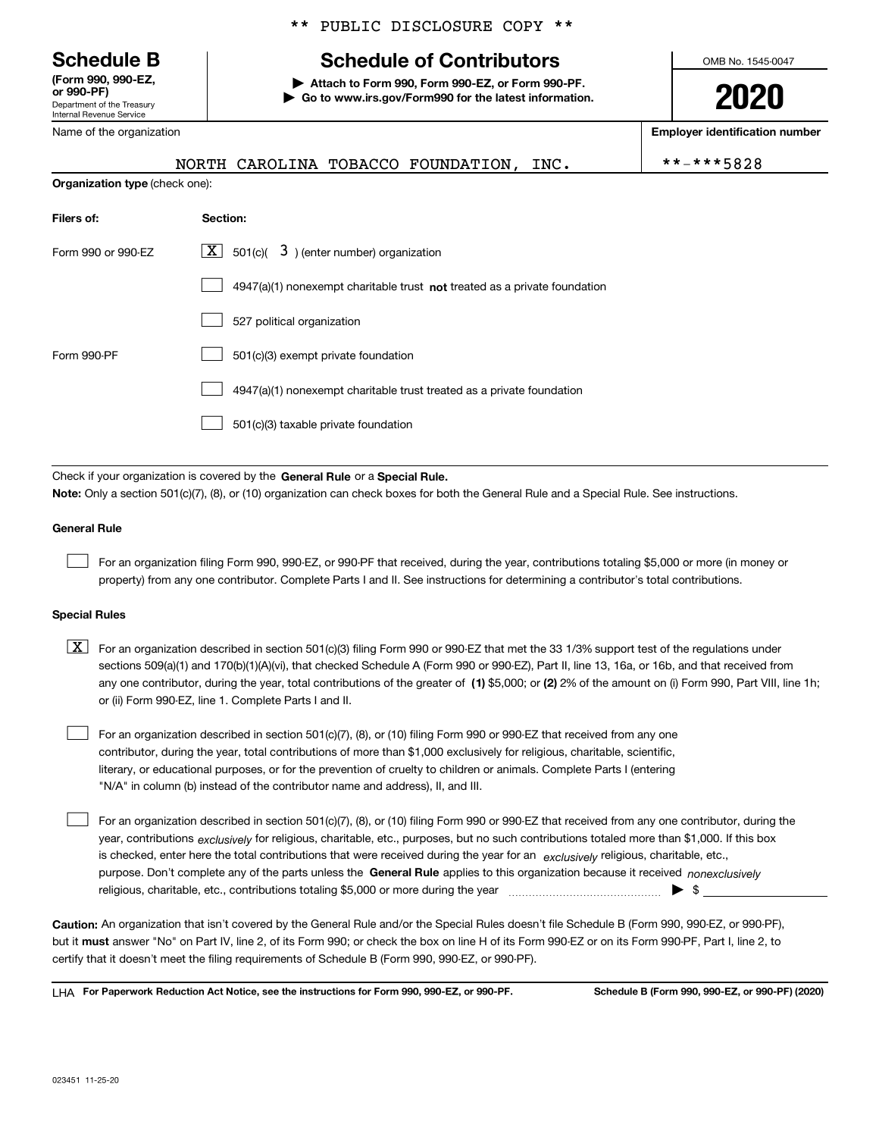Department of the Treasury Internal Revenue Service **(Form 990, 990-EZ, or 990-PF)**

Name of the organization

## **Schedule B Schedule of Contributors**

\*\* PUBLIC DISCLOSURE COPY \*\*

**| Attach to Form 990, Form 990-EZ, or Form 990-PF. | Go to www.irs.gov/Form990 for the latest information.** OMB No. 1545-0047

**2020**

**Employer identification number**

|                                       | **-***5828<br>NORTH CAROLINA TOBACCO FOUNDATION, INC.                       |  |
|---------------------------------------|-----------------------------------------------------------------------------|--|
| <b>Organization type (check one):</b> |                                                                             |  |
| Filers of:                            | Section:                                                                    |  |
| Form 990 or 990-EZ                    | $\underline{X}$ 501(c)( 3) (enter number) organization                      |  |
|                                       | $4947(a)(1)$ nonexempt charitable trust not treated as a private foundation |  |
|                                       | 527 political organization                                                  |  |
| Form 990-PF                           | 501(c)(3) exempt private foundation                                         |  |
|                                       | 4947(a)(1) nonexempt charitable trust treated as a private foundation       |  |

501(c)(3) taxable private foundation  $\mathcal{L}^{\text{max}}$ 

Check if your organization is covered by the **General Rule** or a **Special Rule. Note:**  Only a section 501(c)(7), (8), or (10) organization can check boxes for both the General Rule and a Special Rule. See instructions.

### **General Rule**

 $\mathcal{L}^{\text{max}}$ 

For an organization filing Form 990, 990-EZ, or 990-PF that received, during the year, contributions totaling \$5,000 or more (in money or property) from any one contributor. Complete Parts I and II. See instructions for determining a contributor's total contributions.

### **Special Rules**

any one contributor, during the year, total contributions of the greater of  $\,$  (1) \$5,000; or **(2)** 2% of the amount on (i) Form 990, Part VIII, line 1h;  $\boxed{\textbf{X}}$  For an organization described in section 501(c)(3) filing Form 990 or 990-EZ that met the 33 1/3% support test of the regulations under sections 509(a)(1) and 170(b)(1)(A)(vi), that checked Schedule A (Form 990 or 990-EZ), Part II, line 13, 16a, or 16b, and that received from or (ii) Form 990-EZ, line 1. Complete Parts I and II.

For an organization described in section 501(c)(7), (8), or (10) filing Form 990 or 990-EZ that received from any one contributor, during the year, total contributions of more than \$1,000 exclusively for religious, charitable, scientific, literary, or educational purposes, or for the prevention of cruelty to children or animals. Complete Parts I (entering "N/A" in column (b) instead of the contributor name and address), II, and III.  $\mathcal{L}^{\text{max}}$ 

purpose. Don't complete any of the parts unless the **General Rule** applies to this organization because it received *nonexclusively* year, contributions <sub>exclusively</sub> for religious, charitable, etc., purposes, but no such contributions totaled more than \$1,000. If this box is checked, enter here the total contributions that were received during the year for an  $\;$ exclusively religious, charitable, etc., For an organization described in section 501(c)(7), (8), or (10) filing Form 990 or 990-EZ that received from any one contributor, during the religious, charitable, etc., contributions totaling \$5,000 or more during the year  $\Box$ — $\Box$   $\Box$  $\mathcal{L}^{\text{max}}$ 

**Caution:**  An organization that isn't covered by the General Rule and/or the Special Rules doesn't file Schedule B (Form 990, 990-EZ, or 990-PF),  **must** but it answer "No" on Part IV, line 2, of its Form 990; or check the box on line H of its Form 990-EZ or on its Form 990-PF, Part I, line 2, to certify that it doesn't meet the filing requirements of Schedule B (Form 990, 990-EZ, or 990-PF).

**For Paperwork Reduction Act Notice, see the instructions for Form 990, 990-EZ, or 990-PF. Schedule B (Form 990, 990-EZ, or 990-PF) (2020)** LHA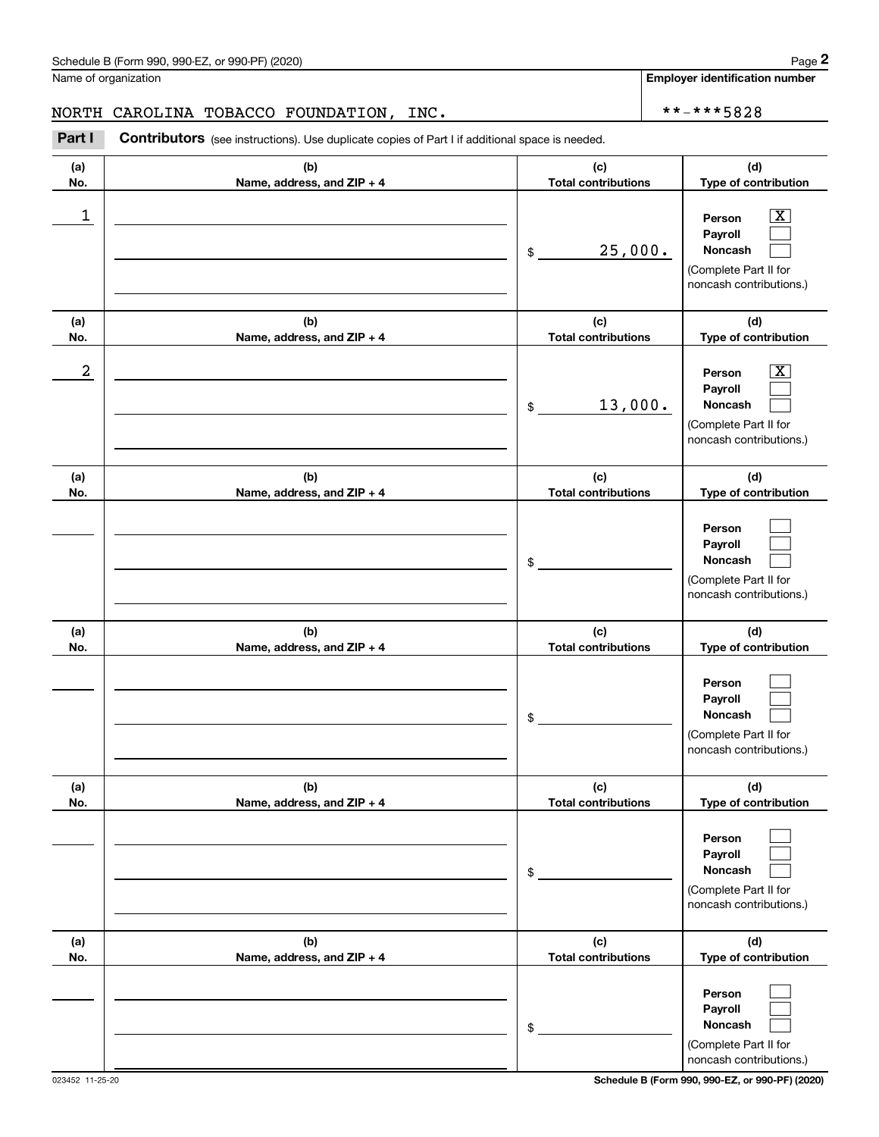## NORTH CAROLINA TOBACCO FOUNDATION, INC. \*\*-\*\*\*5828

|                      | Schedule B (Form 990, 990-EZ, or 990-PF) (2020)                                                |                                             | Page 2                                                                                                                            |
|----------------------|------------------------------------------------------------------------------------------------|---------------------------------------------|-----------------------------------------------------------------------------------------------------------------------------------|
| Name of organization |                                                                                                |                                             | <b>Employer identification number</b>                                                                                             |
| NORTH                | CAROLINA TOBACCO FOUNDATION, INC.                                                              |                                             | **-***5828                                                                                                                        |
| Part I               | Contributors (see instructions). Use duplicate copies of Part I if additional space is needed. |                                             |                                                                                                                                   |
| (a)<br>No.           | (b)<br>Name, address, and ZIP + 4                                                              | (c)<br><b>Total contributions</b>           | (d)<br>Type of contribution                                                                                                       |
| 1                    |                                                                                                | 25,000.<br>\$                               | $\overline{\text{X}}$<br>Person<br>Payroll<br>Noncash<br>(Complete Part II for<br>noncash contributions.)                         |
| (a)                  | (b)                                                                                            | (c)                                         | (d)                                                                                                                               |
| No.<br>2             | Name, address, and ZIP + 4                                                                     | <b>Total contributions</b><br>13,000.<br>\$ | Type of contribution<br>$\overline{\text{X}}$<br>Person<br>Payroll<br>Noncash<br>(Complete Part II for<br>noncash contributions.) |
| (a)<br>No.           | (b)<br>Name, address, and ZIP + 4                                                              | (c)<br><b>Total contributions</b>           | (d)<br>Type of contribution                                                                                                       |
|                      |                                                                                                | \$                                          | Person<br>Payroll<br>Noncash<br>(Complete Part II for<br>noncash contributions.)                                                  |
| (a)<br>No.           | (b)<br>Name, address, and ZIP + 4                                                              | (c)<br><b>Total contributions</b>           | (d)<br>Type of contribution                                                                                                       |
|                      |                                                                                                | \$                                          | Person<br>Payroll<br>Noncash<br>(Complete Part II for<br>noncash contributions.)                                                  |
| (a)<br>No.           | (b)<br>Name, address, and ZIP + 4                                                              | (c)<br><b>Total contributions</b>           | (d)<br>Type of contribution                                                                                                       |
|                      |                                                                                                | \$                                          | Person<br>Payroll<br>Noncash<br>(Complete Part II for<br>noncash contributions.)                                                  |
| (a)<br>No.           | (b)<br>Name, address, and ZIP + 4                                                              | (c)<br><b>Total contributions</b>           | (d)<br>Type of contribution                                                                                                       |
|                      |                                                                                                | \$                                          | Person<br>Payroll<br>Noncash<br>(Complete Part II for<br>noncash contributions.)                                                  |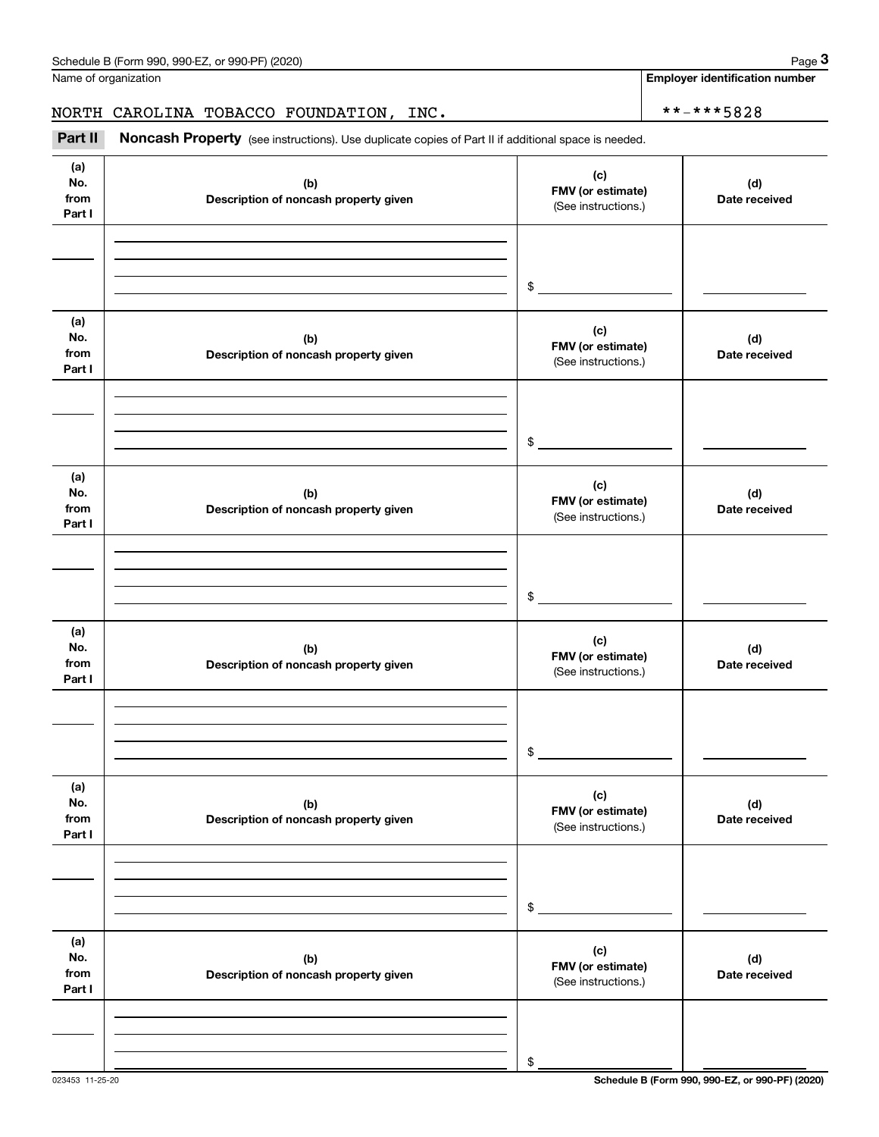**Employer identification number**

Chedule B (Form 990, 990-EZ, or 990-PF) (2020)<br>
lame of organization<br> **3Part II** CAROLINA TOBACCO FOUNDATION, INC.<br> **Part II** Noncash Property (see instructions). Use duplicate copies of Part II if additional space is need NORTH CAROLINA TOBACCO FOUNDATION, INC.  $\left\vert \frac{***-**5828}{*+***5828} \right\vert$ 

| (a)<br>No.<br>from<br>Part I | (b)<br>Description of noncash property given | (c)<br>FMV (or estimate)<br>(See instructions.) | (d)<br>Date received |
|------------------------------|----------------------------------------------|-------------------------------------------------|----------------------|
|                              |                                              |                                                 |                      |
|                              |                                              | $$\circ$$                                       |                      |
|                              |                                              |                                                 |                      |
| (a)<br>No.<br>from<br>Part I | (b)<br>Description of noncash property given | (c)<br>FMV (or estimate)<br>(See instructions.) | (d)<br>Date received |
|                              |                                              |                                                 |                      |
|                              |                                              |                                                 |                      |
|                              |                                              | \$                                              |                      |
| (a)                          |                                              | (c)                                             |                      |
| No.<br>from<br>Part I        | (b)<br>Description of noncash property given | FMV (or estimate)<br>(See instructions.)        | (d)<br>Date received |
|                              |                                              |                                                 |                      |
|                              |                                              | \$                                              |                      |
|                              |                                              |                                                 |                      |
| (a)<br>No.<br>from<br>Part I | (b)<br>Description of noncash property given | (c)<br>FMV (or estimate)<br>(See instructions.) | (d)<br>Date received |
|                              |                                              |                                                 |                      |
|                              |                                              |                                                 |                      |
|                              |                                              | \$                                              |                      |
| (a)<br>No.<br>from<br>Part I | (b)<br>Description of noncash property given | (c)<br>FMV (or estimate)<br>(See instructions.) | (d)<br>Date received |
|                              |                                              |                                                 |                      |
|                              |                                              |                                                 |                      |
|                              |                                              | \$                                              |                      |
| (a)<br>No.<br>from<br>Part I | (b)<br>Description of noncash property given | (c)<br>FMV (or estimate)<br>(See instructions.) | (d)<br>Date received |
|                              |                                              |                                                 |                      |
|                              |                                              |                                                 |                      |
|                              |                                              | \$                                              |                      |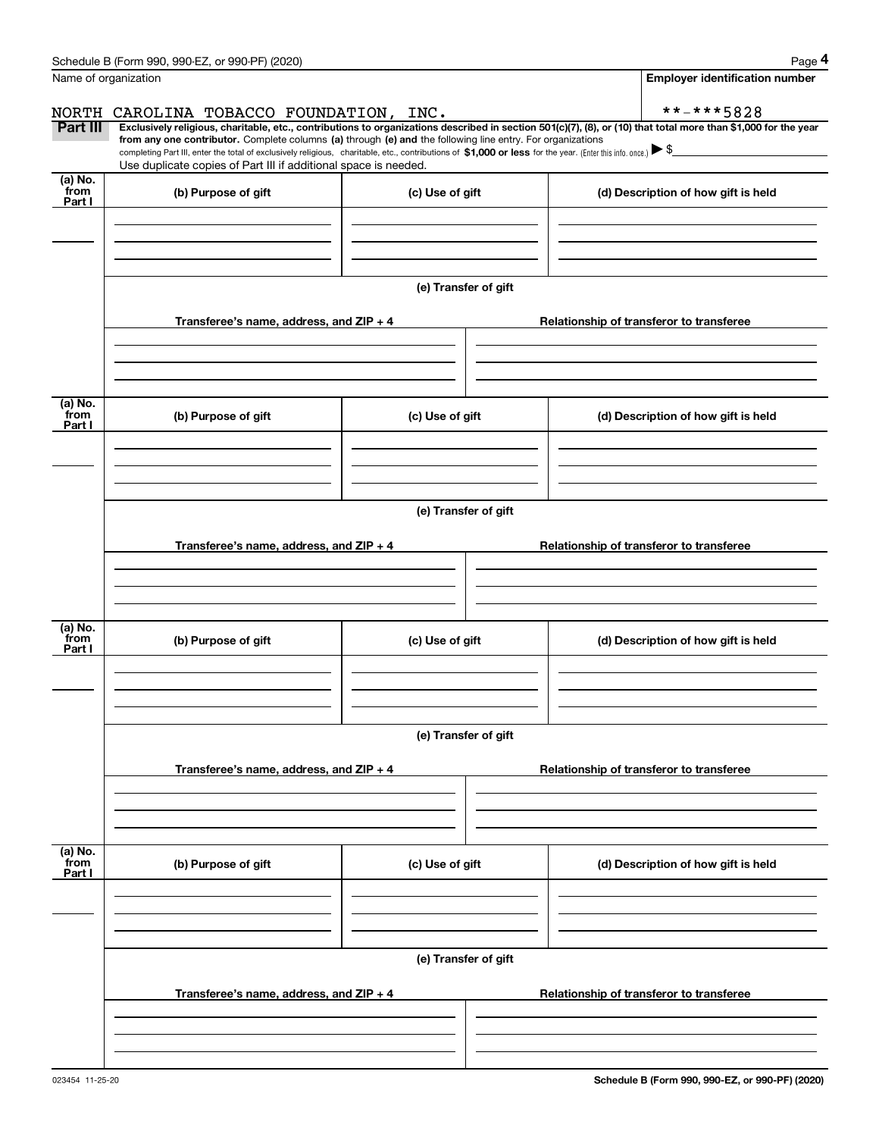|                           | Schedule B (Form 990, 990-EZ, or 990-PF) (2020)                                                                                                                                    |                      | Page 4                                                                                                                                                         |  |  |  |  |  |
|---------------------------|------------------------------------------------------------------------------------------------------------------------------------------------------------------------------------|----------------------|----------------------------------------------------------------------------------------------------------------------------------------------------------------|--|--|--|--|--|
|                           | Name of organization                                                                                                                                                               |                      | Employer identification number                                                                                                                                 |  |  |  |  |  |
| NORTH                     | CAROLINA TOBACCO FOUNDATION, INC.                                                                                                                                                  |                      | **-***5828                                                                                                                                                     |  |  |  |  |  |
| Part III                  | from any one contributor. Complete columns (a) through (e) and the following line entry. For organizations                                                                         |                      | Exclusively religious, charitable, etc., contributions to organizations described in section 501(c)(7), (8), or (10) that total more than \$1,000 for the year |  |  |  |  |  |
|                           | completing Part III, enter the total of exclusively religious, charitable, etc., contributions of $$1,000$ or less for the year. (Enter this info. once.) $\blacktriangleright$ \$ |                      |                                                                                                                                                                |  |  |  |  |  |
| (a) No.                   | Use duplicate copies of Part III if additional space is needed.                                                                                                                    |                      |                                                                                                                                                                |  |  |  |  |  |
| from<br>Part I            | (b) Purpose of gift                                                                                                                                                                | (c) Use of gift      | (d) Description of how gift is held                                                                                                                            |  |  |  |  |  |
|                           |                                                                                                                                                                                    |                      |                                                                                                                                                                |  |  |  |  |  |
|                           |                                                                                                                                                                                    |                      |                                                                                                                                                                |  |  |  |  |  |
|                           |                                                                                                                                                                                    |                      |                                                                                                                                                                |  |  |  |  |  |
|                           |                                                                                                                                                                                    | (e) Transfer of gift |                                                                                                                                                                |  |  |  |  |  |
|                           | Transferee's name, address, and $ZIP + 4$                                                                                                                                          |                      | Relationship of transferor to transferee                                                                                                                       |  |  |  |  |  |
|                           |                                                                                                                                                                                    |                      |                                                                                                                                                                |  |  |  |  |  |
|                           |                                                                                                                                                                                    |                      |                                                                                                                                                                |  |  |  |  |  |
|                           |                                                                                                                                                                                    |                      |                                                                                                                                                                |  |  |  |  |  |
| (a) No.<br>from           |                                                                                                                                                                                    |                      |                                                                                                                                                                |  |  |  |  |  |
| Part I                    | (b) Purpose of gift                                                                                                                                                                | (c) Use of gift      | (d) Description of how gift is held                                                                                                                            |  |  |  |  |  |
|                           |                                                                                                                                                                                    |                      |                                                                                                                                                                |  |  |  |  |  |
|                           |                                                                                                                                                                                    |                      |                                                                                                                                                                |  |  |  |  |  |
|                           |                                                                                                                                                                                    |                      |                                                                                                                                                                |  |  |  |  |  |
|                           | (e) Transfer of gift                                                                                                                                                               |                      |                                                                                                                                                                |  |  |  |  |  |
|                           | Transferee's name, address, and ZIP + 4                                                                                                                                            |                      | Relationship of transferor to transferee                                                                                                                       |  |  |  |  |  |
|                           |                                                                                                                                                                                    |                      |                                                                                                                                                                |  |  |  |  |  |
|                           |                                                                                                                                                                                    |                      |                                                                                                                                                                |  |  |  |  |  |
|                           |                                                                                                                                                                                    |                      |                                                                                                                                                                |  |  |  |  |  |
| (a) No.<br>from<br>Part I | (b) Purpose of gift                                                                                                                                                                | (c) Use of gift      | (d) Description of how gift is held                                                                                                                            |  |  |  |  |  |
|                           |                                                                                                                                                                                    |                      |                                                                                                                                                                |  |  |  |  |  |
|                           |                                                                                                                                                                                    |                      |                                                                                                                                                                |  |  |  |  |  |
|                           |                                                                                                                                                                                    |                      |                                                                                                                                                                |  |  |  |  |  |
|                           |                                                                                                                                                                                    | (e) Transfer of gift |                                                                                                                                                                |  |  |  |  |  |
|                           |                                                                                                                                                                                    |                      |                                                                                                                                                                |  |  |  |  |  |
|                           | Transferee's name, address, and ZIP + 4                                                                                                                                            |                      | Relationship of transferor to transferee                                                                                                                       |  |  |  |  |  |
|                           |                                                                                                                                                                                    |                      |                                                                                                                                                                |  |  |  |  |  |
|                           |                                                                                                                                                                                    |                      |                                                                                                                                                                |  |  |  |  |  |
| (a) No.<br>from           |                                                                                                                                                                                    |                      |                                                                                                                                                                |  |  |  |  |  |
| Part I                    | (b) Purpose of gift                                                                                                                                                                | (c) Use of gift      | (d) Description of how gift is held                                                                                                                            |  |  |  |  |  |
|                           |                                                                                                                                                                                    |                      |                                                                                                                                                                |  |  |  |  |  |
|                           |                                                                                                                                                                                    |                      |                                                                                                                                                                |  |  |  |  |  |
|                           |                                                                                                                                                                                    |                      |                                                                                                                                                                |  |  |  |  |  |
|                           |                                                                                                                                                                                    | (e) Transfer of gift |                                                                                                                                                                |  |  |  |  |  |
|                           | Transferee's name, address, and $ZIP + 4$                                                                                                                                          |                      | Relationship of transferor to transferee                                                                                                                       |  |  |  |  |  |
|                           |                                                                                                                                                                                    |                      |                                                                                                                                                                |  |  |  |  |  |
|                           |                                                                                                                                                                                    |                      |                                                                                                                                                                |  |  |  |  |  |
|                           |                                                                                                                                                                                    |                      |                                                                                                                                                                |  |  |  |  |  |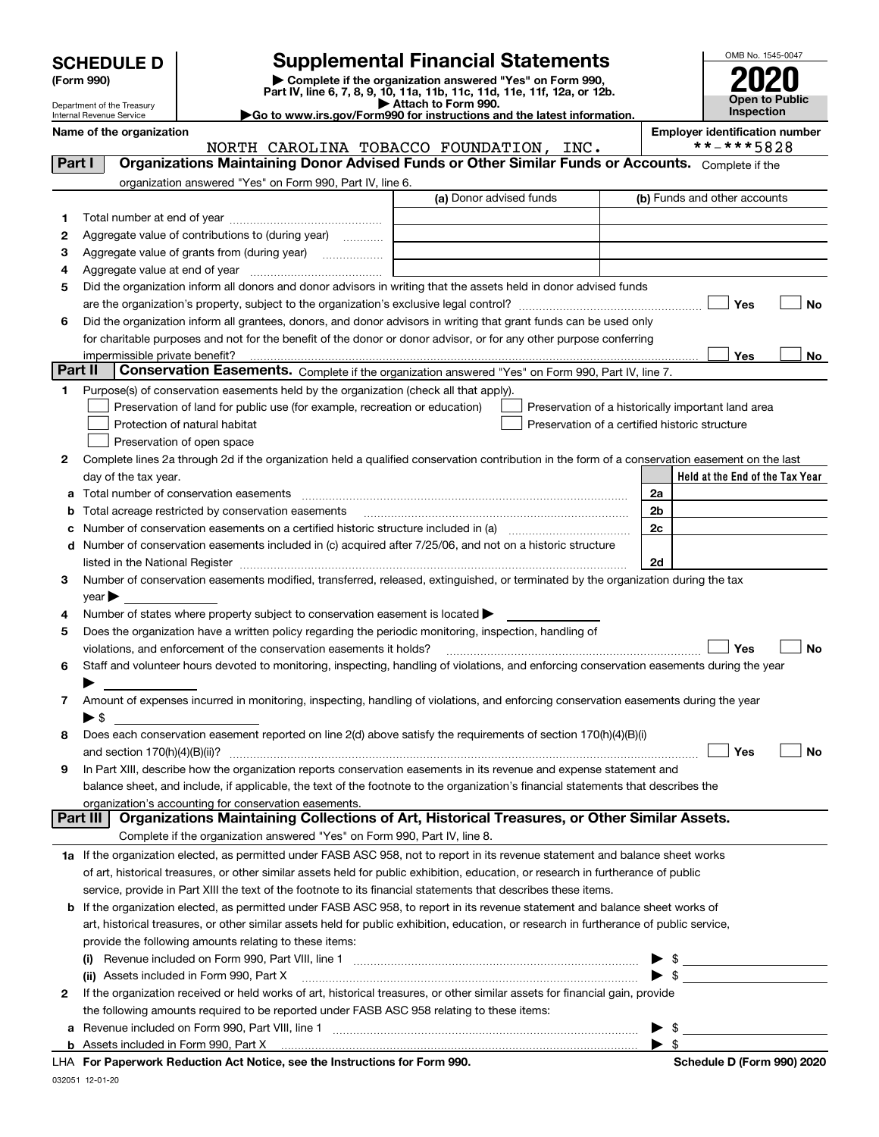|  | <b>SCHEDULE D</b> |  |  |  |
|--|-------------------|--|--|--|
|--|-------------------|--|--|--|

032051 12-01-20

## **SCHEDULE D Supplemental Financial Statements**

(Form 990)<br>
Pepartment of the Treasury<br>
Department of the Treasury<br>
Department of the Treasury<br>
Department of the Treasury<br> **Co to www.irs.gov/Form990 for instructions and the latest information.**<br> **Co to www.irs.gov/Form9** 



Department of the Treasury Internal Revenue Service

| Name of the organization |  |
|--------------------------|--|
|--------------------------|--|

NORTH CAROLINA TOBACCO FOUNDATION, INC. \*\*-\*\*\*5828

**Employer identification number**<br>\*\*-\*\*\*5828

| Part I  |                            | <b>Organizations Maintaining Donor Advised Funds or Other Similar Funds or Accounts.</b> Complete if the                                       |                         |                                                                                                                                                                                                                                                 |
|---------|----------------------------|------------------------------------------------------------------------------------------------------------------------------------------------|-------------------------|-------------------------------------------------------------------------------------------------------------------------------------------------------------------------------------------------------------------------------------------------|
|         |                            | organization answered "Yes" on Form 990, Part IV, line 6.                                                                                      | (a) Donor advised funds | (b) Funds and other accounts                                                                                                                                                                                                                    |
| 1.      |                            |                                                                                                                                                |                         |                                                                                                                                                                                                                                                 |
| 2       |                            | Aggregate value of contributions to (during year)                                                                                              |                         |                                                                                                                                                                                                                                                 |
| з       |                            | Aggregate value of grants from (during year)                                                                                                   |                         |                                                                                                                                                                                                                                                 |
| 4       |                            |                                                                                                                                                |                         |                                                                                                                                                                                                                                                 |
| 5       |                            | Did the organization inform all donors and donor advisors in writing that the assets held in donor advised funds                               |                         |                                                                                                                                                                                                                                                 |
|         |                            |                                                                                                                                                |                         | Yes<br>No                                                                                                                                                                                                                                       |
| 6       |                            | Did the organization inform all grantees, donors, and donor advisors in writing that grant funds can be used only                              |                         |                                                                                                                                                                                                                                                 |
|         |                            | for charitable purposes and not for the benefit of the donor or donor advisor, or for any other purpose conferring                             |                         |                                                                                                                                                                                                                                                 |
|         |                            |                                                                                                                                                |                         | Yes<br>No                                                                                                                                                                                                                                       |
| Part II |                            | Conservation Easements. Complete if the organization answered "Yes" on Form 990, Part IV, line 7.                                              |                         |                                                                                                                                                                                                                                                 |
| 1       |                            | Purpose(s) of conservation easements held by the organization (check all that apply).                                                          |                         |                                                                                                                                                                                                                                                 |
|         |                            | Preservation of land for public use (for example, recreation or education)                                                                     |                         | Preservation of a historically important land area                                                                                                                                                                                              |
|         |                            | Protection of natural habitat                                                                                                                  |                         | Preservation of a certified historic structure                                                                                                                                                                                                  |
|         |                            | Preservation of open space                                                                                                                     |                         |                                                                                                                                                                                                                                                 |
| 2       |                            | Complete lines 2a through 2d if the organization held a qualified conservation contribution in the form of a conservation easement on the last |                         |                                                                                                                                                                                                                                                 |
|         |                            | day of the tax year.                                                                                                                           |                         | Held at the End of the Tax Year                                                                                                                                                                                                                 |
| a       |                            | Total number of conservation easements                                                                                                         |                         | 2a                                                                                                                                                                                                                                              |
| b       |                            | Total acreage restricted by conservation easements                                                                                             |                         | 2 <sub>b</sub>                                                                                                                                                                                                                                  |
| с       |                            | Number of conservation easements on a certified historic structure included in (a) manufacture of conservation                                 |                         | 2c                                                                                                                                                                                                                                              |
| d       |                            | Number of conservation easements included in (c) acquired after 7/25/06, and not on a historic structure                                       |                         |                                                                                                                                                                                                                                                 |
|         |                            |                                                                                                                                                |                         | 2d                                                                                                                                                                                                                                              |
| 3       |                            | Number of conservation easements modified, transferred, released, extinguished, or terminated by the organization during the tax               |                         |                                                                                                                                                                                                                                                 |
|         | $year \blacktriangleright$ |                                                                                                                                                |                         |                                                                                                                                                                                                                                                 |
| 4       |                            | Number of states where property subject to conservation easement is located $\blacktriangleright$                                              |                         |                                                                                                                                                                                                                                                 |
| 5       |                            | Does the organization have a written policy regarding the periodic monitoring, inspection, handling of                                         |                         |                                                                                                                                                                                                                                                 |
|         |                            | violations, and enforcement of the conservation easements it holds?                                                                            |                         | Yes<br><b>No</b>                                                                                                                                                                                                                                |
| 6       |                            | Staff and volunteer hours devoted to monitoring, inspecting, handling of violations, and enforcing conservation easements during the year      |                         |                                                                                                                                                                                                                                                 |
|         |                            |                                                                                                                                                |                         |                                                                                                                                                                                                                                                 |
| 7       |                            | Amount of expenses incurred in monitoring, inspecting, handling of violations, and enforcing conservation easements during the year            |                         |                                                                                                                                                                                                                                                 |
|         | $\blacktriangleright$ \$   |                                                                                                                                                |                         |                                                                                                                                                                                                                                                 |
| 8       |                            | Does each conservation easement reported on line 2(d) above satisfy the requirements of section 170(h)(4)(B)(i)                                |                         |                                                                                                                                                                                                                                                 |
|         |                            |                                                                                                                                                |                         | Yes<br>No                                                                                                                                                                                                                                       |
| 9       |                            | In Part XIII, describe how the organization reports conservation easements in its revenue and expense statement and                            |                         |                                                                                                                                                                                                                                                 |
|         |                            | balance sheet, and include, if applicable, the text of the footnote to the organization's financial statements that describes the              |                         |                                                                                                                                                                                                                                                 |
|         |                            | organization's accounting for conservation easements.                                                                                          |                         |                                                                                                                                                                                                                                                 |
|         | Part III                   | Organizations Maintaining Collections of Art, Historical Treasures, or Other Similar Assets.                                                   |                         |                                                                                                                                                                                                                                                 |
|         |                            | Complete if the organization answered "Yes" on Form 990, Part IV, line 8.                                                                      |                         |                                                                                                                                                                                                                                                 |
|         |                            | 1a If the organization elected, as permitted under FASB ASC 958, not to report in its revenue statement and balance sheet works                |                         |                                                                                                                                                                                                                                                 |
|         |                            | of art, historical treasures, or other similar assets held for public exhibition, education, or research in furtherance of public              |                         |                                                                                                                                                                                                                                                 |
|         |                            | service, provide in Part XIII the text of the footnote to its financial statements that describes these items.                                 |                         |                                                                                                                                                                                                                                                 |
|         |                            | b If the organization elected, as permitted under FASB ASC 958, to report in its revenue statement and balance sheet works of                  |                         |                                                                                                                                                                                                                                                 |
|         |                            | art, historical treasures, or other similar assets held for public exhibition, education, or research in furtherance of public service,        |                         |                                                                                                                                                                                                                                                 |
|         |                            | provide the following amounts relating to these items:                                                                                         |                         |                                                                                                                                                                                                                                                 |
|         |                            |                                                                                                                                                |                         | $\frac{1}{2}$<br>▶                                                                                                                                                                                                                              |
|         |                            | (ii) Assets included in Form 990, Part X                                                                                                       |                         |                                                                                                                                                                                                                                                 |
| 2       |                            | If the organization received or held works of art, historical treasures, or other similar assets for financial gain, provide                   |                         |                                                                                                                                                                                                                                                 |
|         |                            | the following amounts required to be reported under FASB ASC 958 relating to these items:                                                      |                         |                                                                                                                                                                                                                                                 |
|         |                            | a Revenue included on Form 990, Part VIII, line 1 [2000] [2000] [2000] [2000] [2000] [2000] [2000] [2000] [2000                                |                         | \$<br>▶<br><u>and the state of the state of the state of the state of the state of the state of the state of the state of the state of the state of the state of the state of the state of the state of the state of the state of the state</u> |
|         |                            |                                                                                                                                                |                         | $\blacktriangleright$ \$                                                                                                                                                                                                                        |
|         |                            | LHA For Paperwork Reduction Act Notice, see the Instructions for Form 990.                                                                     |                         | Schedule D (Form 990) 2020                                                                                                                                                                                                                      |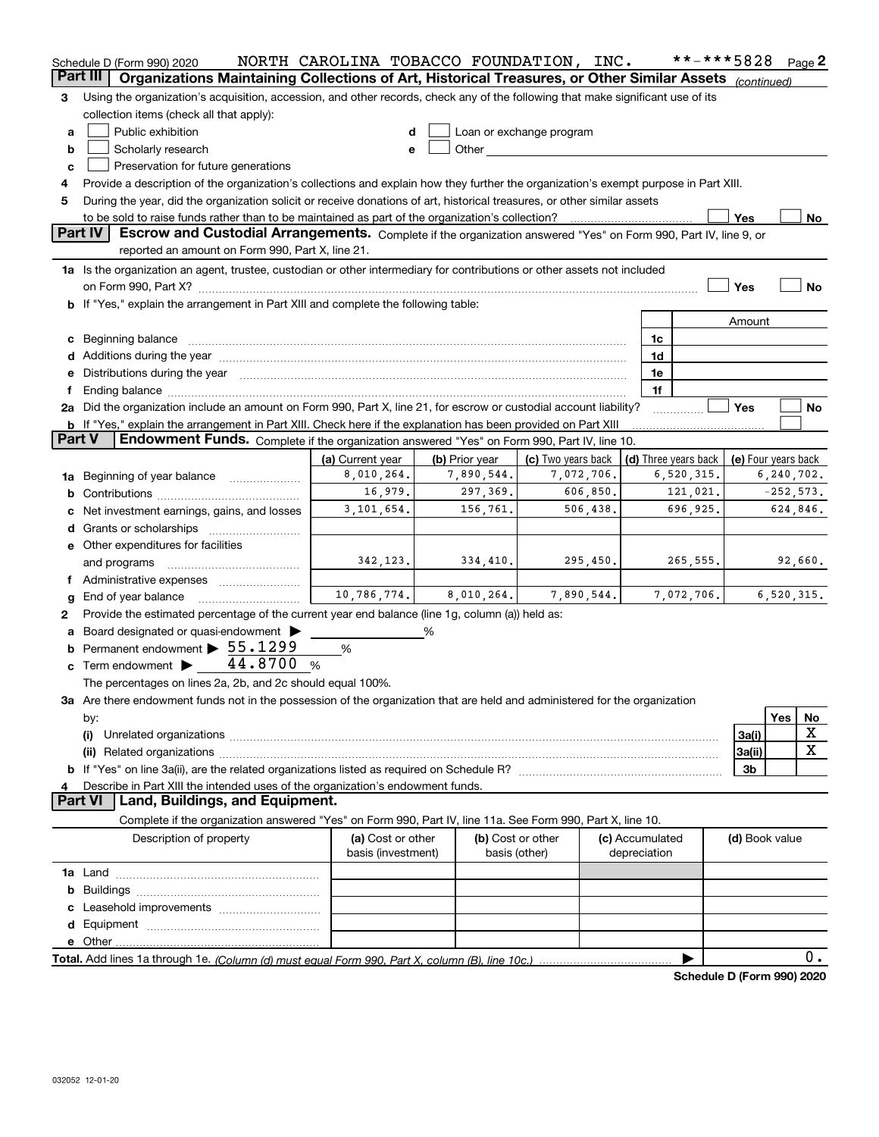|               | Schedule D (Form 990) 2020                                                                                                                                                                                                                                                                                                                           | NORTH CAROLINA TOBACCO FOUNDATION, INC. |                |                                                                                                                                                                                                                               |            |                 | **-***5828                 |                     |              | Page 2    |
|---------------|------------------------------------------------------------------------------------------------------------------------------------------------------------------------------------------------------------------------------------------------------------------------------------------------------------------------------------------------------|-----------------------------------------|----------------|-------------------------------------------------------------------------------------------------------------------------------------------------------------------------------------------------------------------------------|------------|-----------------|----------------------------|---------------------|--------------|-----------|
| Part III      | Organizations Maintaining Collections of Art, Historical Treasures, or Other Similar Assets (continued)                                                                                                                                                                                                                                              |                                         |                |                                                                                                                                                                                                                               |            |                 |                            |                     |              |           |
| З             | Using the organization's acquisition, accession, and other records, check any of the following that make significant use of its                                                                                                                                                                                                                      |                                         |                |                                                                                                                                                                                                                               |            |                 |                            |                     |              |           |
|               | collection items (check all that apply):                                                                                                                                                                                                                                                                                                             |                                         |                |                                                                                                                                                                                                                               |            |                 |                            |                     |              |           |
| a             | Public exhibition                                                                                                                                                                                                                                                                                                                                    | d                                       |                | Loan or exchange program                                                                                                                                                                                                      |            |                 |                            |                     |              |           |
| b             | Scholarly research                                                                                                                                                                                                                                                                                                                                   | е                                       |                | Other and the contract of the contract of the contract of the contract of the contract of the contract of the contract of the contract of the contract of the contract of the contract of the contract of the contract of the |            |                 |                            |                     |              |           |
| c             | Preservation for future generations                                                                                                                                                                                                                                                                                                                  |                                         |                |                                                                                                                                                                                                                               |            |                 |                            |                     |              |           |
| 4             | Provide a description of the organization's collections and explain how they further the organization's exempt purpose in Part XIII.                                                                                                                                                                                                                 |                                         |                |                                                                                                                                                                                                                               |            |                 |                            |                     |              |           |
| 5             | During the year, did the organization solicit or receive donations of art, historical treasures, or other similar assets                                                                                                                                                                                                                             |                                         |                |                                                                                                                                                                                                                               |            |                 |                            |                     |              |           |
|               | to be sold to raise funds rather than to be maintained as part of the organization's collection?                                                                                                                                                                                                                                                     |                                         |                |                                                                                                                                                                                                                               |            |                 |                            | Yes                 |              | No        |
|               | Part IV<br>Escrow and Custodial Arrangements. Complete if the organization answered "Yes" on Form 990, Part IV, line 9, or                                                                                                                                                                                                                           |                                         |                |                                                                                                                                                                                                                               |            |                 |                            |                     |              |           |
|               | reported an amount on Form 990, Part X, line 21.                                                                                                                                                                                                                                                                                                     |                                         |                |                                                                                                                                                                                                                               |            |                 |                            |                     |              |           |
|               | 1a Is the organization an agent, trustee, custodian or other intermediary for contributions or other assets not included                                                                                                                                                                                                                             |                                         |                |                                                                                                                                                                                                                               |            |                 |                            |                     |              |           |
|               | on Form 990, Part X? [11] matter contracts and contracts and contracts are contracted and contracts are contracted and contract and contract of the set of the set of the set of the set of the set of the set of the set of t                                                                                                                       |                                         |                |                                                                                                                                                                                                                               |            |                 |                            | Yes                 |              | <b>No</b> |
|               | b If "Yes," explain the arrangement in Part XIII and complete the following table:                                                                                                                                                                                                                                                                   |                                         |                |                                                                                                                                                                                                                               |            |                 |                            |                     |              |           |
|               |                                                                                                                                                                                                                                                                                                                                                      |                                         |                |                                                                                                                                                                                                                               |            |                 |                            | Amount              |              |           |
|               |                                                                                                                                                                                                                                                                                                                                                      |                                         |                |                                                                                                                                                                                                                               |            |                 |                            |                     |              |           |
|               | c Beginning balance measurements and the contract of the contract of the contract of the contract of the contract of the contract of the contract of the contract of the contract of the contract of the contract of the contr                                                                                                                       |                                         |                |                                                                                                                                                                                                                               |            | 1c<br>1d        |                            |                     |              |           |
|               |                                                                                                                                                                                                                                                                                                                                                      |                                         |                |                                                                                                                                                                                                                               |            | 1e              |                            |                     |              |           |
|               | Distributions during the year manufactured and an account of the year manufactured and the year manufactured and the year manufactured and the year manufactured and the year manufactured and the year manufactured and the y                                                                                                                       |                                         |                |                                                                                                                                                                                                                               |            | 1f              |                            |                     |              |           |
|               | Ending balance manufactured and contract and contract of the contract of the contract of the contract of the contract of the contract of the contract of the contract of the contract of the contract of the contract of the c<br>2a Did the organization include an amount on Form 990, Part X, line 21, for escrow or custodial account liability? |                                         |                |                                                                                                                                                                                                                               |            |                 |                            | Yes                 |              | No        |
|               | <b>b</b> If "Yes," explain the arrangement in Part XIII. Check here if the explanation has been provided on Part XIII                                                                                                                                                                                                                                |                                         |                |                                                                                                                                                                                                                               |            |                 |                            |                     |              |           |
| <b>Part V</b> | Endowment Funds. Complete if the organization answered "Yes" on Form 990, Part IV, line 10.                                                                                                                                                                                                                                                          |                                         |                |                                                                                                                                                                                                                               |            |                 |                            |                     |              |           |
|               |                                                                                                                                                                                                                                                                                                                                                      | (a) Current year                        | (b) Prior year | (c) Two years back                                                                                                                                                                                                            |            |                 | (d) Three years back       | (e) Four years back |              |           |
|               | Beginning of year balance                                                                                                                                                                                                                                                                                                                            | 8,010,264.                              | 7,890,544.     |                                                                                                                                                                                                                               | 7,072,706. |                 | 6, 520, 315.               |                     | 6, 240, 702. |           |
| 1a            |                                                                                                                                                                                                                                                                                                                                                      | 16,979.                                 | 297,369.       |                                                                                                                                                                                                                               | 606,850.   |                 | 121,021.                   |                     | $-252,573.$  |           |
| b             |                                                                                                                                                                                                                                                                                                                                                      | 3, 101, 654.                            | 156,761.       |                                                                                                                                                                                                                               | 506,438.   |                 | 696,925.                   |                     | 624,846.     |           |
|               | Net investment earnings, gains, and losses                                                                                                                                                                                                                                                                                                           |                                         |                |                                                                                                                                                                                                                               |            |                 |                            |                     |              |           |
|               |                                                                                                                                                                                                                                                                                                                                                      |                                         |                |                                                                                                                                                                                                                               |            |                 |                            |                     |              |           |
|               | e Other expenditures for facilities                                                                                                                                                                                                                                                                                                                  | 342,123.                                | 334,410.       |                                                                                                                                                                                                                               | 295,450.   |                 | 265,555.                   |                     |              | 92,660.   |
|               | and programs                                                                                                                                                                                                                                                                                                                                         |                                         |                |                                                                                                                                                                                                                               |            |                 |                            |                     |              |           |
|               |                                                                                                                                                                                                                                                                                                                                                      | 10,786,774.                             | 8,010,264.     |                                                                                                                                                                                                                               |            |                 |                            |                     |              |           |
|               | End of year balance                                                                                                                                                                                                                                                                                                                                  |                                         |                |                                                                                                                                                                                                                               | 7,890,544. |                 | 7,072,706.                 |                     | 6, 520, 315. |           |
| 2             | Provide the estimated percentage of the current year end balance (line 1g, column (a)) held as:                                                                                                                                                                                                                                                      |                                         |                |                                                                                                                                                                                                                               |            |                 |                            |                     |              |           |
| а             | Board designated or quasi-endowment                                                                                                                                                                                                                                                                                                                  |                                         | %              |                                                                                                                                                                                                                               |            |                 |                            |                     |              |           |
|               | <b>b</b> Permanent endowment $\triangleright$ 55.1299                                                                                                                                                                                                                                                                                                | $\%$                                    |                |                                                                                                                                                                                                                               |            |                 |                            |                     |              |           |
|               | c Term endowment $\blacktriangleright$ ____44.8700 %                                                                                                                                                                                                                                                                                                 |                                         |                |                                                                                                                                                                                                                               |            |                 |                            |                     |              |           |
|               | The percentages on lines 2a, 2b, and 2c should equal 100%.                                                                                                                                                                                                                                                                                           |                                         |                |                                                                                                                                                                                                                               |            |                 |                            |                     |              |           |
|               | 3a Are there endowment funds not in the possession of the organization that are held and administered for the organization                                                                                                                                                                                                                           |                                         |                |                                                                                                                                                                                                                               |            |                 |                            |                     |              |           |
|               | by:                                                                                                                                                                                                                                                                                                                                                  |                                         |                |                                                                                                                                                                                                                               |            |                 |                            |                     | Yes          | No        |
|               | (i)                                                                                                                                                                                                                                                                                                                                                  |                                         |                |                                                                                                                                                                                                                               |            |                 |                            | 3a(i)               |              | х         |
|               |                                                                                                                                                                                                                                                                                                                                                      |                                         |                |                                                                                                                                                                                                                               |            |                 |                            | 3a(ii)              |              | х         |
|               |                                                                                                                                                                                                                                                                                                                                                      |                                         |                |                                                                                                                                                                                                                               |            |                 |                            | 3b                  |              |           |
| 4             | Describe in Part XIII the intended uses of the organization's endowment funds.                                                                                                                                                                                                                                                                       |                                         |                |                                                                                                                                                                                                                               |            |                 |                            |                     |              |           |
|               | Land, Buildings, and Equipment.<br><b>Part VI</b>                                                                                                                                                                                                                                                                                                    |                                         |                |                                                                                                                                                                                                                               |            |                 |                            |                     |              |           |
|               | Complete if the organization answered "Yes" on Form 990, Part IV, line 11a. See Form 990, Part X, line 10.                                                                                                                                                                                                                                           |                                         |                |                                                                                                                                                                                                                               |            |                 |                            |                     |              |           |
|               | Description of property                                                                                                                                                                                                                                                                                                                              | (a) Cost or other                       |                | (b) Cost or other                                                                                                                                                                                                             |            | (c) Accumulated |                            | (d) Book value      |              |           |
|               |                                                                                                                                                                                                                                                                                                                                                      | basis (investment)                      |                | basis (other)                                                                                                                                                                                                                 |            | depreciation    |                            |                     |              |           |
|               |                                                                                                                                                                                                                                                                                                                                                      |                                         |                |                                                                                                                                                                                                                               |            |                 |                            |                     |              |           |
|               |                                                                                                                                                                                                                                                                                                                                                      |                                         |                |                                                                                                                                                                                                                               |            |                 |                            |                     |              |           |
|               |                                                                                                                                                                                                                                                                                                                                                      |                                         |                |                                                                                                                                                                                                                               |            |                 |                            |                     |              |           |
|               |                                                                                                                                                                                                                                                                                                                                                      |                                         |                |                                                                                                                                                                                                                               |            |                 |                            |                     |              |           |
|               | e Other                                                                                                                                                                                                                                                                                                                                              |                                         |                |                                                                                                                                                                                                                               |            |                 |                            |                     |              |           |
|               | Total. Add lines 1a through 1e. (Column (d) must equal Form 990. Part X, column (B), line 10c.)                                                                                                                                                                                                                                                      |                                         |                |                                                                                                                                                                                                                               |            |                 |                            |                     |              | 0.        |
|               |                                                                                                                                                                                                                                                                                                                                                      |                                         |                |                                                                                                                                                                                                                               |            |                 | Schedule D (Form 990) 2020 |                     |              |           |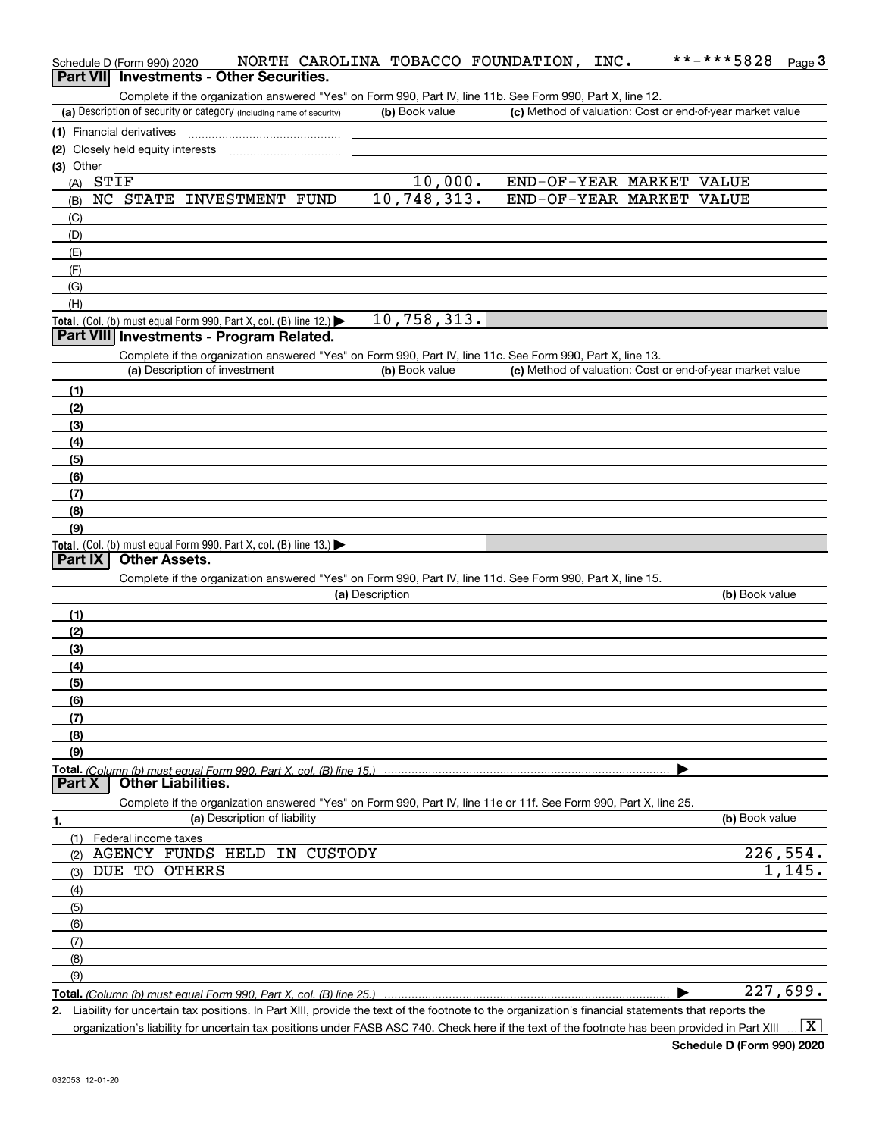| Schedule D (Form 990) 2020                                                                                                                           | NORTH CAROLINA TOBACCO FOUNDATION, | INC.                     | **-***5828<br>$Page$ <sup>3</sup>                         |
|------------------------------------------------------------------------------------------------------------------------------------------------------|------------------------------------|--------------------------|-----------------------------------------------------------|
| Part VII Investments - Other Securities.                                                                                                             |                                    |                          |                                                           |
| Complete if the organization answered "Yes" on Form 990, Part IV, line 11b. See Form 990, Part X, line 12.                                           |                                    |                          |                                                           |
| (a) Description of security or category (including name of security)                                                                                 | (b) Book value                     |                          | (c) Method of valuation: Cost or end-of-year market value |
| (1) Financial derivatives                                                                                                                            |                                    |                          |                                                           |
| (2) Closely held equity interests                                                                                                                    |                                    |                          |                                                           |
| (3) Other                                                                                                                                            |                                    |                          |                                                           |
| $(A)$ STIF                                                                                                                                           | 10,000.                            | END-OF-YEAR MARKET VALUE |                                                           |
| NC STATE INVESTMENT FUND<br>(B)                                                                                                                      | 10, 748, 313.                      | END-OF-YEAR MARKET VALUE |                                                           |
| (C)                                                                                                                                                  |                                    |                          |                                                           |
| (D)                                                                                                                                                  |                                    |                          |                                                           |
| (E)                                                                                                                                                  |                                    |                          |                                                           |
| (F)                                                                                                                                                  |                                    |                          |                                                           |
| (G)                                                                                                                                                  |                                    |                          |                                                           |
| (H)                                                                                                                                                  |                                    |                          |                                                           |
| Total. (Col. (b) must equal Form 990, Part X, col. (B) line 12.)                                                                                     | 10,758,313.                        |                          |                                                           |
| Part VIII Investments - Program Related.                                                                                                             |                                    |                          |                                                           |
| Complete if the organization answered "Yes" on Form 990, Part IV, line 11c. See Form 990, Part X, line 13.                                           |                                    |                          |                                                           |
| (a) Description of investment                                                                                                                        | (b) Book value                     |                          | (c) Method of valuation: Cost or end-of-year market value |
| (1)                                                                                                                                                  |                                    |                          |                                                           |
| (2)                                                                                                                                                  |                                    |                          |                                                           |
| (3)                                                                                                                                                  |                                    |                          |                                                           |
| (4)                                                                                                                                                  |                                    |                          |                                                           |
| (5)                                                                                                                                                  |                                    |                          |                                                           |
| (6)                                                                                                                                                  |                                    |                          |                                                           |
| (7)                                                                                                                                                  |                                    |                          |                                                           |
| (8)                                                                                                                                                  |                                    |                          |                                                           |
| (9)                                                                                                                                                  |                                    |                          |                                                           |
| Total. (Col. (b) must equal Form 990, Part X, col. (B) line 13.)                                                                                     |                                    |                          |                                                           |
| Part IX<br><b>Other Assets.</b>                                                                                                                      |                                    |                          |                                                           |
| Complete if the organization answered "Yes" on Form 990, Part IV, line 11d. See Form 990, Part X, line 15.                                           |                                    |                          |                                                           |
|                                                                                                                                                      | (a) Description                    |                          | (b) Book value                                            |
| (1)                                                                                                                                                  |                                    |                          |                                                           |
| (2)                                                                                                                                                  |                                    |                          |                                                           |
| (3)                                                                                                                                                  |                                    |                          |                                                           |
| (4)                                                                                                                                                  |                                    |                          |                                                           |
| (5)                                                                                                                                                  |                                    |                          |                                                           |
| (6)                                                                                                                                                  |                                    |                          |                                                           |
| (7)                                                                                                                                                  |                                    |                          |                                                           |
| (8)                                                                                                                                                  |                                    |                          |                                                           |
| (9)                                                                                                                                                  |                                    |                          |                                                           |
| Total. (Column (b) must equal Form 990. Part X, col. (B) line 15.)<br><b>Other Liabilities.</b><br>Part X                                            |                                    |                          |                                                           |
|                                                                                                                                                      |                                    |                          |                                                           |
| Complete if the organization answered "Yes" on Form 990, Part IV, line 11e or 11f. See Form 990, Part X, line 25.<br>(a) Description of liability    |                                    |                          | (b) Book value                                            |
| 1.                                                                                                                                                   |                                    |                          |                                                           |
| (1)<br>Federal income taxes<br>AGENCY FUNDS HELD IN CUSTODY                                                                                          |                                    |                          | $\overline{226}$ , 554.                                   |
| (2)<br>DUE TO OTHERS                                                                                                                                 |                                    |                          | 1,145.                                                    |
| (3)                                                                                                                                                  |                                    |                          |                                                           |
| (4)                                                                                                                                                  |                                    |                          |                                                           |
| (5)                                                                                                                                                  |                                    |                          |                                                           |
| (6)                                                                                                                                                  |                                    |                          |                                                           |
| (7)                                                                                                                                                  |                                    |                          |                                                           |
| (8)                                                                                                                                                  |                                    |                          |                                                           |
| (9)                                                                                                                                                  |                                    |                          |                                                           |
| Total. (Column (b) must equal Form 990, Part X, col. (B) line 25.)                                                                                   |                                    |                          | $\overline{227}$ , 699.                                   |
| 2. Liability for uncertain tax positions. In Part XIII, provide the text of the footnote to the organization's financial statements that reports the |                                    |                          |                                                           |

organization's liability for uncertain tax positions under FASB ASC 740. Check here if the text of the footnote has been provided in Part XIII

 $\vert$  X  $\vert$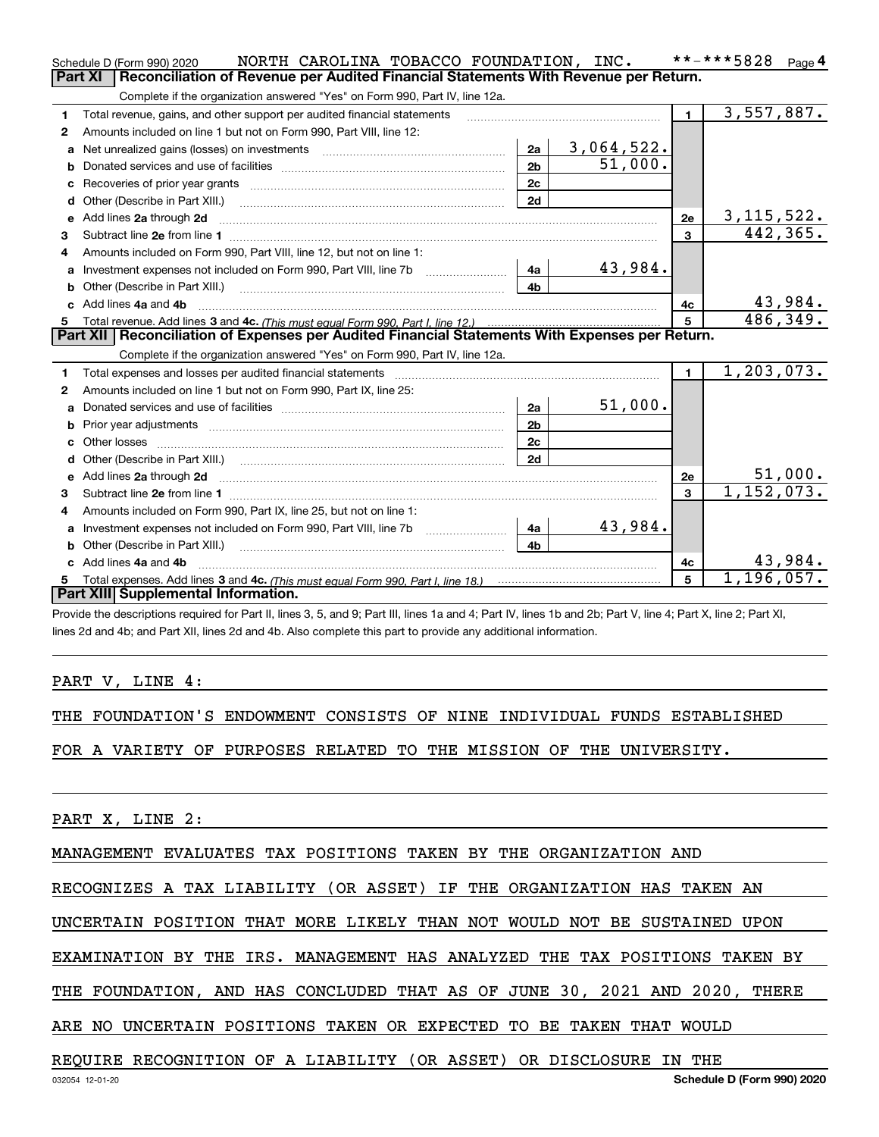|    | NORTH CAROLINA TOBACCO FOUNDATION, INC.<br>Schedule D (Form 990) 2020                                               |                |            |                | **-***5828<br>Page 4     |
|----|---------------------------------------------------------------------------------------------------------------------|----------------|------------|----------------|--------------------------|
|    | <b>Part XI</b><br>Reconciliation of Revenue per Audited Financial Statements With Revenue per Return.               |                |            |                |                          |
|    | Complete if the organization answered "Yes" on Form 990, Part IV, line 12a.                                         |                |            |                |                          |
| 1  | Total revenue, gains, and other support per audited financial statements                                            |                |            | $\blacksquare$ | $\overline{3,557,887}$ . |
| 2  | Amounts included on line 1 but not on Form 990, Part VIII, line 12:                                                 |                |            |                |                          |
| a  | Net unrealized gains (losses) on investments [11] matter contracts and the unrealized gains (losses) on investments | 2a             | 3,064,522. |                |                          |
|    |                                                                                                                     | 2 <sub>b</sub> | 51,000.    |                |                          |
| с  |                                                                                                                     | 2c             |            |                |                          |
| d  |                                                                                                                     | 2d             |            |                |                          |
| е  | Add lines 2a through 2d                                                                                             |                |            | 2e             | 3, 115, 522.             |
| З. |                                                                                                                     |                |            | 3              | 442,365.                 |
| 4  | Amounts included on Form 990, Part VIII, line 12, but not on line 1:                                                |                |            |                |                          |
|    | Investment expenses not included on Form 990, Part VIII, line 7b [1000000000000000000000000000000000                | 4a             | 43,984.    |                |                          |
| b  |                                                                                                                     | 4 <sub>h</sub> |            |                |                          |
|    | Add lines 4a and 4b                                                                                                 |                |            | 4c             | 43,984.                  |
| 5. |                                                                                                                     |                |            | 5              | 486, 349.                |
|    |                                                                                                                     |                |            |                |                          |
|    | Part XII   Reconciliation of Expenses per Audited Financial Statements With Expenses per Return.                    |                |            |                |                          |
|    | Complete if the organization answered "Yes" on Form 990, Part IV, line 12a.                                         |                |            |                |                          |
| 1  |                                                                                                                     |                |            | $\mathbf{1}$   | 1, 203, 073.             |
| 2  | Amounts included on line 1 but not on Form 990, Part IX, line 25:                                                   |                |            |                |                          |
| a  |                                                                                                                     | 2a             | 51,000.    |                |                          |
|    |                                                                                                                     | 2 <sub>b</sub> |            |                |                          |
| c  |                                                                                                                     | 2c             |            |                |                          |
|    |                                                                                                                     | 2d             |            |                |                          |
|    |                                                                                                                     |                |            | 2e             | 51,000.                  |
| З. |                                                                                                                     |                |            | $\mathbf{3}$   | 1,152,073.               |
| 4  | Amounts included on Form 990, Part IX, line 25, but not on line 1:                                                  |                |            |                |                          |
| a  | Investment expenses not included on Form 990, Part VIII, line 7b [1000000000000000000000000000000000                | 4a             | 43,984.    |                |                          |
|    |                                                                                                                     | 4b             |            |                |                          |
|    | Add lines 4a and 4b                                                                                                 |                |            | 4c             | 43,984.                  |
| 5. | Part XIII Supplemental Information.                                                                                 |                |            | 5              | 1, 196, 057.             |

Provide the descriptions required for Part II, lines 3, 5, and 9; Part III, lines 1a and 4; Part IV, lines 1b and 2b; Part V, line 4; Part X, line 2; Part XI, lines 2d and 4b; and Part XII, lines 2d and 4b. Also complete this part to provide any additional information.

PART V, LINE 4:

THE FOUNDATION'S ENDOWMENT CONSISTS OF NINE INDIVIDUAL FUNDS ESTABLISHED

FOR A VARIETY OF PURPOSES RELATED TO THE MISSION OF THE UNIVERSITY.

PART X, LINE 2:

MANAGEMENT EVALUATES TAX POSITIONS TAKEN BY THE ORGANIZATION AND

RECOGNIZES A TAX LIABILITY (OR ASSET) IF THE ORGANIZATION HAS TAKEN AN

UNCERTAIN POSITION THAT MORE LIKELY THAN NOT WOULD NOT BE SUSTAINED UPON

EXAMINATION BY THE IRS. MANAGEMENT HAS ANALYZED THE TAX POSITIONS TAKEN BY

THE FOUNDATION, AND HAS CONCLUDED THAT AS OF JUNE 30, 2021 AND 2020, THERE

ARE NO UNCERTAIN POSITIONS TAKEN OR EXPECTED TO BE TAKEN THAT WOULD

### REQUIRE RECOGNITION OF A LIABILITY (OR ASSET) OR DISCLOSURE IN THE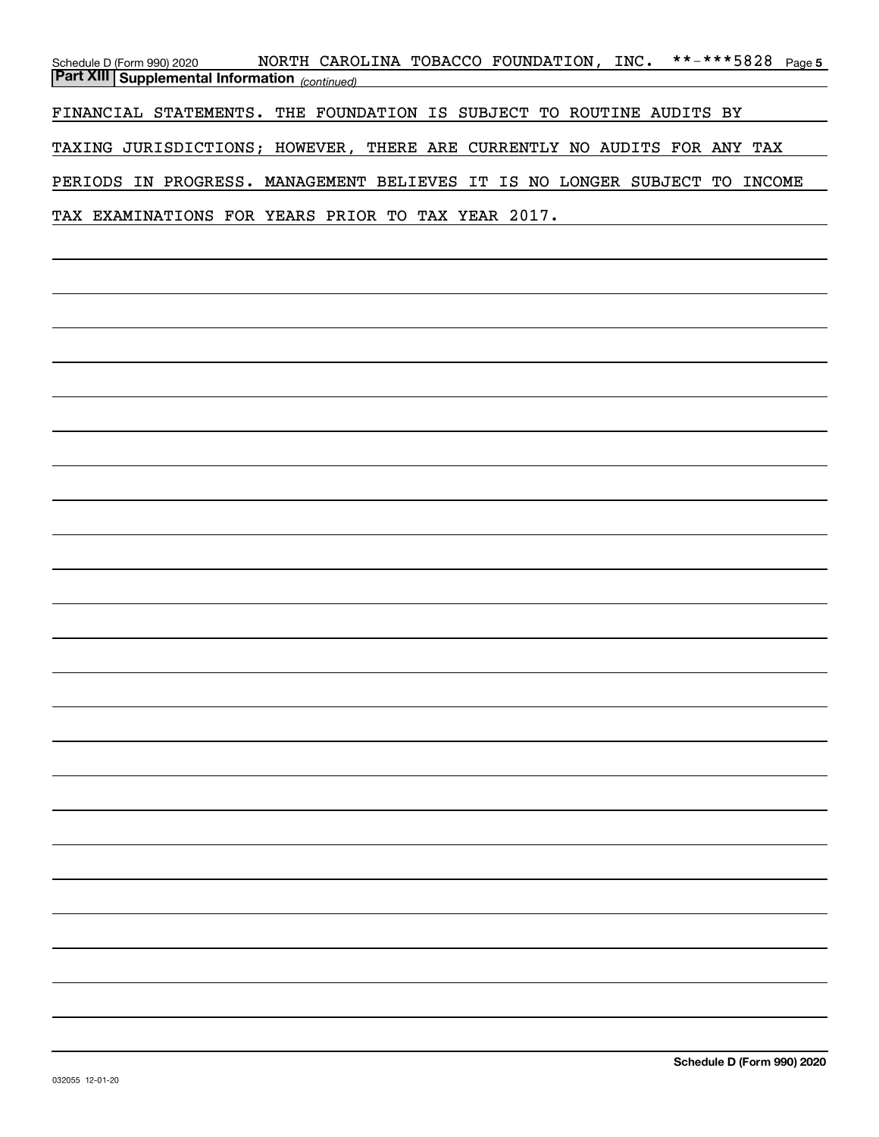Schedule D (Form 990) 2020 NORTH CAROLINA TOBACCO FOUNDATION , INC**.** \*\*-\*\*\*5828 <sub>Page 5</sub> *(continued)* **Part XIII Supplemental Information**  FINANCIAL STATEMENTS. THE FOUNDATION IS SUBJECT TO ROUTINE AUDITS BY TAXING JURISDICTIONS; HOWEVER, THERE ARE CURRENTLY NO AUDITS FOR ANY TAX PERIODS IN PROGRESS. MANAGEMENT BELIEVES IT IS NO LONGER SUBJECT TO INCOME TAX EXAMINATIONS FOR YEARS PRIOR TO TAX YEAR 2017.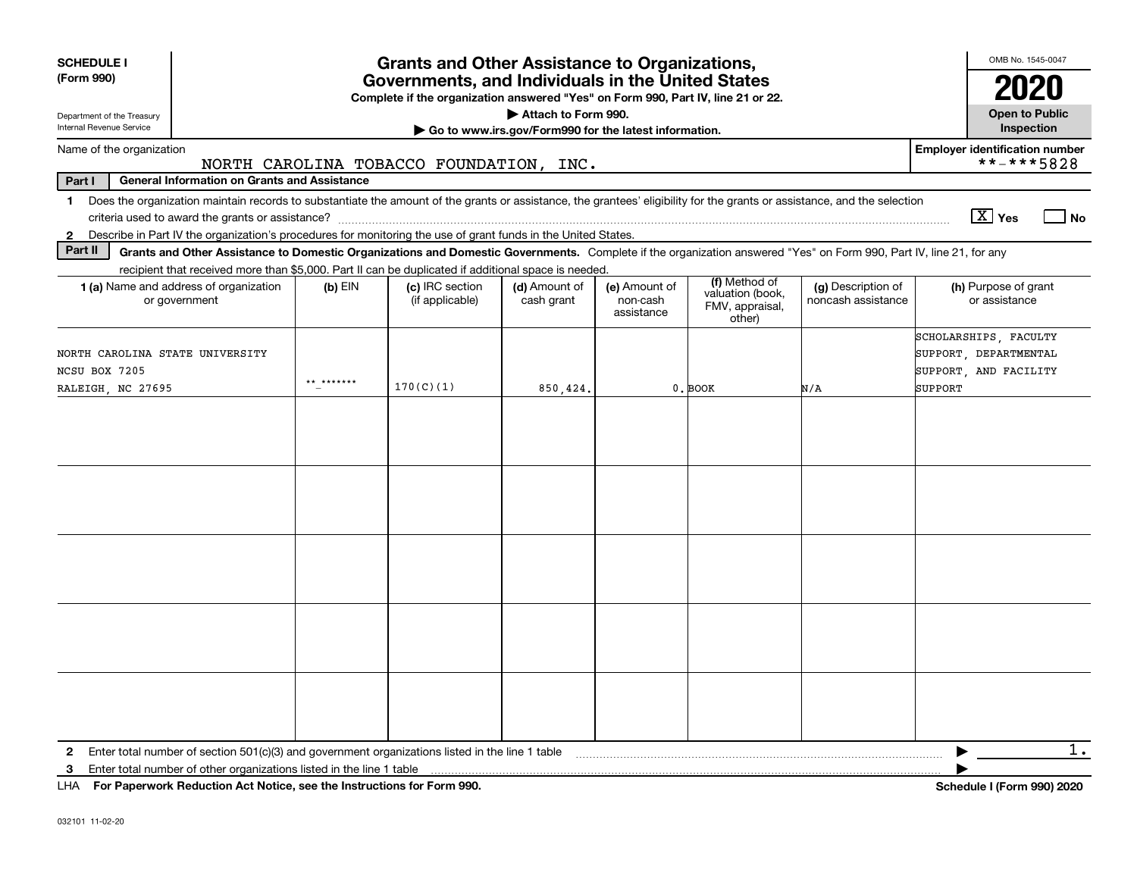| <b>SCHEDULE I</b>                                                                                                                                                                       |            | <b>Grants and Other Assistance to Organizations,</b>                                                                                  |                                                                              |                                         |                                                                |                                          | OMB No. 1545-0047                                                       |
|-----------------------------------------------------------------------------------------------------------------------------------------------------------------------------------------|------------|---------------------------------------------------------------------------------------------------------------------------------------|------------------------------------------------------------------------------|-----------------------------------------|----------------------------------------------------------------|------------------------------------------|-------------------------------------------------------------------------|
| (Form 990)                                                                                                                                                                              |            | Governments, and Individuals in the United States<br>Complete if the organization answered "Yes" on Form 990, Part IV, line 21 or 22. |                                                                              |                                         |                                                                |                                          | 2020                                                                    |
| Department of the Treasury<br>Internal Revenue Service                                                                                                                                  |            |                                                                                                                                       | Attach to Form 990.<br>Go to www.irs.gov/Form990 for the latest information. |                                         |                                                                |                                          | <b>Open to Public</b><br>Inspection                                     |
| Name of the organization                                                                                                                                                                |            |                                                                                                                                       |                                                                              |                                         |                                                                |                                          | <b>Employer identification number</b>                                   |
| Part I<br><b>General Information on Grants and Assistance</b>                                                                                                                           |            | NORTH CAROLINA TOBACCO FOUNDATION, INC.                                                                                               |                                                                              |                                         |                                                                |                                          | **-***5828                                                              |
| Does the organization maintain records to substantiate the amount of the grants or assistance, the grantees' eligibility for the grants or assistance, and the selection<br>$\mathbf 1$ |            |                                                                                                                                       |                                                                              |                                         |                                                                |                                          |                                                                         |
| Describe in Part IV the organization's procedures for monitoring the use of grant funds in the United States.<br>$\mathbf{2}$                                                           |            |                                                                                                                                       |                                                                              |                                         |                                                                |                                          | $\boxed{\text{X}}$ Yes<br>  No                                          |
| Part II<br>Grants and Other Assistance to Domestic Organizations and Domestic Governments. Complete if the organization answered "Yes" on Form 990, Part IV, line 21, for any           |            |                                                                                                                                       |                                                                              |                                         |                                                                |                                          |                                                                         |
| recipient that received more than \$5,000. Part II can be duplicated if additional space is needed.                                                                                     |            |                                                                                                                                       |                                                                              |                                         |                                                                |                                          |                                                                         |
| <b>1 (a)</b> Name and address of organization<br>or government                                                                                                                          | $(b)$ EIN  | (c) IRC section<br>(if applicable)                                                                                                    | (d) Amount of<br>cash grant                                                  | (e) Amount of<br>non-cash<br>assistance | (f) Method of<br>valuation (book,<br>FMV, appraisal,<br>other) | (g) Description of<br>noncash assistance | (h) Purpose of grant<br>or assistance                                   |
| NORTH CAROLINA STATE UNIVERSITY<br>NCSU BOX 7205                                                                                                                                        | ** ******* |                                                                                                                                       |                                                                              |                                         |                                                                |                                          | SCHOLARSHIPS, FACULTY<br>SUPPORT, DEPARTMENTAL<br>SUPPORT, AND FACILITY |
| RALEIGH, NC 27695                                                                                                                                                                       |            | 170(C)(1)                                                                                                                             | 850,424.                                                                     |                                         | $0.$ BOOK                                                      | N/A                                      | SUPPORT                                                                 |
|                                                                                                                                                                                         |            |                                                                                                                                       |                                                                              |                                         |                                                                |                                          |                                                                         |
|                                                                                                                                                                                         |            |                                                                                                                                       |                                                                              |                                         |                                                                |                                          |                                                                         |
|                                                                                                                                                                                         |            |                                                                                                                                       |                                                                              |                                         |                                                                |                                          |                                                                         |
|                                                                                                                                                                                         |            |                                                                                                                                       |                                                                              |                                         |                                                                |                                          |                                                                         |
|                                                                                                                                                                                         |            |                                                                                                                                       |                                                                              |                                         |                                                                |                                          |                                                                         |
| Enter total number of section $501(c)(3)$ and government organizations listed in the line 1 table<br>$\mathbf{2}$                                                                       |            |                                                                                                                                       |                                                                              |                                         |                                                                |                                          | 1.                                                                      |
| Enter total number of other organizations listed in the line 1 table<br>3                                                                                                               |            |                                                                                                                                       |                                                                              |                                         |                                                                |                                          |                                                                         |
| LHA For Paperwork Reduction Act Notice, see the Instructions for Form 990.                                                                                                              |            |                                                                                                                                       |                                                                              |                                         |                                                                |                                          | Schedule I (Form 990) 2020                                              |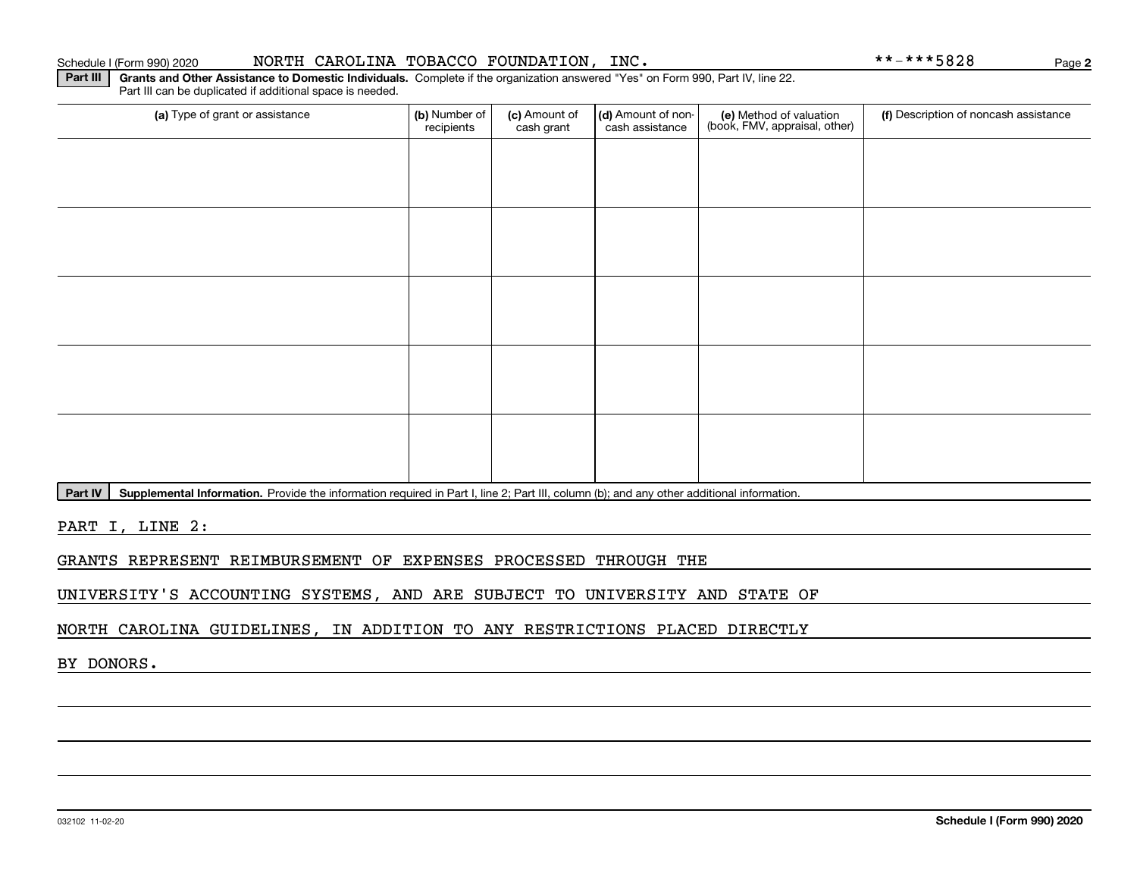### Schedule I (Form 990) 2020 NORTH CAROLINA TOBACCO FOUNDATION, INC。 \* \*-\* \* \* 5 8 2 8 Page

**Part III | Grants and Other Assistance to Domestic Individuals. Complete if the organization answered "Yes" on Form 990, Part IV, line 22.** Part III can be duplicated if additional space is needed.

| (a) Type of grant or assistance | (b) Number of<br>recipients | (c) Amount of<br>cash grant | (d) Amount of non-<br>cash assistance | (e) Method of valuation<br>(book, FMV, appraisal, other) | (f) Description of noncash assistance |
|---------------------------------|-----------------------------|-----------------------------|---------------------------------------|----------------------------------------------------------|---------------------------------------|
|                                 |                             |                             |                                       |                                                          |                                       |
|                                 |                             |                             |                                       |                                                          |                                       |
|                                 |                             |                             |                                       |                                                          |                                       |
|                                 |                             |                             |                                       |                                                          |                                       |
|                                 |                             |                             |                                       |                                                          |                                       |
|                                 |                             |                             |                                       |                                                          |                                       |
|                                 |                             |                             |                                       |                                                          |                                       |
|                                 |                             |                             |                                       |                                                          |                                       |
|                                 |                             |                             |                                       |                                                          |                                       |
|                                 |                             |                             |                                       |                                                          |                                       |

Part IV | Supplemental Information. Provide the information required in Part I, line 2; Part III, column (b); and any other additional information.

PART I, LINE 2:

GRANTS REPRESENT REIMBURSEMENT OF EXPENSES PROCESSED THROUGH THE

UNIVERSITY'S ACCOUNTING SYSTEMS, AND ARE SUBJECT TO UNIVERSITY AND STATE OF

NORTH CAROLINA GUIDELINES, IN ADDITION TO ANY RESTRICTIONS PLACED DIRECTLY

BY DONORS.

**2**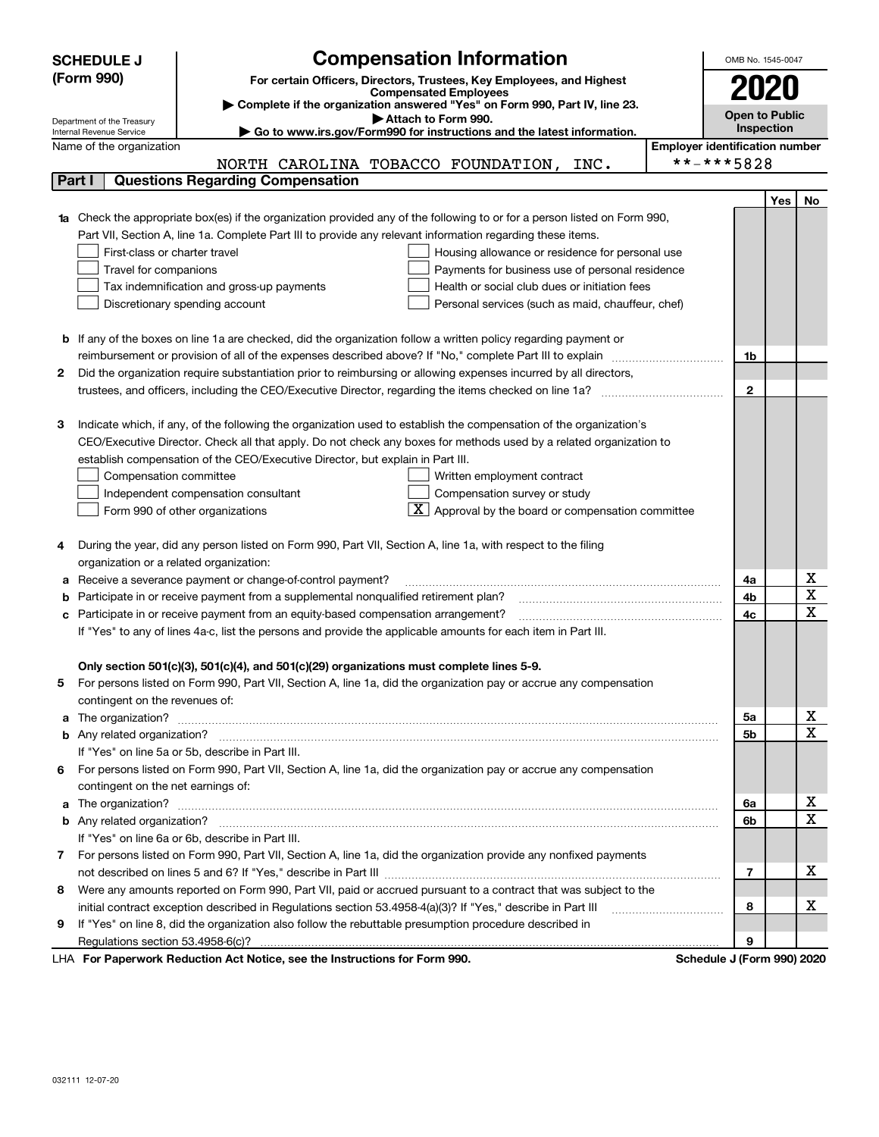|        | <b>Compensation Information</b><br><b>SCHEDULE J</b>                                                                                                                          | OMB No. 1545-0047     |     |             |  |
|--------|-------------------------------------------------------------------------------------------------------------------------------------------------------------------------------|-----------------------|-----|-------------|--|
|        | (Form 990)<br>For certain Officers, Directors, Trustees, Key Employees, and Highest                                                                                           |                       |     |             |  |
|        | <b>Compensated Employees</b>                                                                                                                                                  | 2020                  |     |             |  |
|        | Complete if the organization answered "Yes" on Form 990, Part IV, line 23.                                                                                                    | <b>Open to Public</b> |     |             |  |
|        | Attach to Form 990.<br>Department of the Treasury<br>Internal Revenue Service<br>$\blacktriangleright$ Go to www.irs.gov/Form990 for instructions and the latest information. | Inspection            |     |             |  |
|        | <b>Employer identification number</b><br>Name of the organization                                                                                                             |                       |     |             |  |
|        | NORTH CAROLINA TOBACCO FOUNDATION,<br>INC.                                                                                                                                    | **-***5828            |     |             |  |
| Part I | <b>Questions Regarding Compensation</b>                                                                                                                                       |                       |     |             |  |
|        |                                                                                                                                                                               |                       | Yes | No          |  |
|        | Check the appropriate box(es) if the organization provided any of the following to or for a person listed on Form 990,                                                        |                       |     |             |  |
|        | Part VII, Section A, line 1a. Complete Part III to provide any relevant information regarding these items.                                                                    |                       |     |             |  |
|        | First-class or charter travel<br>Housing allowance or residence for personal use                                                                                              |                       |     |             |  |
|        | Travel for companions<br>Payments for business use of personal residence                                                                                                      |                       |     |             |  |
|        | Health or social club dues or initiation fees<br>Tax indemnification and gross-up payments                                                                                    |                       |     |             |  |
|        | Discretionary spending account<br>Personal services (such as maid, chauffeur, chef)                                                                                           |                       |     |             |  |
|        |                                                                                                                                                                               |                       |     |             |  |
|        | <b>b</b> If any of the boxes on line 1a are checked, did the organization follow a written policy regarding payment or                                                        |                       |     |             |  |
|        |                                                                                                                                                                               | 1b                    |     |             |  |
| 2      | Did the organization require substantiation prior to reimbursing or allowing expenses incurred by all directors,                                                              |                       |     |             |  |
|        |                                                                                                                                                                               | $\mathbf{2}$          |     |             |  |
|        |                                                                                                                                                                               |                       |     |             |  |
| з      | Indicate which, if any, of the following the organization used to establish the compensation of the organization's                                                            |                       |     |             |  |
|        | CEO/Executive Director. Check all that apply. Do not check any boxes for methods used by a related organization to                                                            |                       |     |             |  |
|        | establish compensation of the CEO/Executive Director, but explain in Part III.                                                                                                |                       |     |             |  |
|        | Compensation committee<br>Written employment contract                                                                                                                         |                       |     |             |  |
|        | Compensation survey or study<br>Independent compensation consultant                                                                                                           |                       |     |             |  |
|        | Approval by the board or compensation committee<br>Form 990 of other organizations                                                                                            |                       |     |             |  |
|        |                                                                                                                                                                               |                       |     |             |  |
| 4      | During the year, did any person listed on Form 990, Part VII, Section A, line 1a, with respect to the filing                                                                  |                       |     |             |  |
|        | organization or a related organization:                                                                                                                                       |                       |     |             |  |
| а      | Receive a severance payment or change-of-control payment?                                                                                                                     | 4a                    |     | x           |  |
| b      | Participate in or receive payment from a supplemental nonqualified retirement plan?                                                                                           | 4b                    |     | X           |  |
|        | Participate in or receive payment from an equity-based compensation arrangement?                                                                                              | 4c                    |     | X           |  |
|        | If "Yes" to any of lines 4a-c, list the persons and provide the applicable amounts for each item in Part III.                                                                 |                       |     |             |  |
|        |                                                                                                                                                                               |                       |     |             |  |
|        | Only section 501(c)(3), 501(c)(4), and 501(c)(29) organizations must complete lines 5-9.                                                                                      |                       |     |             |  |
| 5      | For persons listed on Form 990, Part VII, Section A, line 1a, did the organization pay or accrue any compensation                                                             |                       |     |             |  |
|        | contingent on the revenues of:                                                                                                                                                |                       |     |             |  |
| a      |                                                                                                                                                                               | 5a                    |     | х           |  |
|        |                                                                                                                                                                               | 5b                    |     | $\mathbf x$ |  |
|        | If "Yes" on line 5a or 5b, describe in Part III.                                                                                                                              |                       |     |             |  |
| 6      | For persons listed on Form 990, Part VII, Section A, line 1a, did the organization pay or accrue any compensation                                                             |                       |     |             |  |
|        | contingent on the net earnings of:                                                                                                                                            |                       |     |             |  |
| a      |                                                                                                                                                                               | 6a                    |     | х           |  |
|        |                                                                                                                                                                               | 6b                    |     | $\mathbf X$ |  |
|        | If "Yes" on line 6a or 6b, describe in Part III.                                                                                                                              |                       |     |             |  |
| 7      | For persons listed on Form 990, Part VII, Section A, line 1a, did the organization provide any nonfixed payments                                                              |                       |     |             |  |
|        |                                                                                                                                                                               | 7                     |     | х           |  |
| 8      | Were any amounts reported on Form 990, Part VII, paid or accrued pursuant to a contract that was subject to the                                                               |                       |     |             |  |
|        | initial contract exception described in Regulations section 53.4958-4(a)(3)? If "Yes," describe in Part III                                                                   | 8                     |     | х           |  |
| 9      | If "Yes" on line 8, did the organization also follow the rebuttable presumption procedure described in                                                                        |                       |     |             |  |
|        |                                                                                                                                                                               | 9                     |     |             |  |

LHA For Paperwork Reduction Act Notice, see the Instructions for Form 990. Schedule J (Form 990) 2020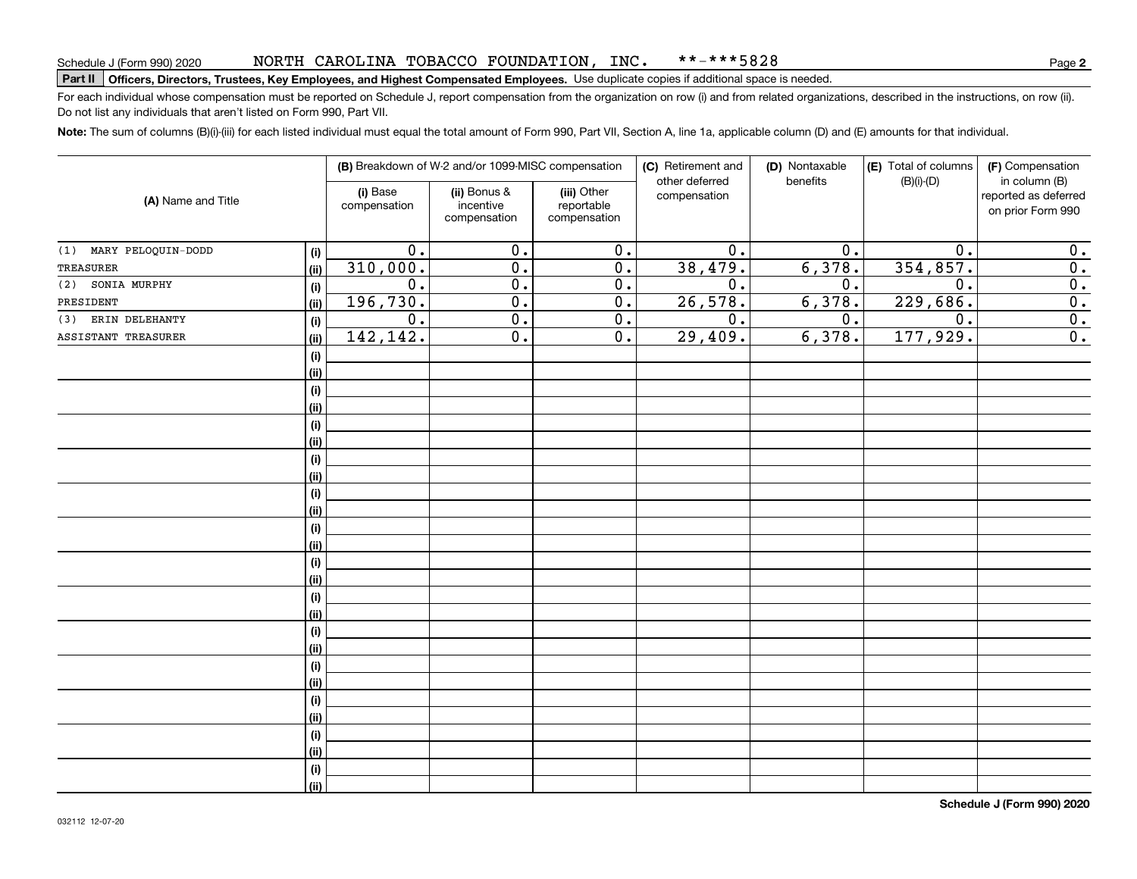#### NORTH CAROLINA TOBACCO FOUNDATION, INC. \*\*-\*\*\*5828

# **Part II Officers, Directors, Trustees, Key Employees, and Highest Compensated Employees.**  Schedule J (Form 990) 2020 Page Use duplicate copies if additional space is needed.

For each individual whose compensation must be reported on Schedule J, report compensation from the organization on row (i) and from related organizations, described in the instructions, on row (ii). Do not list any individuals that aren't listed on Form 990, Part VII.

**Note:**  The sum of columns (B)(i)-(iii) for each listed individual must equal the total amount of Form 990, Part VII, Section A, line 1a, applicable column (D) and (E) amounts for that individual.

| (A) Name and Title     |      |                          | (B) Breakdown of W-2 and/or 1099-MISC compensation |                                           | (C) Retirement and<br>other deferred | (D) Nontaxable<br>benefits | (E) Total of columns<br>$(B)(i)-(D)$ | (F) Compensation<br>in column (B)         |
|------------------------|------|--------------------------|----------------------------------------------------|-------------------------------------------|--------------------------------------|----------------------------|--------------------------------------|-------------------------------------------|
|                        |      | (i) Base<br>compensation | (ii) Bonus &<br>incentive<br>compensation          | (iii) Other<br>reportable<br>compensation | compensation                         |                            |                                      | reported as deferred<br>on prior Form 990 |
| (1) MARY PELOQUIN-DODD | (i)  | 0.                       | 0.                                                 | $\mathbf 0$ .                             | 0.                                   | 0.                         | 0.                                   | 0.                                        |
| <b>TREASURER</b>       | (ii) | 310,000.                 | 0.                                                 | $\overline{0}$ .                          | 38,479.                              | 6,378.                     | 354,857.                             | 0.                                        |
| SONIA MURPHY<br>(2)    | (i)  | 0.                       | 0.                                                 | 0.                                        | 0.                                   | 0.                         | $\mathbf 0$ .                        | 0.                                        |
| PRESIDENT              | (ii) | 196,730.                 | $\overline{0}$ .                                   | $\overline{0}$ .                          | 26,578.                              | 6,378.                     | 229,686.                             | 0.                                        |
| (3) ERIN DELEHANTY     | (i)  | 0.                       | $\overline{0}$ .                                   | 0.                                        | 0.                                   | 0.                         | 0.                                   | $\overline{0}$ .                          |
| ASSISTANT TREASURER    | (ii) | 142,142.                 | $\overline{0}$ .                                   | $\overline{0}$ .                          | 29,409.                              | 6,378.                     | 177,929.                             | 0.                                        |
|                        | (i)  |                          |                                                    |                                           |                                      |                            |                                      |                                           |
|                        | (ii) |                          |                                                    |                                           |                                      |                            |                                      |                                           |
|                        | (i)  |                          |                                                    |                                           |                                      |                            |                                      |                                           |
|                        | (ii) |                          |                                                    |                                           |                                      |                            |                                      |                                           |
|                        | (i)  |                          |                                                    |                                           |                                      |                            |                                      |                                           |
|                        | (ii) |                          |                                                    |                                           |                                      |                            |                                      |                                           |
|                        | (i)  |                          |                                                    |                                           |                                      |                            |                                      |                                           |
|                        | (ii) |                          |                                                    |                                           |                                      |                            |                                      |                                           |
|                        | (i)  |                          |                                                    |                                           |                                      |                            |                                      |                                           |
|                        | (ii) |                          |                                                    |                                           |                                      |                            |                                      |                                           |
|                        | (i)  |                          |                                                    |                                           |                                      |                            |                                      |                                           |
|                        | (ii) |                          |                                                    |                                           |                                      |                            |                                      |                                           |
|                        | (i)  |                          |                                                    |                                           |                                      |                            |                                      |                                           |
|                        | (ii) |                          |                                                    |                                           |                                      |                            |                                      |                                           |
|                        | (i)  |                          |                                                    |                                           |                                      |                            |                                      |                                           |
|                        | (ii) |                          |                                                    |                                           |                                      |                            |                                      |                                           |
|                        | (i)  |                          |                                                    |                                           |                                      |                            |                                      |                                           |
|                        | (ii) |                          |                                                    |                                           |                                      |                            |                                      |                                           |
|                        | (i)  |                          |                                                    |                                           |                                      |                            |                                      |                                           |
|                        | (ii) |                          |                                                    |                                           |                                      |                            |                                      |                                           |
|                        | (i)  |                          |                                                    |                                           |                                      |                            |                                      |                                           |
|                        | (ii) |                          |                                                    |                                           |                                      |                            |                                      |                                           |
|                        | (i)  |                          |                                                    |                                           |                                      |                            |                                      |                                           |
|                        | (ii) |                          |                                                    |                                           |                                      |                            |                                      |                                           |
|                        | (i)  |                          |                                                    |                                           |                                      |                            |                                      |                                           |
|                        | (ii) |                          |                                                    |                                           |                                      |                            |                                      |                                           |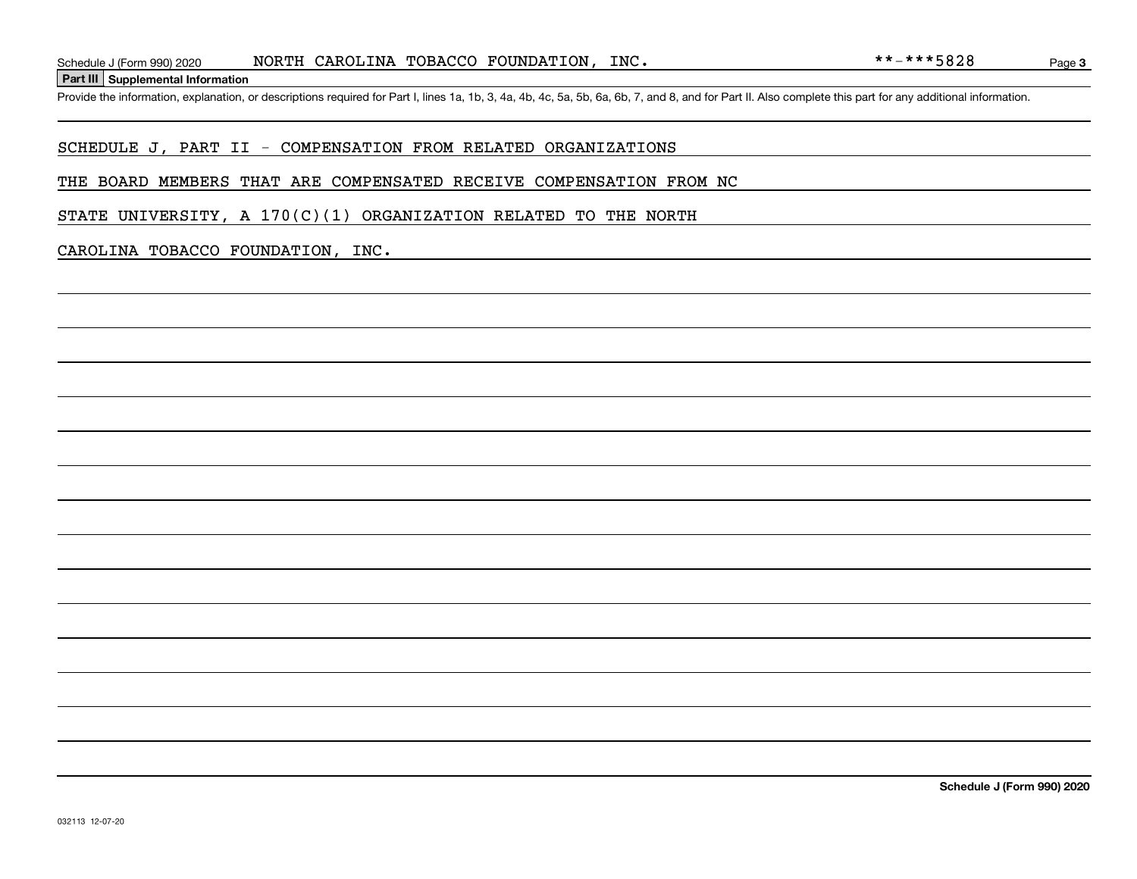**Part III Supplemental Information**

## SCHEDULE J, PART II - COMPENSATION FROM RELATED ORGANIZATIONS

### THE BOARD MEMBERS THAT ARE COMPENSATED RECEIVE COMPENSATION FROM NC

STATE UNIVERSITY, A  $170(C)(1)$  ORGANIZATION RELATED TO THE NORTH

### CAROLINA TOBACCO FOUNDATION, INC.

**Schedule J (Form 990) 2020**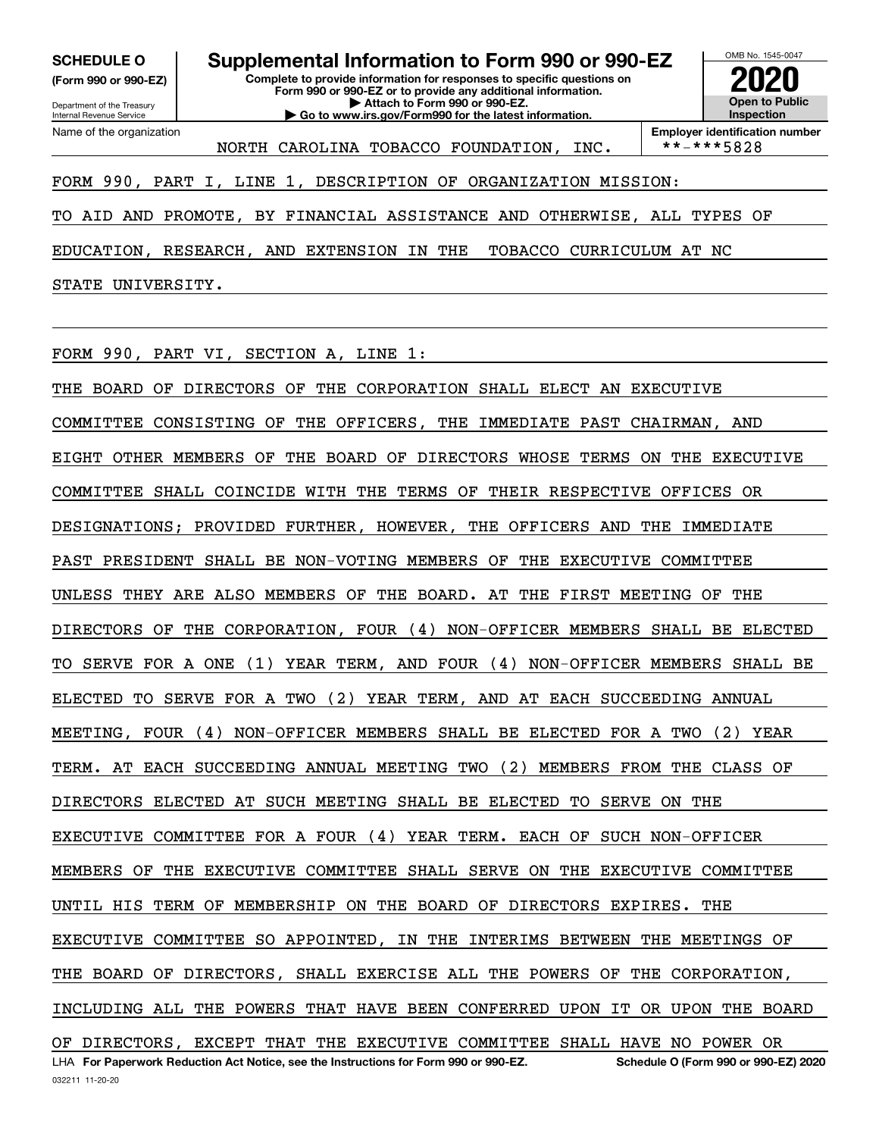**(Form 990 or 990-EZ)**

Department of the Treasury Internal Revenue Service Name of the organization

**Complete to provide information for responses to specific questions on Form 990 or 990-EZ or to provide any additional information. | Attach to Form 990 or 990-EZ. | Go to www.irs.gov/Form990 for the latest information. SCHEDULE O Supplemental Information to Form 990 or 990-EZ**



**Employer identification number**<br>\*\*-\*\*\*5828

FORM 990, PART I, LINE 1, DESCRIPTION OF ORGANIZATION MISSION:

TO AID AND PROMOTE, BY FINANCIAL ASSISTANCE AND OTHERWISE, ALL TYPES OF

NORTH CAROLINA TOBACCO FOUNDATION, INC.

EDUCATION, RESEARCH, AND EXTENSION IN THE TOBACCO CURRICULUM AT NC

STATE UNIVERSITY.

FORM 990, PART VI, SECTION A, LINE 1:

032211 11-20-20 LHA For Paperwork Reduction Act Notice, see the Instructions for Form 990 or 990-EZ. Schedule O (Form 990 or 990-EZ) 2020 THE BOARD OF DIRECTORS OF THE CORPORATION SHALL ELECT AN EXECUTIVE COMMITTEE CONSISTING OF THE OFFICERS, THE IMMEDIATE PAST CHAIRMAN, AND EIGHT OTHER MEMBERS OF THE BOARD OF DIRECTORS WHOSE TERMS ON THE EXECUTIVE COMMITTEE SHALL COINCIDE WITH THE TERMS OF THEIR RESPECTIVE OFFICES OR DESIGNATIONS; PROVIDED FURTHER, HOWEVER, THE OFFICERS AND THE IMMEDIATE PAST PRESIDENT SHALL BE NON-VOTING MEMBERS OF THE EXECUTIVE COMMITTEE UNLESS THEY ARE ALSO MEMBERS OF THE BOARD. AT THE FIRST MEETING OF THE DIRECTORS OF THE CORPORATION, FOUR (4) NON-OFFICER MEMBERS SHALL BE ELECTED TO SERVE FOR A ONE (1) YEAR TERM, AND FOUR (4) NON-OFFICER MEMBERS SHALL BE ELECTED TO SERVE FOR A TWO (2) YEAR TERM, AND AT EACH SUCCEEDING ANNUAL MEETING, FOUR (4) NON-OFFICER MEMBERS SHALL BE ELECTED FOR A TWO (2) YEAR TERM. AT EACH SUCCEEDING ANNUAL MEETING TWO (2) MEMBERS FROM THE CLASS OF DIRECTORS ELECTED AT SUCH MEETING SHALL BE ELECTED TO SERVE ON THE EXECUTIVE COMMITTEE FOR A FOUR (4) YEAR TERM. EACH OF SUCH NON-OFFICER MEMBERS OF THE EXECUTIVE COMMITTEE SHALL SERVE ON THE EXECUTIVE COMMITTEE UNTIL HIS TERM OF MEMBERSHIP ON THE BOARD OF DIRECTORS EXPIRES. THE EXECUTIVE COMMITTEE SO APPOINTED, IN THE INTERIMS BETWEEN THE MEETINGS OF THE BOARD OF DIRECTORS, SHALL EXERCISE ALL THE POWERS OF THE CORPORATION, INCLUDING ALL THE POWERS THAT HAVE BEEN CONFERRED UPON IT OR UPON THE BOARD OF DIRECTORS, EXCEPT THAT THE EXECUTIVE COMMITTEE SHALL HAVE NO POWER OR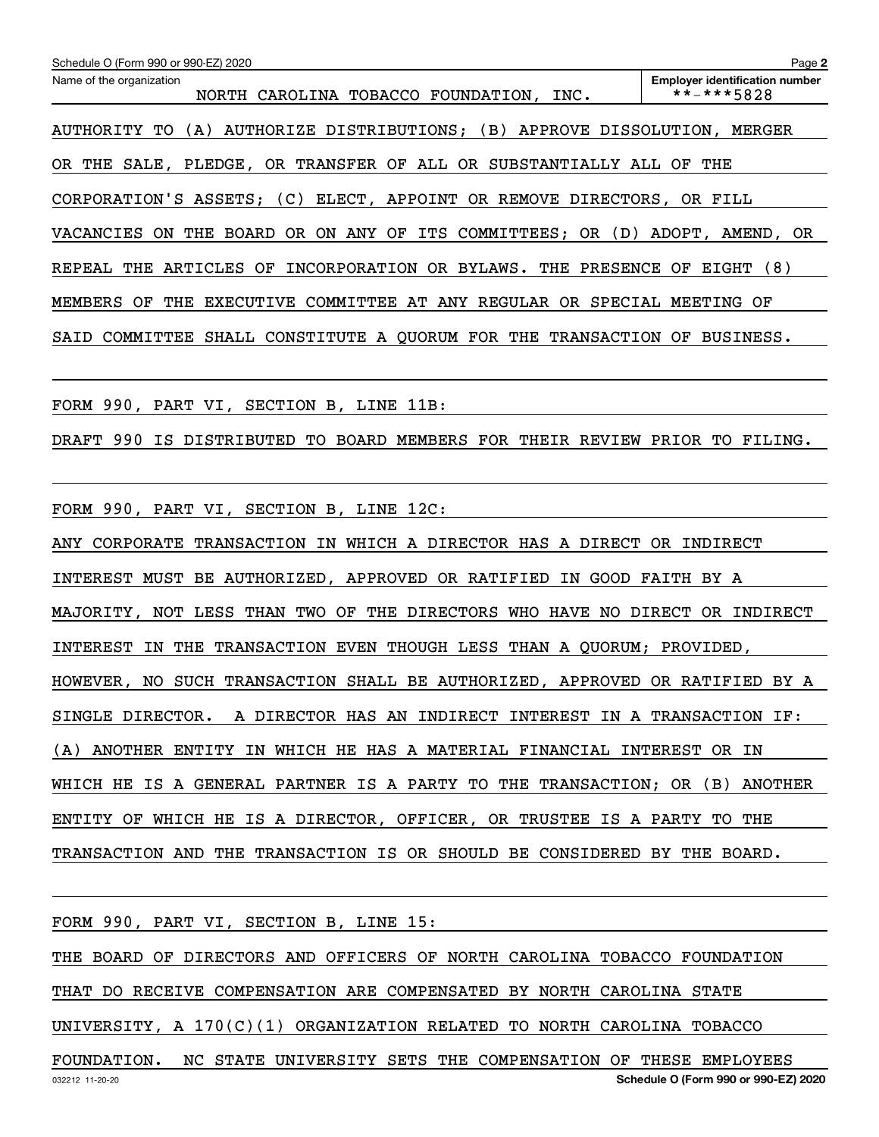| Schedule O (Form 990 or 990-EZ) 2020                                        | Page 2                                              |
|-----------------------------------------------------------------------------|-----------------------------------------------------|
| Name of the organization<br>NORTH CAROLINA TOBACCO FOUNDATION, INC.         | <b>Employer identification number</b><br>**-***5828 |
| AUTHORITY TO (A) AUTHORIZE DISTRIBUTIONS; (B) APPROVE DISSOLUTION, MERGER   |                                                     |
| OR THE SALE, PLEDGE, OR TRANSFER OF ALL OR SUBSTANTIALLY ALL OF THE         |                                                     |
| CORPORATION'S ASSETS; (C) ELECT, APPOINT OR REMOVE DIRECTORS, OR FILL       |                                                     |
| VACANCIES ON THE BOARD OR ON ANY OF ITS COMMITTEES; OR (D) ADOPT, AMEND, OR |                                                     |
| REPEAL THE ARTICLES OF INCORPORATION OR BYLAWS. THE PRESENCE OF EIGHT (8)   |                                                     |
| MEMBERS OF THE EXECUTIVE COMMITTEE AT ANY REGULAR OR SPECIAL MEETING OF     |                                                     |
| SAID COMMITTEE SHALL CONSTITUTE A QUORUM FOR THE TRANSACTION OF BUSINESS.   |                                                     |
| FORM 990, PART VI, SECTION B, LINE 11B:                                     |                                                     |
| DRAFT 990 IS DISTRIBUTED TO BOARD MEMBERS FOR THEIR REVIEW PRIOR TO FILING. |                                                     |
| FORM 990, PART VI, SECTION B, LINE 12C:                                     |                                                     |
| ANY CORPORATE TRANSACTION IN WHICH A DIRECTOR HAS A DIRECT OR INDIRECT      |                                                     |
| INTEREST MUST BE AUTHORIZED, APPROVED OR RATIFIED IN GOOD FAITH BY A        |                                                     |
| MAJORITY, NOT LESS THAN TWO OF THE DIRECTORS WHO HAVE NO DIRECT OR INDIRECT |                                                     |
| INTEREST IN THE TRANSACTION EVEN THOUGH LESS THAN A QUORUM; PROVIDED,       |                                                     |
| HOWEVER, NO SUCH TRANSACTION SHALL BE AUTHORIZED, APPROVED OR RATIFIED BY A |                                                     |
| SINGLE DIRECTOR. A DIRECTOR HAS AN INDIRECT INTEREST IN A TRANSACTION IF:   |                                                     |
| (A) ANOTHER ENTITY IN WHICH HE HAS A MATERIAL FINANCIAL INTEREST OR IN      |                                                     |
| WHICH HE IS A GENERAL PARTNER IS A PARTY TO THE TRANSACTION; OR (B) ANOTHER |                                                     |
| ENTITY OF WHICH HE IS A DIRECTOR, OFFICER, OR TRUSTEE IS A PARTY TO THE     |                                                     |
| TRANSACTION AND THE TRANSACTION IS OR SHOULD BE CONSIDERED BY THE BOARD.    |                                                     |
| FORM 990, PART VI, SECTION B, LINE 15:                                      |                                                     |
| THE BOARD OF DIRECTORS AND OFFICERS OF NORTH CAROLINA TOBACCO FOUNDATION    |                                                     |
| THAT DO RECEIVE COMPENSATION ARE COMPENSATED BY NORTH CAROLINA STATE        |                                                     |
| UNIVERSITY, A $170(C)(1)$ ORGANIZATION RELATED TO NORTH CAROLINA TOBACCO    |                                                     |

032212 11-20-20 **Schedule O (Form 990 or 990-EZ) 2020** FOUNDATION. NC STATE UNIVERSITY SETS THE COMPENSATION OF THESE EMPLOYEES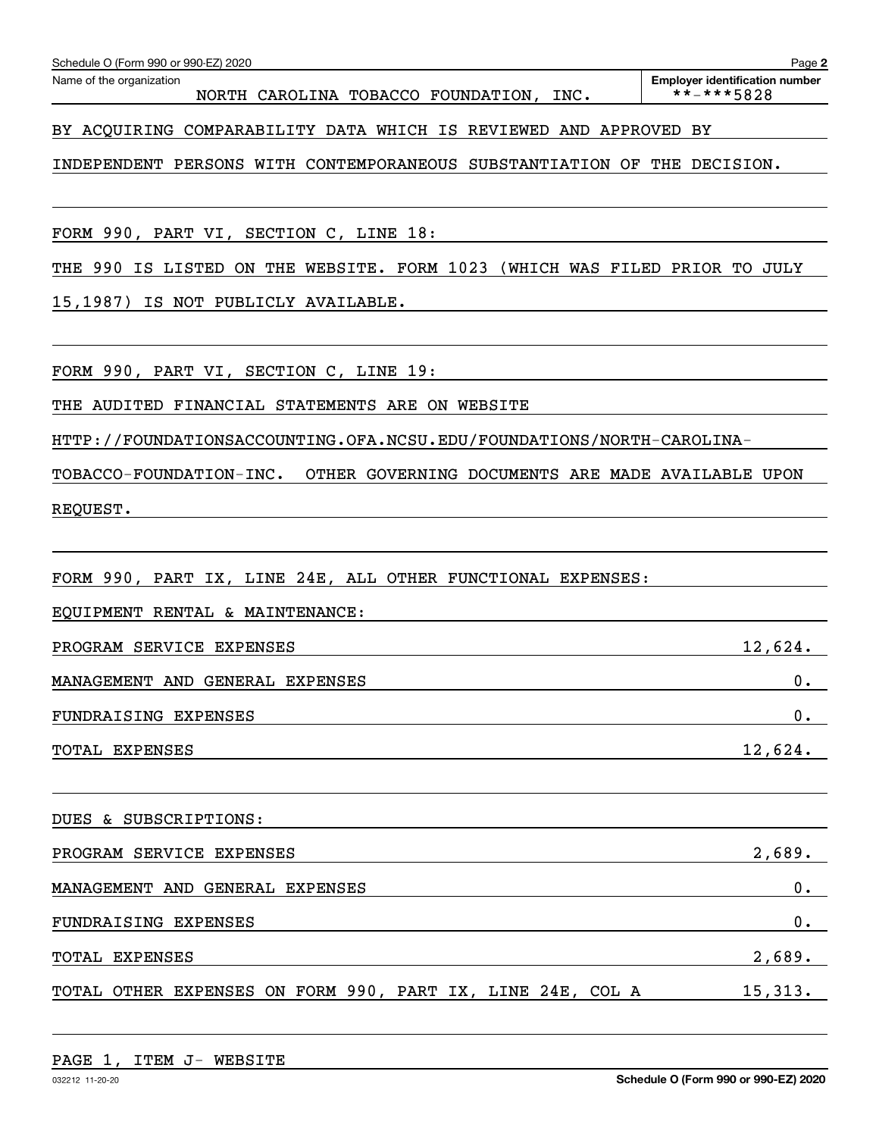| Name of the organization<br>NORTH CAROLINA TOBACCO FOUNDATION,<br>INC.       | <b>Employer identification number</b><br>**-***5828 |
|------------------------------------------------------------------------------|-----------------------------------------------------|
| BY ACQUIRING COMPARABILITY DATA WHICH IS<br>REVIEWED AND APPROVED BY         |                                                     |
| INDEPENDENT PERSONS WITH CONTEMPORANEOUS SUBSTANTIATION OF THE DECISION.     |                                                     |
|                                                                              |                                                     |
| FORM 990, PART VI, SECTION C, LINE 18:                                       |                                                     |
| THE 990 IS LISTED ON THE WEBSITE. FORM 1023                                  | (WHICH WAS FILED PRIOR TO JULY                      |
| 15,1987)<br>IS NOT PUBLICLY AVAILABLE.                                       |                                                     |
|                                                                              |                                                     |
| FORM 990, PART VI, SECTION C, LINE 19:                                       |                                                     |
| AUDITED FINANCIAL STATEMENTS ARE ON WEBSITE<br>THE                           |                                                     |
| HTTP://FOUNDATIONSACCOUNTING.OFA.NCSU.EDU/FOUNDATIONS/NORTH-CAROLINA-        |                                                     |
| TOBACCO-FOUNDATION-INC.<br>OTHER GOVERNING DOCUMENTS ARE MADE AVAILABLE UPON |                                                     |
| REQUEST.                                                                     |                                                     |
|                                                                              |                                                     |
| FORM 990, PART IX, LINE 24E, ALL OTHER FUNCTIONAL EXPENSES:                  |                                                     |
| EQUIPMENT RENTAL & MAINTENANCE:                                              |                                                     |
| PROGRAM SERVICE EXPENSES                                                     | 12,624.                                             |
| MANAGEMENT AND GENERAL EXPENSES                                              | $0$ .                                               |
| FUNDRAISING EXPENSES                                                         | $0$ .                                               |
| 12,624.<br>TOTAL EXPENSES                                                    |                                                     |
|                                                                              |                                                     |
| DUES & SUBSCRIPTIONS:                                                        |                                                     |
| PROGRAM SERVICE EXPENSES                                                     | 2,689.                                              |
| MANAGEMENT AND GENERAL EXPENSES                                              | $0 \cdot$                                           |
| FUNDRAISING EXPENSES                                                         | 0.                                                  |
| TOTAL EXPENSES                                                               | 2,689.                                              |
| TOTAL OTHER EXPENSES ON FORM 990, PART IX, LINE 24E, COL A 15,313.           |                                                     |

Schedule O (Form 990 or 990-EZ) 2020

**2**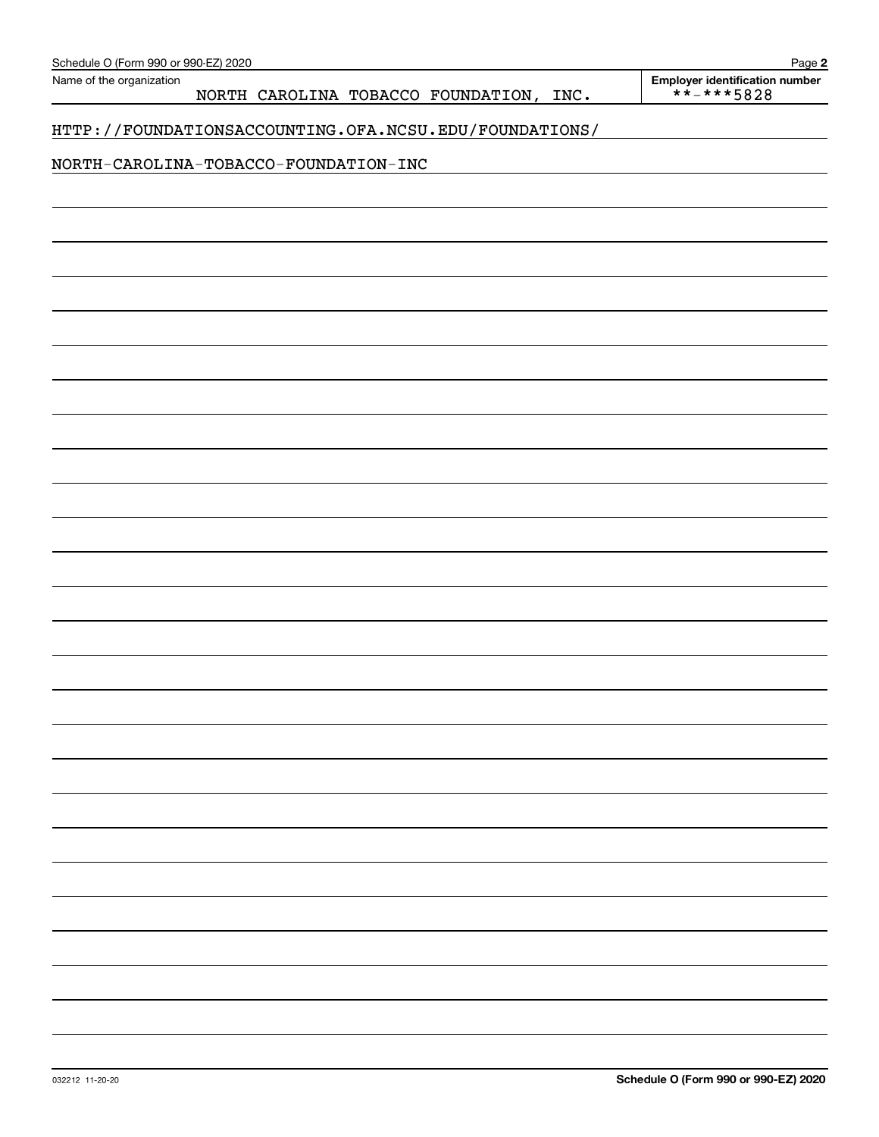| Schedule O (Form 990 or 990-EZ) 2020 |                                                        |                                         | Page 2                                              |
|--------------------------------------|--------------------------------------------------------|-----------------------------------------|-----------------------------------------------------|
| Name of the organization             |                                                        | NORTH CAROLINA TOBACCO FOUNDATION, INC. | <b>Employer identification number</b><br>**-***5828 |
|                                      | HTTP://FOUNDATIONSACCOUNTING.OFA.NCSU.EDU/FOUNDATIONS/ |                                         |                                                     |
|                                      | NORTH-CAROLINA-TOBACCO-FOUNDATION-INC                  |                                         |                                                     |
|                                      |                                                        |                                         |                                                     |
|                                      |                                                        |                                         |                                                     |
|                                      |                                                        |                                         |                                                     |
|                                      |                                                        |                                         |                                                     |
|                                      |                                                        |                                         |                                                     |
|                                      |                                                        |                                         |                                                     |
|                                      |                                                        |                                         |                                                     |
|                                      |                                                        |                                         |                                                     |
|                                      |                                                        |                                         |                                                     |
|                                      |                                                        |                                         |                                                     |
|                                      |                                                        |                                         |                                                     |
|                                      |                                                        |                                         |                                                     |
|                                      |                                                        |                                         |                                                     |
|                                      |                                                        |                                         |                                                     |
|                                      |                                                        |                                         |                                                     |
|                                      |                                                        |                                         |                                                     |
|                                      |                                                        |                                         |                                                     |
|                                      |                                                        |                                         |                                                     |
|                                      |                                                        |                                         |                                                     |
|                                      |                                                        |                                         |                                                     |
|                                      |                                                        |                                         |                                                     |
|                                      |                                                        |                                         |                                                     |
|                                      |                                                        |                                         |                                                     |
|                                      |                                                        |                                         |                                                     |
|                                      |                                                        |                                         |                                                     |
|                                      |                                                        |                                         |                                                     |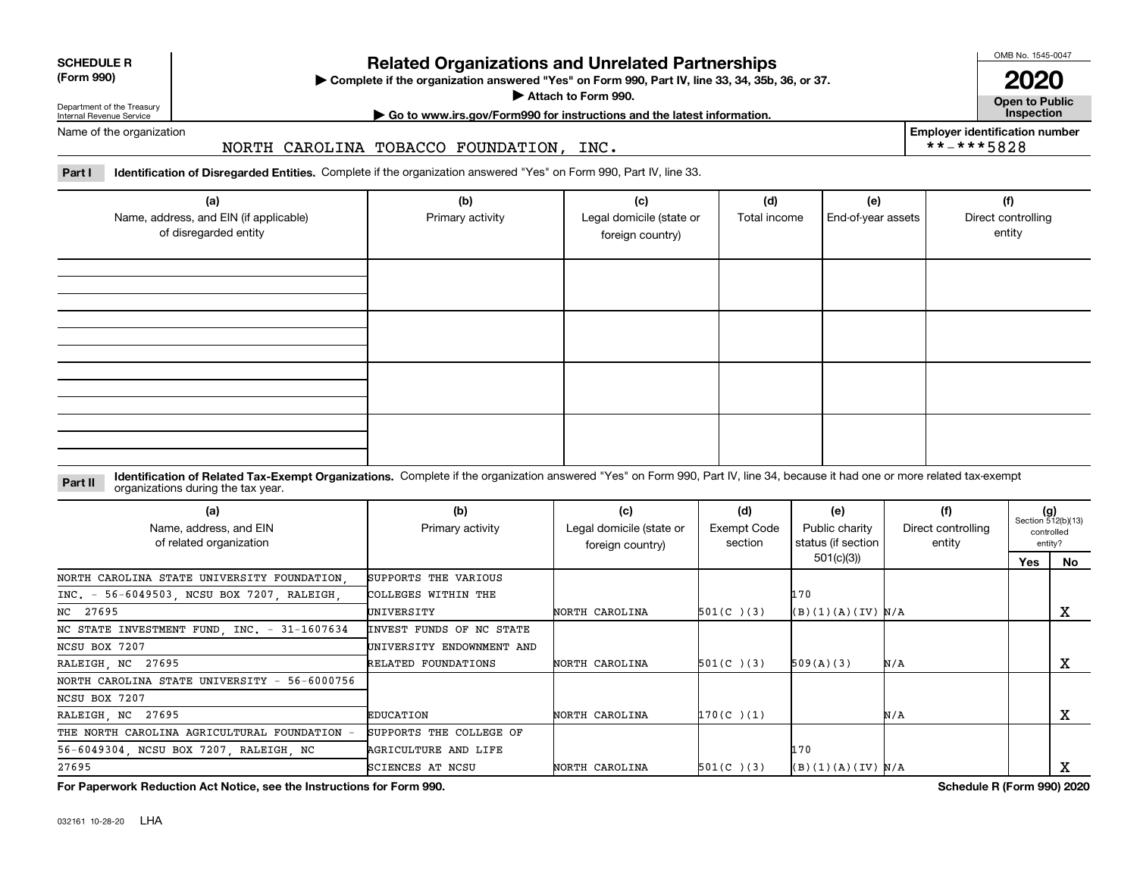| <b>SCHEDULE R</b>           |  |
|-----------------------------|--|
| $\mathbf{r}$ . $\mathbf{r}$ |  |

**(Form 990)**

## **Related Organizations and Unrelated Partnerships**

**Complete if the organization answered "Yes" on Form 990, Part IV, line 33, 34, 35b, 36, or 37.** |

**Attach to Form 990.**  |

OMB No. 1545-0047

**Open to Public 2020**

**Employer identification number**

 $***$  \*\*-\*\*5828

Department of the Treasury Internal Revenue Service

## **| Go to www.irs.gov/Form990 for instructions and the latest information. Inspection**

Name of the organization

### NORTH CAROLINA TOBACCO FOUNDATION, INC.

**Part I Identification of Disregarded Entities.**  Complete if the organization answered "Yes" on Form 990, Part IV, line 33.

| (a)<br>Name, address, and EIN (if applicable)<br>of disregarded entity | (b)<br>Primary activity | (c)<br>Legal domicile (state or<br>foreign country) | (d)<br>Total income | (e)<br>End-of-year assets | (f)<br>Direct controlling<br>entity |
|------------------------------------------------------------------------|-------------------------|-----------------------------------------------------|---------------------|---------------------------|-------------------------------------|
|                                                                        |                         |                                                     |                     |                           |                                     |
|                                                                        |                         |                                                     |                     |                           |                                     |
|                                                                        |                         |                                                     |                     |                           |                                     |
|                                                                        |                         |                                                     |                     |                           |                                     |

#### **Identification of Related Tax-Exempt Organizations.** Complete if the organization answered "Yes" on Form 990, Part IV, line 34, because it had one or more related tax-exempt **Part II** organizations during the tax year.

| (a)<br>Name, address, and EIN<br>of related organization | (b)<br>Primary activity   | (c)<br>Legal domicile (state or<br>foreign country) | (d)<br>Exempt Code<br>section | (e)<br>Public charity<br>status (if section | (f)<br>Direct controlling<br>entity | $(g)$<br>Section 512(b)(13) | controlled<br>entity? |
|----------------------------------------------------------|---------------------------|-----------------------------------------------------|-------------------------------|---------------------------------------------|-------------------------------------|-----------------------------|-----------------------|
|                                                          |                           |                                                     |                               | 501(c)(3)                                   |                                     | Yes                         | No.                   |
| NORTH CAROLINA STATE UNIVERSITY FOUNDATION.              | SUPPORTS THE VARIOUS      |                                                     |                               |                                             |                                     |                             |                       |
| INC. - 56-6049503, NCSU BOX 7207, RALEIGH,               | COLLEGES WITHIN THE       |                                                     |                               | 170                                         |                                     |                             |                       |
| NC 27695                                                 | UNIVERSITY                | NORTH CAROLINA                                      | $501(C)$ (3)                  | (B)(1)(A)(IV) N/A                           |                                     |                             | х                     |
| NC STATE INVESTMENT FUND, INC. - 31-1607634              | INVEST FUNDS OF NC STATE  |                                                     |                               |                                             |                                     |                             |                       |
| NCSU BOX 7207                                            | UNIVERSITY ENDOWNMENT AND |                                                     |                               |                                             |                                     |                             |                       |
| RALEIGH, NC 27695                                        | RELATED FOUNDATIONS       | NORTH CAROLINA                                      | $501(C)$ (3)                  | 509(A)(3)                                   | N/A                                 |                             | x                     |
| NORTH CAROLINA STATE UNIVERSITY - 56-6000756             |                           |                                                     |                               |                                             |                                     |                             |                       |
| NCSU BOX 7207                                            |                           |                                                     |                               |                                             |                                     |                             |                       |
| RALEIGH, NC 27695                                        | <b>EDUCATION</b>          | NORTH CAROLINA                                      | $170(C)$ (1)                  |                                             | N/A                                 |                             | х                     |
| THE NORTH CAROLINA AGRICULTURAL FOUNDATION               | SUPPORTS THE COLLEGE OF   |                                                     |                               |                                             |                                     |                             |                       |
| 56-6049304, NCSU BOX 7207, RALEIGH, NC                   | AGRICULTURE AND LIFE      |                                                     |                               | 170                                         |                                     |                             |                       |
| 27695                                                    | SCIENCES AT NCSU          | NORTH CAROLINA                                      | $501(C)$ (3)                  | (B)(1)(A)(IV) N/A                           |                                     |                             | A                     |

**For Paperwork Reduction Act Notice, see the Instructions for Form 990. Schedule R (Form 990) 2020**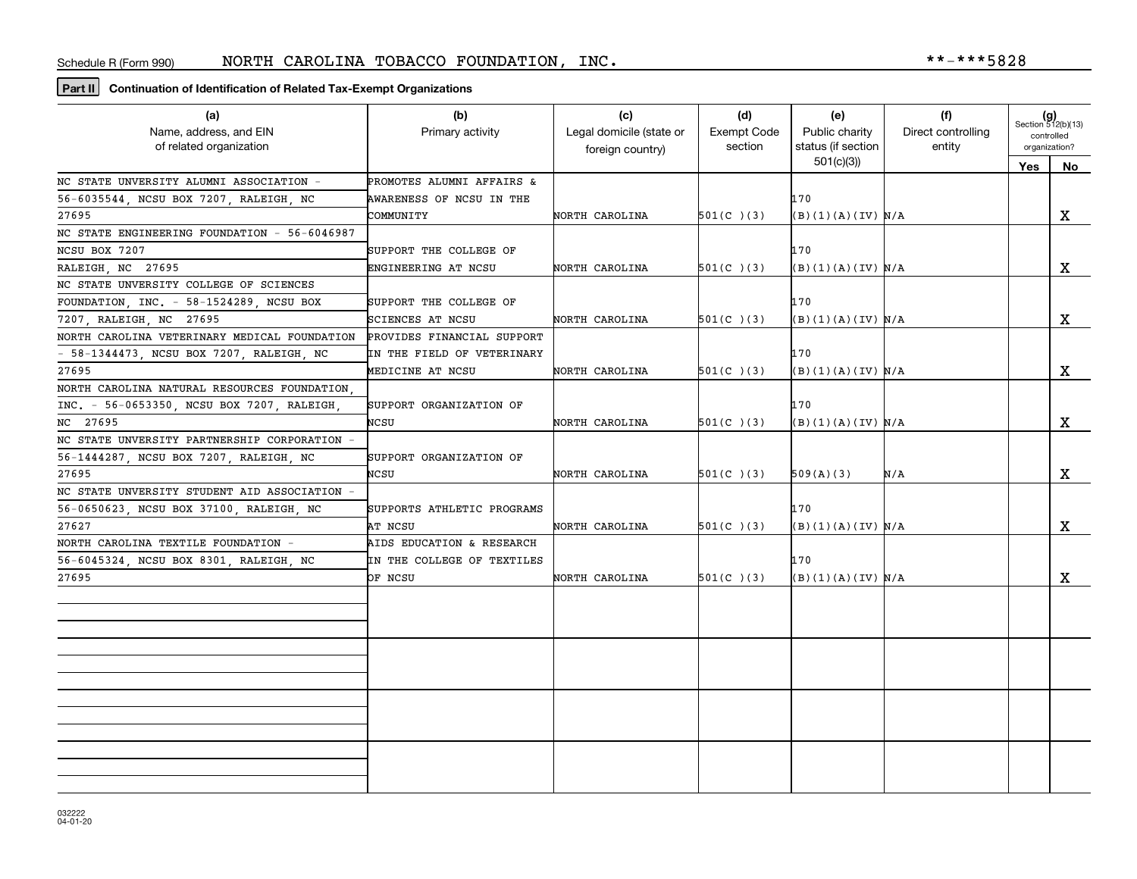**Part II** Continuation of Identification of Related Tax-Exempt Organizations

| (a)                                          | (b)                        | (c)                      | (d)                | (e)                | (f)                | $(g)$<br>Section 512(b)(13) |             |
|----------------------------------------------|----------------------------|--------------------------|--------------------|--------------------|--------------------|-----------------------------|-------------|
| Name, address, and EIN                       | Primary activity           | Legal domicile (state or | <b>Exempt Code</b> | Public charity     | Direct controlling | controlled                  |             |
| of related organization                      |                            | foreign country)         | section            | status (if section | entity             | organization?               |             |
|                                              |                            |                          |                    | 501(c)(3)          |                    | <b>Yes</b>                  | No          |
| NC STATE UNVERSITY ALUMNI ASSOCIATION -      | PROMOTES ALUMNI AFFAIRS &  |                          |                    |                    |                    |                             |             |
| 56-6035544, NCSU BOX 7207, RALEIGH, NC       | AWARENESS OF NCSU IN THE   |                          |                    | 170                |                    |                             |             |
| 27695                                        | COMMUNITY                  | NORTH CAROLINA           | $501(C)$ (3)       | (B)(1)(A)(IV) N/A  |                    |                             | $\mathbf X$ |
| NC STATE ENGINEERING FOUNDATION - 56-6046987 |                            |                          |                    |                    |                    |                             |             |
| NCSU BOX 7207                                | SUPPORT THE COLLEGE OF     |                          |                    | 170                |                    |                             |             |
| RALEIGH NC 27695                             | ENGINEERING AT NCSU        | NORTH CAROLINA           | $501(C)$ (3)       | B)(1)(A)(IV) N/A   |                    |                             | X           |
| NC STATE UNVERSITY COLLEGE OF SCIENCES       |                            |                          |                    |                    |                    |                             |             |
| FOUNDATION, INC. - 58-1524289, NCSU BOX      | SUPPORT THE COLLEGE OF     |                          |                    | 170                |                    |                             |             |
| 7207, RALEIGH, NC 27695                      | SCIENCES AT NCSU           | NORTH CAROLINA           | $501(C)$ (3)       | (B)(1)(A)(IV) N/A  |                    |                             | X           |
| NORTH CAROLINA VETERINARY MEDICAL FOUNDATION | PROVIDES FINANCIAL SUPPORT |                          |                    |                    |                    |                             |             |
| - 58-1344473, NCSU BOX 7207, RALEIGH, NC     | IN THE FIELD OF VETERINARY |                          |                    | 170                |                    |                             |             |
| 27695                                        | MEDICINE AT NCSU           | NORTH CAROLINA           | $501(C)$ (3)       | B)(1)(A)(IV) N/A   |                    |                             | $\mathbf X$ |
| NORTH CAROLINA NATURAL RESOURCES FOUNDATION. |                            |                          |                    |                    |                    |                             |             |
| INC. - 56-0653350, NCSU BOX 7207, RALEIGH,   | SUPPORT ORGANIZATION OF    |                          |                    | 170                |                    |                             |             |
| NC 27695                                     | NCSU                       | NORTH CAROLINA           | $501(C)$ (3)       | (B)(1)(A)(IV) N/A  |                    |                             | $\mathbf X$ |
| NC STATE UNVERSITY PARTNERSHIP CORPORATION - |                            |                          |                    |                    |                    |                             |             |
| 56-1444287, NCSU BOX 7207, RALEIGH, NC       | SUPPORT ORGANIZATION OF    |                          |                    |                    |                    |                             |             |
| 27695                                        | NCSU                       | NORTH CAROLINA           | $501(C)$ (3)       | 509(A)(3)          | N/A                |                             | x           |
| NC STATE UNVERSITY STUDENT AID ASSOCIATION - |                            |                          |                    |                    |                    |                             |             |
| 56-0650623, NCSU BOX 37100, RALEIGH, NC      | SUPPORTS ATHLETIC PROGRAMS |                          |                    | 170                |                    |                             |             |
| 27627                                        | AT NCSU                    | NORTH CAROLINA           | $501(C)$ (3)       | B)(1)(A)(IV) N/A   |                    |                             | X           |
| NORTH CAROLINA TEXTILE FOUNDATION -          | AIDS EDUCATION & RESEARCH  |                          |                    |                    |                    |                             |             |
| 56-6045324, NCSU BOX 8301, RALEIGH, NC       | IN THE COLLEGE OF TEXTILES |                          |                    | 170                |                    |                             |             |
| 27695                                        | OF NCSU                    | NORTH CAROLINA           | $501(C)$ (3)       | (B)(1)(A)(IV) N/A  |                    |                             | X           |
|                                              |                            |                          |                    |                    |                    |                             |             |
|                                              |                            |                          |                    |                    |                    |                             |             |
|                                              |                            |                          |                    |                    |                    |                             |             |
|                                              |                            |                          |                    |                    |                    |                             |             |
|                                              |                            |                          |                    |                    |                    |                             |             |
|                                              |                            |                          |                    |                    |                    |                             |             |
|                                              |                            |                          |                    |                    |                    |                             |             |
|                                              |                            |                          |                    |                    |                    |                             |             |
|                                              |                            |                          |                    |                    |                    |                             |             |
|                                              |                            |                          |                    |                    |                    |                             |             |
|                                              |                            |                          |                    |                    |                    |                             |             |
|                                              |                            |                          |                    |                    |                    |                             |             |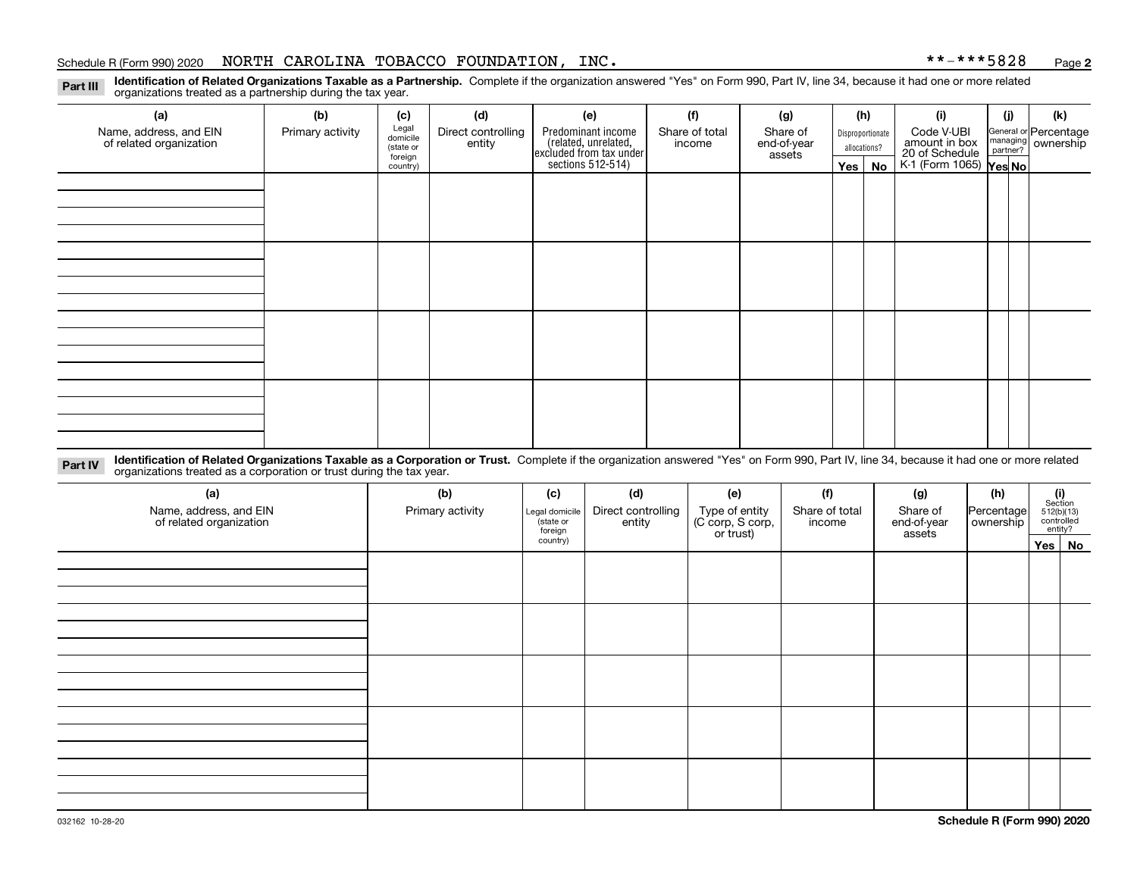### Schedule R (Form 990) 2020 NORTH CAROLINA TOBACCO FOUNDATION,INC。 \* \*-\* \* \* 5828 <sub>Page</sub>

**2**

**Identification of Related Organizations Taxable as a Partnership.** Complete if the organization answered "Yes" on Form 990, Part IV, line 34, because it had one or more related **Part III** organizations treated as a partnership during the tax year.

| (a)<br>Name, address, and EIN<br>of related organization | (b)<br>Primary activity          | (c)<br>Legal<br>domicile | (d)<br>Direct controlling | (e)                                                                                        | (f)<br>Share of total | (g)<br>Share of       |                               | (h)<br>Disproportionate | (i)<br>Code V-UBI                                                | (i) | (k)<br>General or Percentage<br>managing<br>partner?<br>partner? |
|----------------------------------------------------------|----------------------------------|--------------------------|---------------------------|--------------------------------------------------------------------------------------------|-----------------------|-----------------------|-------------------------------|-------------------------|------------------------------------------------------------------|-----|------------------------------------------------------------------|
|                                                          | (state or<br>foreign<br>country) |                          | entity                    | Predominant income<br>(related, unrelated,<br>excluded from tax under<br>sections 512-514) | income                | end-of-year<br>assets | allocations?<br>Yes $ $<br>No |                         | amount in box<br>20 of Schedule<br>K-1 (Form 1065) <b>Yes No</b> |     |                                                                  |
|                                                          |                                  |                          |                           |                                                                                            |                       |                       |                               |                         |                                                                  |     |                                                                  |
|                                                          |                                  |                          |                           |                                                                                            |                       |                       |                               |                         |                                                                  |     |                                                                  |
|                                                          |                                  |                          |                           |                                                                                            |                       |                       |                               |                         |                                                                  |     |                                                                  |
|                                                          |                                  |                          |                           |                                                                                            |                       |                       |                               |                         |                                                                  |     |                                                                  |
|                                                          |                                  |                          |                           |                                                                                            |                       |                       |                               |                         |                                                                  |     |                                                                  |
|                                                          |                                  |                          |                           |                                                                                            |                       |                       |                               |                         |                                                                  |     |                                                                  |
|                                                          |                                  |                          |                           |                                                                                            |                       |                       |                               |                         |                                                                  |     |                                                                  |
|                                                          |                                  |                          |                           |                                                                                            |                       |                       |                               |                         |                                                                  |     |                                                                  |
|                                                          |                                  |                          |                           |                                                                                            |                       |                       |                               |                         |                                                                  |     |                                                                  |

**Identification of Related Organizations Taxable as a Corporation or Trust.** Complete if the organization answered "Yes" on Form 990, Part IV, line 34, because it had one or more related **Part IV** organizations treated as a corporation or trust during the tax year.

| (a)<br>Name, address, and EIN<br>of related organization | (b)<br>Primary activity | (c)<br>Legal domicile<br>(state or<br>foreign | (d)<br>Direct controlling<br>entity | (e)<br>Type of entity<br>(C corp, S corp,<br>or trust) | (f)<br>Share of total<br>income | (g)<br>Share of<br>end-of-year<br>assets | (h)<br>Percentage<br>ownership |  | $(i)$ Section<br>512(b)(13)<br>controlled<br>entity? |  |  |  |  |  |  |  |
|----------------------------------------------------------|-------------------------|-----------------------------------------------|-------------------------------------|--------------------------------------------------------|---------------------------------|------------------------------------------|--------------------------------|--|------------------------------------------------------|--|--|--|--|--|--|--|
|                                                          |                         | country)                                      |                                     |                                                        |                                 |                                          |                                |  | Yes No                                               |  |  |  |  |  |  |  |
|                                                          |                         |                                               |                                     |                                                        |                                 |                                          |                                |  |                                                      |  |  |  |  |  |  |  |
|                                                          |                         |                                               |                                     |                                                        |                                 |                                          |                                |  |                                                      |  |  |  |  |  |  |  |
|                                                          |                         |                                               |                                     |                                                        |                                 |                                          |                                |  |                                                      |  |  |  |  |  |  |  |
|                                                          |                         |                                               |                                     |                                                        |                                 |                                          |                                |  |                                                      |  |  |  |  |  |  |  |
|                                                          |                         |                                               |                                     |                                                        |                                 |                                          |                                |  |                                                      |  |  |  |  |  |  |  |
|                                                          |                         |                                               |                                     |                                                        |                                 |                                          |                                |  |                                                      |  |  |  |  |  |  |  |
|                                                          |                         |                                               |                                     |                                                        |                                 |                                          |                                |  |                                                      |  |  |  |  |  |  |  |
|                                                          |                         |                                               |                                     |                                                        |                                 |                                          |                                |  |                                                      |  |  |  |  |  |  |  |
|                                                          |                         |                                               |                                     |                                                        |                                 |                                          |                                |  |                                                      |  |  |  |  |  |  |  |
|                                                          |                         |                                               |                                     |                                                        |                                 |                                          |                                |  |                                                      |  |  |  |  |  |  |  |
|                                                          |                         |                                               |                                     |                                                        |                                 |                                          |                                |  |                                                      |  |  |  |  |  |  |  |
|                                                          |                         |                                               |                                     |                                                        |                                 |                                          |                                |  |                                                      |  |  |  |  |  |  |  |
|                                                          |                         |                                               |                                     |                                                        |                                 |                                          |                                |  |                                                      |  |  |  |  |  |  |  |
|                                                          |                         |                                               |                                     |                                                        |                                 |                                          |                                |  |                                                      |  |  |  |  |  |  |  |
|                                                          |                         |                                               |                                     |                                                        |                                 |                                          |                                |  |                                                      |  |  |  |  |  |  |  |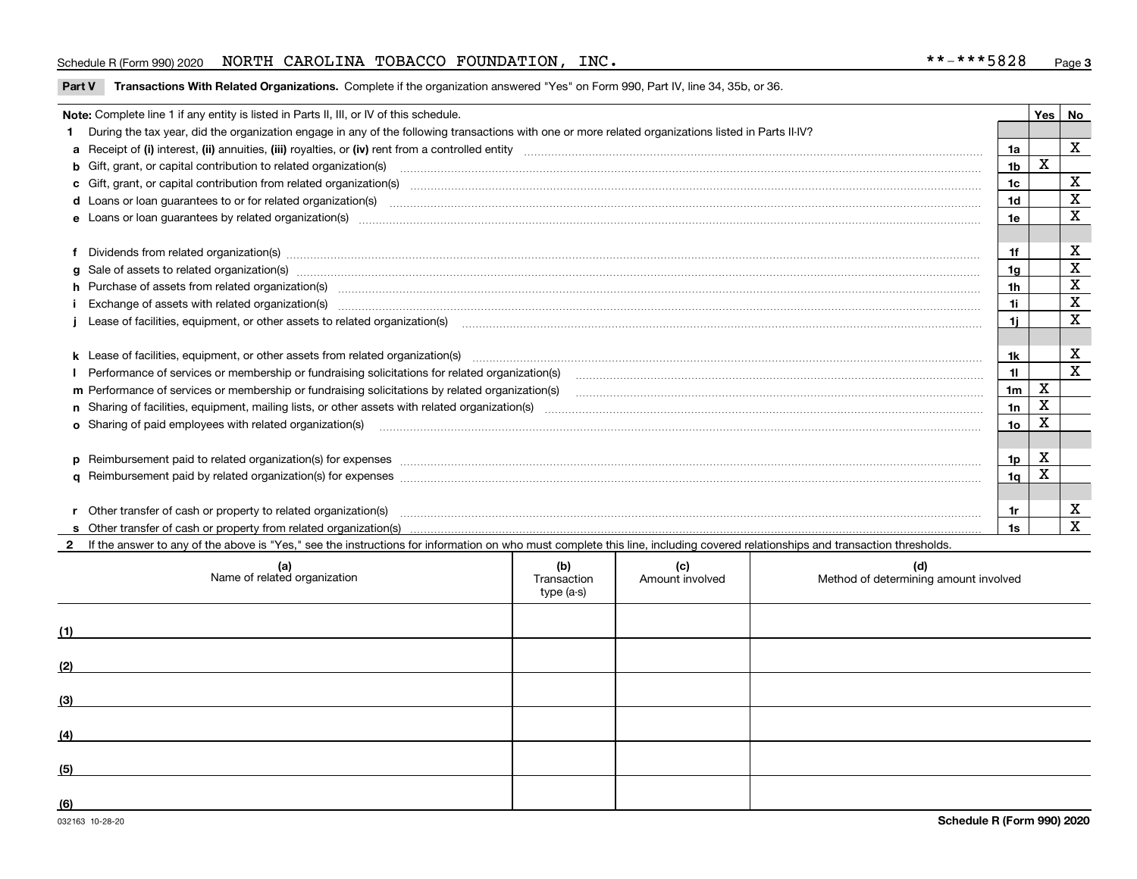### Schedule R (Form 990) 2020 NORTH CAROLINA TOBACCO FOUNDATION,INC。 \* \*-\* \* \* 5828 <sub>Page</sub>

### **Part V** T**ransactions With Related Organizations.** Complete if the organization answered "Yes" on Form 990, Part IV, line 34, 35b, or 36.

| Note: Complete line 1 if any entity is listed in Parts II, III, or IV of this schedule. |                                                                                                                                                                                                                                |                |   |             |  |  |
|-----------------------------------------------------------------------------------------|--------------------------------------------------------------------------------------------------------------------------------------------------------------------------------------------------------------------------------|----------------|---|-------------|--|--|
|                                                                                         | During the tax year, did the organization engage in any of the following transactions with one or more related organizations listed in Parts II-IV?                                                                            |                |   |             |  |  |
|                                                                                         |                                                                                                                                                                                                                                | 1a             |   | X           |  |  |
|                                                                                         | b Gift, grant, or capital contribution to related organization(s) manufactured contains and contribution to related organization(s)                                                                                            | 1b             | X |             |  |  |
|                                                                                         | c Gift, grant, or capital contribution from related organization(s) material content and contribution from related organization(s) material content and content and contribution from related organization(s) material content | 1c             |   | х           |  |  |
|                                                                                         |                                                                                                                                                                                                                                | 1d             |   | X           |  |  |
|                                                                                         |                                                                                                                                                                                                                                | 1e             |   | х           |  |  |
|                                                                                         |                                                                                                                                                                                                                                |                |   |             |  |  |
|                                                                                         | Dividends from related organization(s) manufactured and contract and contract or produced and contract and contract or produced and contract or produced and contract or produced and contract or produced and contract or pro | 1f             |   | х           |  |  |
|                                                                                         |                                                                                                                                                                                                                                | 1g             |   | х           |  |  |
|                                                                                         | h Purchase of assets from related organization(s) manufactured and content to content and content and content and content and content and content and content and content and content and content and content and content and  | 1h             |   | х           |  |  |
|                                                                                         |                                                                                                                                                                                                                                | 1i.            |   | $\mathbf X$ |  |  |
|                                                                                         | Lease of facilities, equipment, or other assets to related organization(s) использованно положенно положенно под                                                                                                               | 1i.            |   | X           |  |  |
|                                                                                         |                                                                                                                                                                                                                                |                |   |             |  |  |
|                                                                                         |                                                                                                                                                                                                                                | 1k.            |   | х           |  |  |
|                                                                                         | Performance of services or membership or fundraising solicitations for related organization(s)                                                                                                                                 | 11             |   | X           |  |  |
|                                                                                         | m Performance of services or membership or fundraising solicitations by related organization(s)                                                                                                                                | 1 <sub>m</sub> | X |             |  |  |
|                                                                                         |                                                                                                                                                                                                                                | 1n             | X |             |  |  |
|                                                                                         | <b>o</b> Sharing of paid employees with related organization(s)                                                                                                                                                                | 10             | x |             |  |  |
|                                                                                         |                                                                                                                                                                                                                                |                |   |             |  |  |
|                                                                                         | p Reimbursement paid to related organization(s) for expenses [1111] and manufacture manufacture manufacture manufacture manufacture manufacture manufacture manufacture manufacture manufacture manufacture manufacture manufa | 1p             | х |             |  |  |
|                                                                                         |                                                                                                                                                                                                                                | 1q             |   |             |  |  |
|                                                                                         |                                                                                                                                                                                                                                |                |   |             |  |  |
|                                                                                         |                                                                                                                                                                                                                                | 1r             |   | х           |  |  |
|                                                                                         |                                                                                                                                                                                                                                | 1s             |   | X           |  |  |

2 If the answer to any of the above is "Yes," see the instructions for information on who must complete this line, including covered relationships and transaction thresholds.

| (a)<br>Name of related organization | (b)<br>Transaction<br>type (a-s) | (c)<br>Amount involved | (d)<br>Method of determining amount involved |
|-------------------------------------|----------------------------------|------------------------|----------------------------------------------|
| (1)                                 |                                  |                        |                                              |
| (2)                                 |                                  |                        |                                              |
| (3)                                 |                                  |                        |                                              |
| (4)                                 |                                  |                        |                                              |
| (5)                                 |                                  |                        |                                              |
| $\underline{(6)}$                   |                                  |                        |                                              |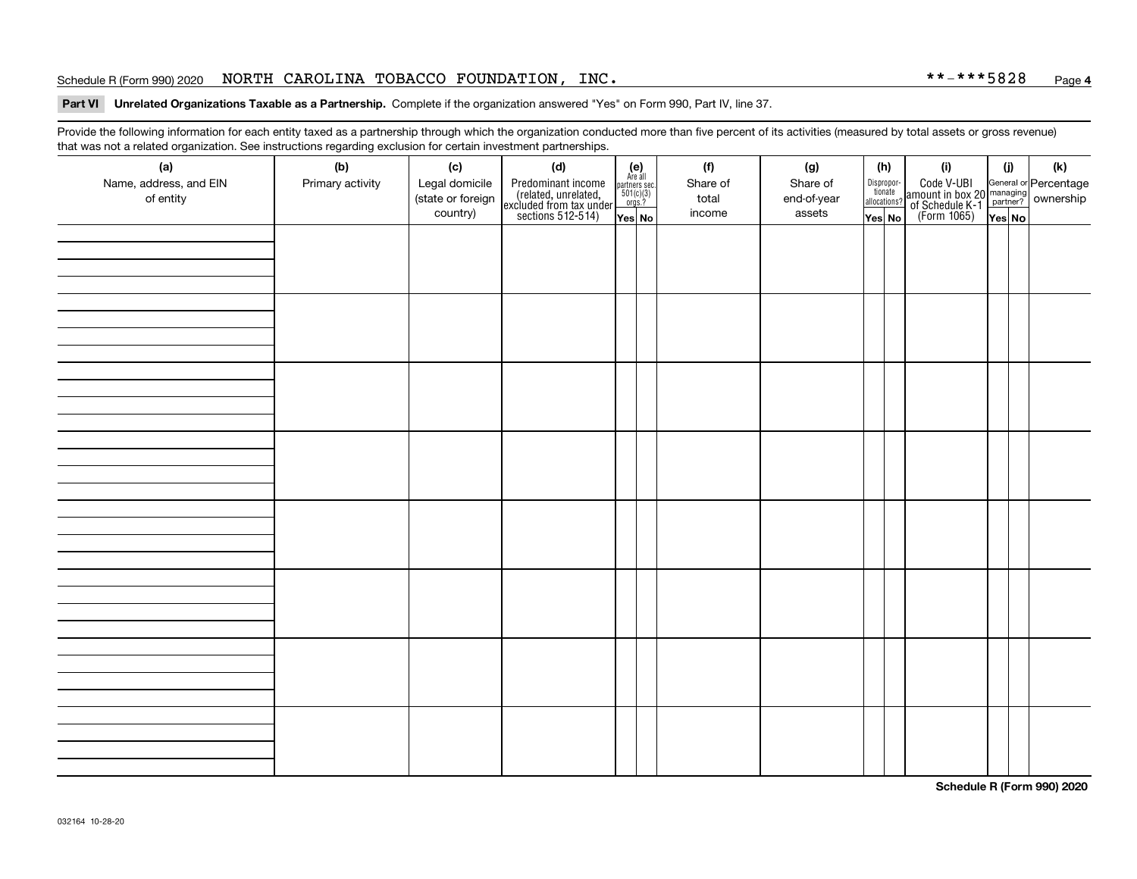### Schedule R (Form 990) 2020 NORTH CAROLINA TOBACCO FOUNDATION,INC。 \* \*-\* \* \* 5828 <sub>Page</sub>

### **4**

### **Part VI Unrelated Organizations Taxable as a Partnership. Complete if the organization answered "Yes" on Form 990, Part IV, line 37.**

Provide the following information for each entity taxed as a partnership through which the organization conducted more than five percent of its activities (measured by total assets or gross revenue) that was not a related organization. See instructions regarding exclusion for certain investment partnerships.

| (a)<br>Name, address, and EIN<br>of entity | ັ<br>(b)<br>Primary activity | (c)<br>Legal domicile<br>(state or foreign<br>country) | (d)<br>Predominant income<br>(related, unrelated,<br>excluded from tax under<br>sections 512-514) | $(e)$<br>Are all<br>$\begin{array}{c}\n\text{partners} \sec.\n\\ \n501(c)(3)\n\\ \n0rgs.?\n\end{array}$<br>Yes No | (f)<br>Share of<br>total<br>income | (g)<br>Share of<br>end-of-year<br>assets | (h)<br>Dispropor-<br>tionate<br>allocations?<br>Yes No | (i)<br>Code V-UBI<br>amount in box 20 managing<br>of Schedule K-1<br>(Form 1065)<br>$\overline{Yes}$ No | (i)<br>Yes No | $(\mathsf{k})$ |
|--------------------------------------------|------------------------------|--------------------------------------------------------|---------------------------------------------------------------------------------------------------|-------------------------------------------------------------------------------------------------------------------|------------------------------------|------------------------------------------|--------------------------------------------------------|---------------------------------------------------------------------------------------------------------|---------------|----------------|
|                                            |                              |                                                        |                                                                                                   |                                                                                                                   |                                    |                                          |                                                        |                                                                                                         |               |                |
|                                            |                              |                                                        |                                                                                                   |                                                                                                                   |                                    |                                          |                                                        |                                                                                                         |               |                |
|                                            |                              |                                                        |                                                                                                   |                                                                                                                   |                                    |                                          |                                                        |                                                                                                         |               |                |
|                                            |                              |                                                        |                                                                                                   |                                                                                                                   |                                    |                                          |                                                        |                                                                                                         |               |                |
|                                            |                              |                                                        |                                                                                                   |                                                                                                                   |                                    |                                          |                                                        |                                                                                                         |               |                |
|                                            |                              |                                                        |                                                                                                   |                                                                                                                   |                                    |                                          |                                                        |                                                                                                         |               |                |
|                                            |                              |                                                        |                                                                                                   |                                                                                                                   |                                    |                                          |                                                        |                                                                                                         |               |                |
|                                            |                              |                                                        |                                                                                                   |                                                                                                                   |                                    |                                          |                                                        |                                                                                                         |               |                |

**Schedule R (Form 990) 2020**